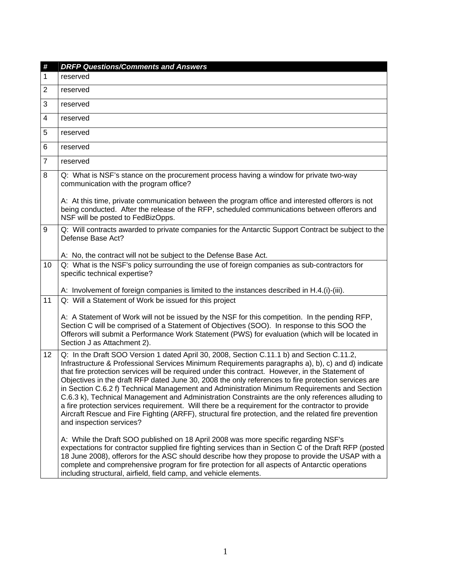| #              | <b>DRFP Questions/Comments and Answers</b>                                                                                                                                                                                                                                                                                                                                                                                                                                                                                                                                                                                                                                                                                                                                                                                                               |
|----------------|----------------------------------------------------------------------------------------------------------------------------------------------------------------------------------------------------------------------------------------------------------------------------------------------------------------------------------------------------------------------------------------------------------------------------------------------------------------------------------------------------------------------------------------------------------------------------------------------------------------------------------------------------------------------------------------------------------------------------------------------------------------------------------------------------------------------------------------------------------|
| 1              | reserved                                                                                                                                                                                                                                                                                                                                                                                                                                                                                                                                                                                                                                                                                                                                                                                                                                                 |
| $\overline{2}$ | reserved                                                                                                                                                                                                                                                                                                                                                                                                                                                                                                                                                                                                                                                                                                                                                                                                                                                 |
| 3              | reserved                                                                                                                                                                                                                                                                                                                                                                                                                                                                                                                                                                                                                                                                                                                                                                                                                                                 |
| 4              | reserved                                                                                                                                                                                                                                                                                                                                                                                                                                                                                                                                                                                                                                                                                                                                                                                                                                                 |
| 5              | reserved                                                                                                                                                                                                                                                                                                                                                                                                                                                                                                                                                                                                                                                                                                                                                                                                                                                 |
| 6              | reserved                                                                                                                                                                                                                                                                                                                                                                                                                                                                                                                                                                                                                                                                                                                                                                                                                                                 |
| $\overline{7}$ | reserved                                                                                                                                                                                                                                                                                                                                                                                                                                                                                                                                                                                                                                                                                                                                                                                                                                                 |
| 8              | Q: What is NSF's stance on the procurement process having a window for private two-way<br>communication with the program office?                                                                                                                                                                                                                                                                                                                                                                                                                                                                                                                                                                                                                                                                                                                         |
|                | A: At this time, private communication between the program office and interested offerors is not<br>being conducted. After the release of the RFP, scheduled communications between offerors and<br>NSF will be posted to FedBizOpps.                                                                                                                                                                                                                                                                                                                                                                                                                                                                                                                                                                                                                    |
| 9              | Q: Will contracts awarded to private companies for the Antarctic Support Contract be subject to the<br>Defense Base Act?<br>A: No, the contract will not be subject to the Defense Base Act.                                                                                                                                                                                                                                                                                                                                                                                                                                                                                                                                                                                                                                                             |
| 10             | Q: What is the NSF's policy surrounding the use of foreign companies as sub-contractors for<br>specific technical expertise?                                                                                                                                                                                                                                                                                                                                                                                                                                                                                                                                                                                                                                                                                                                             |
| 11             | A: Involvement of foreign companies is limited to the instances described in H.4.(i)-(iii).<br>Q: Will a Statement of Work be issued for this project                                                                                                                                                                                                                                                                                                                                                                                                                                                                                                                                                                                                                                                                                                    |
|                | A: A Statement of Work will not be issued by the NSF for this competition. In the pending RFP,<br>Section C will be comprised of a Statement of Objectives (SOO). In response to this SOO the<br>Offerors will submit a Performance Work Statement (PWS) for evaluation (which will be located in<br>Section J as Attachment 2).                                                                                                                                                                                                                                                                                                                                                                                                                                                                                                                         |
| 12             | Q: In the Draft SOO Version 1 dated April 30, 2008, Section C.11.1 b) and Section C.11.2,<br>Infrastructure & Professional Services Minimum Requirements paragraphs a), b), c) and d) indicate<br>that fire protection services will be required under this contract. However, in the Statement of<br>Objectives in the draft RFP dated June 30, 2008 the only references to fire protection services are<br>in Section C.6.2 f) Technical Management and Administration Minimum Requirements and Section<br>C.6.3 k), Technical Management and Administration Constraints are the only references alluding to<br>a fire protection services requirement. Will there be a requirement for the contractor to provide<br>Aircraft Rescue and Fire Fighting (ARFF), structural fire protection, and the related fire prevention<br>and inspection services? |
|                | A: While the Draft SOO published on 18 April 2008 was more specific regarding NSF's<br>expectations for contractor supplied fire fighting services than in Section C of the Draft RFP (posted<br>18 June 2008), offerors for the ASC should describe how they propose to provide the USAP with a<br>complete and comprehensive program for fire protection for all aspects of Antarctic operations<br>including structural, airfield, field camp, and vehicle elements.                                                                                                                                                                                                                                                                                                                                                                                  |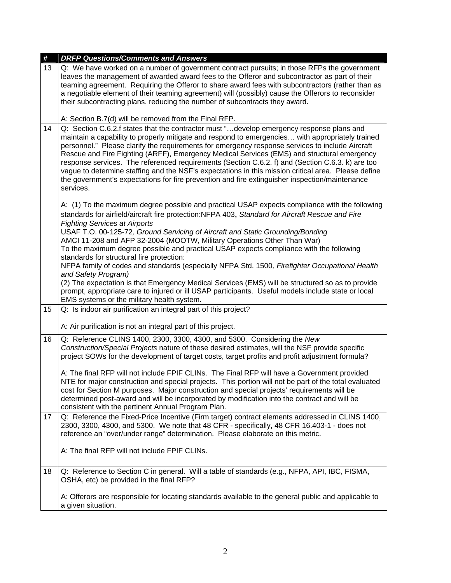| #  | <b>DRFP Questions/Comments and Answers</b>                                                                                                                                                                                                                                                                                                                                                                                                                                                                                                                                                                                                                                                                              |
|----|-------------------------------------------------------------------------------------------------------------------------------------------------------------------------------------------------------------------------------------------------------------------------------------------------------------------------------------------------------------------------------------------------------------------------------------------------------------------------------------------------------------------------------------------------------------------------------------------------------------------------------------------------------------------------------------------------------------------------|
| 13 | Q: We have worked on a number of government contract pursuits; in those RFPs the government<br>leaves the management of awarded award fees to the Offeror and subcontractor as part of their<br>teaming agreement. Requiring the Offeror to share award fees with subcontractors (rather than as<br>a negotiable element of their teaming agreement) will (possibly) cause the Offerors to reconsider<br>their subcontracting plans, reducing the number of subcontracts they award.                                                                                                                                                                                                                                    |
|    | A: Section B.7(d) will be removed from the Final RFP.                                                                                                                                                                                                                                                                                                                                                                                                                                                                                                                                                                                                                                                                   |
| 14 | Q: Section C.6.2.f states that the contractor must "develop emergency response plans and<br>maintain a capability to properly mitigate and respond to emergencies with appropriately trained<br>personnel." Please clarify the requirements for emergency response services to include Aircraft<br>Rescue and Fire Fighting (ARFF), Emergency Medical Services (EMS) and structural emergency<br>response services. The referenced requirements (Section C.6.2. f) and (Section C.6.3. k) are too<br>vague to determine staffing and the NSF's expectations in this mission critical area. Please define<br>the government's expectations for fire prevention and fire extinguisher inspection/maintenance<br>services. |
|    | A: (1) To the maximum degree possible and practical USAP expects compliance with the following                                                                                                                                                                                                                                                                                                                                                                                                                                                                                                                                                                                                                          |
|    | standards for airfield/aircraft fire protection:NFPA 403, Standard for Aircraft Rescue and Fire<br><b>Fighting Services at Airports</b>                                                                                                                                                                                                                                                                                                                                                                                                                                                                                                                                                                                 |
|    | USAF T.O. 00-125-72, Ground Servicing of Aircraft and Static Grounding/Bonding                                                                                                                                                                                                                                                                                                                                                                                                                                                                                                                                                                                                                                          |
|    | AMCI 11-208 and AFP 32-2004 (MOOTW, Military Operations Other Than War)<br>To the maximum degree possible and practical USAP expects compliance with the following                                                                                                                                                                                                                                                                                                                                                                                                                                                                                                                                                      |
|    | standards for structural fire protection:                                                                                                                                                                                                                                                                                                                                                                                                                                                                                                                                                                                                                                                                               |
|    | NFPA family of codes and standards (especially NFPA Std. 1500, Firefighter Occupational Health<br>and Safety Program)                                                                                                                                                                                                                                                                                                                                                                                                                                                                                                                                                                                                   |
|    | (2) The expectation is that Emergency Medical Services (EMS) will be structured so as to provide<br>prompt, appropriate care to injured or ill USAP participants. Useful models include state or local<br>EMS systems or the military health system.                                                                                                                                                                                                                                                                                                                                                                                                                                                                    |
| 15 | Q: Is indoor air purification an integral part of this project?                                                                                                                                                                                                                                                                                                                                                                                                                                                                                                                                                                                                                                                         |
|    | A: Air purification is not an integral part of this project.                                                                                                                                                                                                                                                                                                                                                                                                                                                                                                                                                                                                                                                            |
| 16 | Q: Reference CLINS 1400, 2300, 3300, 4300, and 5300. Considering the New<br>Construction/Special Projects nature of these desired estimates, will the NSF provide specific<br>project SOWs for the development of target costs, target profits and profit adjustment formula?                                                                                                                                                                                                                                                                                                                                                                                                                                           |
|    | A: The final RFP will not include FPIF CLINs. The Final RFP will have a Government provided<br>NTE for major construction and special projects. This portion will not be part of the total evaluated<br>cost for Section M purposes. Major construction and special projects' requirements will be<br>determined post-award and will be incorporated by modification into the contract and will be<br>consistent with the pertinent Annual Program Plan.                                                                                                                                                                                                                                                                |
| 17 | Q: Reference the Fixed-Price Incentive (Firm target) contract elements addressed in CLINS 1400,<br>2300, 3300, 4300, and 5300. We note that 48 CFR - specifically, 48 CFR 16.403-1 - does not<br>reference an "over/under range" determination. Please elaborate on this metric.                                                                                                                                                                                                                                                                                                                                                                                                                                        |
|    | A: The final RFP will not include FPIF CLINs.                                                                                                                                                                                                                                                                                                                                                                                                                                                                                                                                                                                                                                                                           |
| 18 | Q: Reference to Section C in general. Will a table of standards (e.g., NFPA, API, IBC, FISMA,<br>OSHA, etc) be provided in the final RFP?                                                                                                                                                                                                                                                                                                                                                                                                                                                                                                                                                                               |
|    | A: Offerors are responsible for locating standards available to the general public and applicable to<br>a given situation.                                                                                                                                                                                                                                                                                                                                                                                                                                                                                                                                                                                              |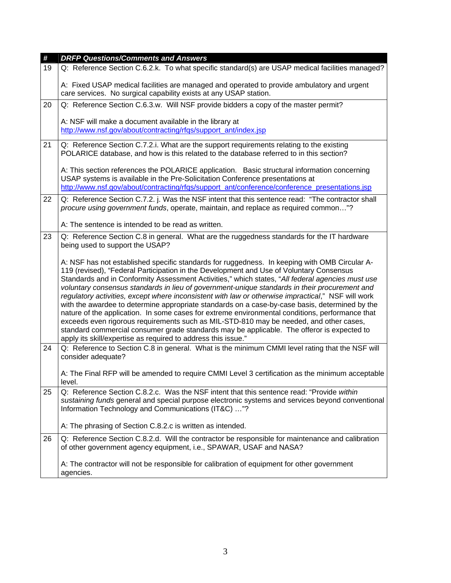| $\pmb{\#}$ | <b>DRFP Questions/Comments and Answers</b>                                                                                                                                                                                                                                                                                                                                                                                                                                                                                                                                                                                                                                                                                                                                                                                                                                                                                                                        |
|------------|-------------------------------------------------------------------------------------------------------------------------------------------------------------------------------------------------------------------------------------------------------------------------------------------------------------------------------------------------------------------------------------------------------------------------------------------------------------------------------------------------------------------------------------------------------------------------------------------------------------------------------------------------------------------------------------------------------------------------------------------------------------------------------------------------------------------------------------------------------------------------------------------------------------------------------------------------------------------|
| 19         | Q: Reference Section C.6.2.k. To what specific standard(s) are USAP medical facilities managed?                                                                                                                                                                                                                                                                                                                                                                                                                                                                                                                                                                                                                                                                                                                                                                                                                                                                   |
|            | A: Fixed USAP medical facilities are managed and operated to provide ambulatory and urgent<br>care services. No surgical capability exists at any USAP station.                                                                                                                                                                                                                                                                                                                                                                                                                                                                                                                                                                                                                                                                                                                                                                                                   |
| 20         | Q: Reference Section C.6.3.w. Will NSF provide bidders a copy of the master permit?                                                                                                                                                                                                                                                                                                                                                                                                                                                                                                                                                                                                                                                                                                                                                                                                                                                                               |
|            | A: NSF will make a document available in the library at<br>http://www.nsf.gov/about/contracting/rfqs/support_ant/index.jsp                                                                                                                                                                                                                                                                                                                                                                                                                                                                                                                                                                                                                                                                                                                                                                                                                                        |
| 21         | Q: Reference Section C.7.2.i. What are the support requirements relating to the existing<br>POLARICE database, and how is this related to the database referred to in this section?                                                                                                                                                                                                                                                                                                                                                                                                                                                                                                                                                                                                                                                                                                                                                                               |
|            | A: This section references the POLARICE application. Basic structural information concerning<br>USAP systems is available in the Pre-Solicitation Conference presentations at<br>http://www.nsf.gov/about/contracting/rfgs/support_ant/conference/conference_presentations.jsp                                                                                                                                                                                                                                                                                                                                                                                                                                                                                                                                                                                                                                                                                    |
| 22         | Q: Reference Section C.7.2. j. Was the NSF intent that this sentence read: "The contractor shall<br>procure using government funds, operate, maintain, and replace as required common"?                                                                                                                                                                                                                                                                                                                                                                                                                                                                                                                                                                                                                                                                                                                                                                           |
|            | A: The sentence is intended to be read as written.                                                                                                                                                                                                                                                                                                                                                                                                                                                                                                                                                                                                                                                                                                                                                                                                                                                                                                                |
| 23         | Q: Reference Section C.8 in general. What are the ruggedness standards for the IT hardware<br>being used to support the USAP?                                                                                                                                                                                                                                                                                                                                                                                                                                                                                                                                                                                                                                                                                                                                                                                                                                     |
|            | A: NSF has not established specific standards for ruggedness. In keeping with OMB Circular A-<br>119 (revised), "Federal Participation in the Development and Use of Voluntary Consensus<br>Standards and in Conformity Assessment Activities," which states, "All federal agencies must use<br>voluntary consensus standards in lieu of government-unique standards in their procurement and<br>regulatory activities, except where inconsistent with law or otherwise impractical," NSF will work<br>with the awardee to determine appropriate standards on a case-by-case basis, determined by the<br>nature of the application. In some cases for extreme environmental conditions, performance that<br>exceeds even rigorous requirements such as MIL-STD-810 may be needed, and other cases,<br>standard commercial consumer grade standards may be applicable. The offeror is expected to<br>apply its skill/expertise as required to address this issue." |
| 24         | Q: Reference to Section C.8 in general. What is the minimum CMMI level rating that the NSF will<br>consider adequate?                                                                                                                                                                                                                                                                                                                                                                                                                                                                                                                                                                                                                                                                                                                                                                                                                                             |
|            | A: The Final RFP will be amended to require CMMI Level 3 certification as the minimum acceptable<br>level.                                                                                                                                                                                                                                                                                                                                                                                                                                                                                                                                                                                                                                                                                                                                                                                                                                                        |
| 25         | Q: Reference Section C.8.2.c. Was the NSF intent that this sentence read: "Provide within<br>sustaining funds general and special purpose electronic systems and services beyond conventional<br>Information Technology and Communications (IT&C) "?                                                                                                                                                                                                                                                                                                                                                                                                                                                                                                                                                                                                                                                                                                              |
|            | A: The phrasing of Section C.8.2.c is written as intended.                                                                                                                                                                                                                                                                                                                                                                                                                                                                                                                                                                                                                                                                                                                                                                                                                                                                                                        |
| 26         | Q: Reference Section C.8.2.d. Will the contractor be responsible for maintenance and calibration<br>of other government agency equipment, i.e., SPAWAR, USAF and NASA?                                                                                                                                                                                                                                                                                                                                                                                                                                                                                                                                                                                                                                                                                                                                                                                            |
|            | A: The contractor will not be responsible for calibration of equipment for other government<br>agencies.                                                                                                                                                                                                                                                                                                                                                                                                                                                                                                                                                                                                                                                                                                                                                                                                                                                          |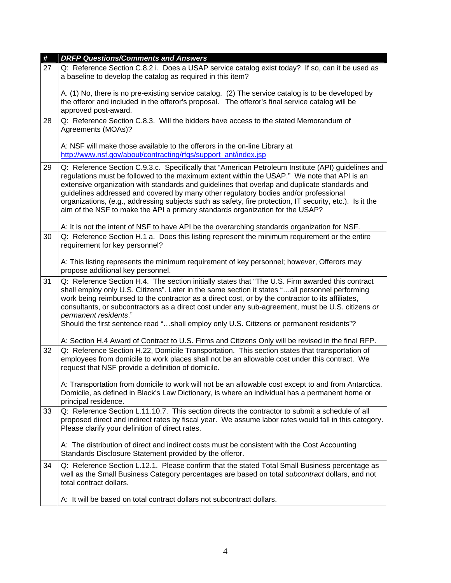| #  | <b>DRFP Questions/Comments and Answers</b>                                                                                                                                                                                                                                                                                                                                                                                                                                                                                                                                              |
|----|-----------------------------------------------------------------------------------------------------------------------------------------------------------------------------------------------------------------------------------------------------------------------------------------------------------------------------------------------------------------------------------------------------------------------------------------------------------------------------------------------------------------------------------------------------------------------------------------|
| 27 | Q: Reference Section C.8.2 i. Does a USAP service catalog exist today? If so, can it be used as<br>a baseline to develop the catalog as required in this item?                                                                                                                                                                                                                                                                                                                                                                                                                          |
|    | A. (1) No, there is no pre-existing service catalog. (2) The service catalog is to be developed by<br>the offeror and included in the offeror's proposal. The offeror's final service catalog will be<br>approved post-award.                                                                                                                                                                                                                                                                                                                                                           |
| 28 | Q: Reference Section C.8.3. Will the bidders have access to the stated Memorandum of<br>Agreements (MOAs)?                                                                                                                                                                                                                                                                                                                                                                                                                                                                              |
|    | A: NSF will make those available to the offerors in the on-line Library at<br>http://www.nsf.gov/about/contracting/rfqs/support_ant/index.jsp                                                                                                                                                                                                                                                                                                                                                                                                                                           |
| 29 | Q: Reference Section C.9.3.c. Specifically that "American Petroleum Institute (API) guidelines and<br>regulations must be followed to the maximum extent within the USAP." We note that API is an<br>extensive organization with standards and guidelines that overlap and duplicate standards and<br>guidelines addressed and covered by many other regulatory bodies and/or professional<br>organizations, (e.g., addressing subjects such as safety, fire protection, IT security, etc.). Is it the<br>aim of the NSF to make the API a primary standards organization for the USAP? |
| 30 | A: It is not the intent of NSF to have API be the overarching standards organization for NSF.<br>Q: Reference Section H.1 a. Does this listing represent the minimum requirement or the entire                                                                                                                                                                                                                                                                                                                                                                                          |
|    | requirement for key personnel?                                                                                                                                                                                                                                                                                                                                                                                                                                                                                                                                                          |
|    | A: This listing represents the minimum requirement of key personnel; however, Offerors may<br>propose additional key personnel.                                                                                                                                                                                                                                                                                                                                                                                                                                                         |
| 31 | Q: Reference Section H.4. The section initially states that "The U.S. Firm awarded this contract<br>shall employ only U.S. Citizens". Later in the same section it states "all personnel performing<br>work being reimbursed to the contractor as a direct cost, or by the contractor to its affiliates,<br>consultants, or subcontractors as a direct cost under any sub-agreement, must be U.S. citizens or<br>permanent residents."<br>Should the first sentence read "shall employ only U.S. Citizens or permanent residents"?                                                      |
|    | A: Section H.4 Award of Contract to U.S. Firms and Citizens Only will be revised in the final RFP.                                                                                                                                                                                                                                                                                                                                                                                                                                                                                      |
| 32 | Q: Reference Section H.22, Domicile Transportation. This section states that transportation of<br>employees from domicile to work places shall not be an allowable cost under this contract. We<br>request that NSF provide a definition of domicile.                                                                                                                                                                                                                                                                                                                                   |
|    | A: Transportation from domicile to work will not be an allowable cost except to and from Antarctica.<br>Domicile, as defined in Black's Law Dictionary, is where an individual has a permanent home or<br>principal residence.                                                                                                                                                                                                                                                                                                                                                          |
| 33 | Q: Reference Section L.11.10.7. This section directs the contractor to submit a schedule of all<br>proposed direct and indirect rates by fiscal year. We assume labor rates would fall in this category.<br>Please clarify your definition of direct rates.                                                                                                                                                                                                                                                                                                                             |
|    | A: The distribution of direct and indirect costs must be consistent with the Cost Accounting<br>Standards Disclosure Statement provided by the offeror.                                                                                                                                                                                                                                                                                                                                                                                                                                 |
| 34 | Q: Reference Section L.12.1. Please confirm that the stated Total Small Business percentage as<br>well as the Small Business Category percentages are based on total <i>subcontract</i> dollars, and not<br>total contract dollars.                                                                                                                                                                                                                                                                                                                                                     |
|    | A: It will be based on total contract dollars not subcontract dollars.                                                                                                                                                                                                                                                                                                                                                                                                                                                                                                                  |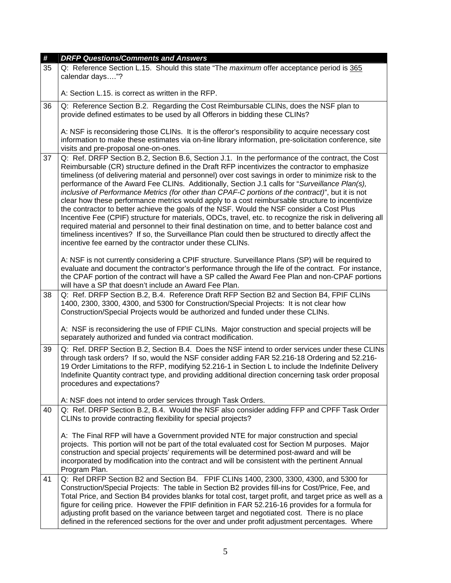| #  | <b>DRFP Questions/Comments and Answers</b>                                                                                                                                                                                                                                                                                                                                                                                                                                                                                                                                                                                                                                                                                                                                                                                                                                                                                                                                                                                                                                                             |
|----|--------------------------------------------------------------------------------------------------------------------------------------------------------------------------------------------------------------------------------------------------------------------------------------------------------------------------------------------------------------------------------------------------------------------------------------------------------------------------------------------------------------------------------------------------------------------------------------------------------------------------------------------------------------------------------------------------------------------------------------------------------------------------------------------------------------------------------------------------------------------------------------------------------------------------------------------------------------------------------------------------------------------------------------------------------------------------------------------------------|
| 35 | Q: Reference Section L.15. Should this state "The <i>maximum</i> offer acceptance period is 365<br>calendar days"?                                                                                                                                                                                                                                                                                                                                                                                                                                                                                                                                                                                                                                                                                                                                                                                                                                                                                                                                                                                     |
|    | A: Section L.15. is correct as written in the RFP.                                                                                                                                                                                                                                                                                                                                                                                                                                                                                                                                                                                                                                                                                                                                                                                                                                                                                                                                                                                                                                                     |
| 36 | Q: Reference Section B.2. Regarding the Cost Reimbursable CLINs, does the NSF plan to<br>provide defined estimates to be used by all Offerors in bidding these CLINs?                                                                                                                                                                                                                                                                                                                                                                                                                                                                                                                                                                                                                                                                                                                                                                                                                                                                                                                                  |
|    | A: NSF is reconsidering those CLINs. It is the offeror's responsibility to acquire necessary cost<br>information to make these estimates via on-line library information, pre-solicitation conference, site<br>visits and pre-proposal one-on-ones.                                                                                                                                                                                                                                                                                                                                                                                                                                                                                                                                                                                                                                                                                                                                                                                                                                                    |
| 37 | Q: Ref. DRFP Section B.2, Section B.6, Section J.1. In the performance of the contract, the Cost<br>Reimbursable (CR) structure defined in the Draft RFP incentivizes the contractor to emphasize<br>timeliness (of delivering material and personnel) over cost savings in order to minimize risk to the<br>performance of the Award Fee CLINs. Additionally, Section J.1 calls for "Surveillance Plan(s),<br>inclusive of Performance Metrics (for other than CPAF-C portions of the contract)", but it is not<br>clear how these performance metrics would apply to a cost reimbursable structure to incentivize<br>the contractor to better achieve the goals of the NSF. Would the NSF consider a Cost Plus<br>Incentive Fee (CPIF) structure for materials, ODCs, travel, etc. to recognize the risk in delivering all<br>required material and personnel to their final destination on time, and to better balance cost and<br>timeliness incentives? If so, the Surveillance Plan could then be structured to directly affect the<br>incentive fee earned by the contractor under these CLINs. |
|    | A: NSF is not currently considering a CPIF structure. Surveillance Plans (SP) will be required to<br>evaluate and document the contractor's performance through the life of the contract. For instance,<br>the CPAF portion of the contract will have a SP called the Award Fee Plan and non-CPAF portions<br>will have a SP that doesn't include an Award Fee Plan.                                                                                                                                                                                                                                                                                                                                                                                                                                                                                                                                                                                                                                                                                                                                   |
| 38 | Q: Ref. DRFP Section B.2, B.4. Reference Draft RFP Section B2 and Section B4, FPIF CLINs<br>1400, 2300, 3300, 4300, and 5300 for Construction/Special Projects: It is not clear how<br>Construction/Special Projects would be authorized and funded under these CLINs.                                                                                                                                                                                                                                                                                                                                                                                                                                                                                                                                                                                                                                                                                                                                                                                                                                 |
|    | A: NSF is reconsidering the use of FPIF CLINs. Major construction and special projects will be<br>separately authorized and funded via contract modification.                                                                                                                                                                                                                                                                                                                                                                                                                                                                                                                                                                                                                                                                                                                                                                                                                                                                                                                                          |
| 39 | Q: Ref. DRFP Section B.2, Section B.4. Does the NSF intend to order services under these CLINs<br>through task orders? If so, would the NSF consider adding FAR 52.216-18 Ordering and 52.216-<br>19 Order Limitations to the RFP, modifying 52.216-1 in Section L to include the Indefinite Delivery<br>Indefinite Quantity contract type, and providing additional direction concerning task order proposal<br>procedures and expectations?                                                                                                                                                                                                                                                                                                                                                                                                                                                                                                                                                                                                                                                          |
|    | A: NSF does not intend to order services through Task Orders.                                                                                                                                                                                                                                                                                                                                                                                                                                                                                                                                                                                                                                                                                                                                                                                                                                                                                                                                                                                                                                          |
| 40 | Q: Ref. DRFP Section B.2, B.4. Would the NSF also consider adding FFP and CPFF Task Order<br>CLINs to provide contracting flexibility for special projects?                                                                                                                                                                                                                                                                                                                                                                                                                                                                                                                                                                                                                                                                                                                                                                                                                                                                                                                                            |
|    | A: The Final RFP will have a Government provided NTE for major construction and special<br>projects. This portion will not be part of the total evaluated cost for Section M purposes. Major<br>construction and special projects' requirements will be determined post-award and will be<br>incorporated by modification into the contract and will be consistent with the pertinent Annual<br>Program Plan.                                                                                                                                                                                                                                                                                                                                                                                                                                                                                                                                                                                                                                                                                          |
| 41 | Q: Ref DRFP Section B2 and Section B4. FPIF CLINs 1400, 2300, 3300, 4300, and 5300 for<br>Construction/Special Projects: The table in Section B2 provides fill-ins for Cost/Price, Fee, and<br>Total Price, and Section B4 provides blanks for total cost, target profit, and target price as well as a<br>figure for ceiling price. However the FPIF definition in FAR 52.216-16 provides for a formula for<br>adjusting profit based on the variance between target and negotiated cost. There is no place<br>defined in the referenced sections for the over and under profit adjustment percentages. Where                                                                                                                                                                                                                                                                                                                                                                                                                                                                                         |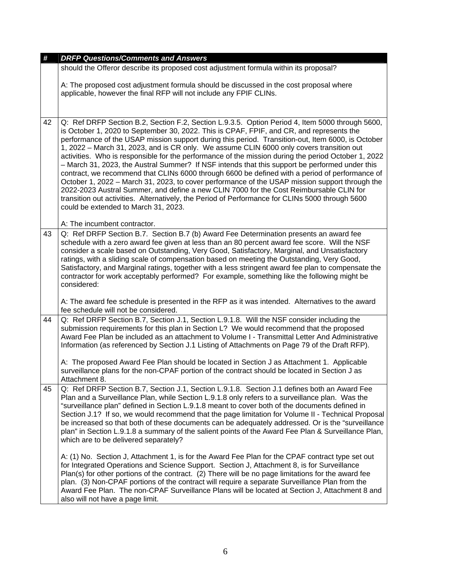| #  | <b>DRFP Questions/Comments and Answers</b><br>should the Offeror describe its proposed cost adjustment formula within its proposal?                                                                                                                                                                                                                                                                                                                                                                                                                                                                                                                                                                                                                                                                                                                                                                                                                                                                                                                                             |
|----|---------------------------------------------------------------------------------------------------------------------------------------------------------------------------------------------------------------------------------------------------------------------------------------------------------------------------------------------------------------------------------------------------------------------------------------------------------------------------------------------------------------------------------------------------------------------------------------------------------------------------------------------------------------------------------------------------------------------------------------------------------------------------------------------------------------------------------------------------------------------------------------------------------------------------------------------------------------------------------------------------------------------------------------------------------------------------------|
|    | A: The proposed cost adjustment formula should be discussed in the cost proposal where<br>applicable, however the final RFP will not include any FPIF CLINs.                                                                                                                                                                                                                                                                                                                                                                                                                                                                                                                                                                                                                                                                                                                                                                                                                                                                                                                    |
| 42 | Q: Ref DRFP Section B.2, Section F.2, Section L.9.3.5. Option Period 4, Item 5000 through 5600,<br>is October 1, 2020 to September 30, 2022. This is CPAF, FPIF, and CR, and represents the<br>performance of the USAP mission support during this period. Transition-out, Item 6000, is October<br>1, 2022 – March 31, 2023, and is CR only. We assume CLIN 6000 only covers transition out<br>activities. Who is responsible for the performance of the mission during the period October 1, 2022<br>- March 31, 2023, the Austral Summer? If NSF intends that this support be performed under this<br>contract, we recommend that CLINs 6000 through 6600 be defined with a period of performance of<br>October 1, 2022 – March 31, 2023, to cover performance of the USAP mission support through the<br>2022-2023 Austral Summer, and define a new CLIN 7000 for the Cost Reimbursable CLIN for<br>transition out activities. Alternatively, the Period of Performance for CLINs 5000 through 5600<br>could be extended to March 31, 2023.<br>A: The incumbent contractor. |
| 43 | Q: Ref DRFP Section B.7. Section B.7 (b) Award Fee Determination presents an award fee<br>schedule with a zero award fee given at less than an 80 percent award fee score. Will the NSF<br>consider a scale based on Outstanding, Very Good, Satisfactory, Marginal, and Unsatisfactory<br>ratings, with a sliding scale of compensation based on meeting the Outstanding, Very Good,<br>Satisfactory, and Marginal ratings, together with a less stringent award fee plan to compensate the<br>contractor for work acceptably performed? For example, something like the following might be<br>considered:<br>A: The award fee schedule is presented in the RFP as it was intended. Alternatives to the award                                                                                                                                                                                                                                                                                                                                                                  |
|    | fee schedule will not be considered.                                                                                                                                                                                                                                                                                                                                                                                                                                                                                                                                                                                                                                                                                                                                                                                                                                                                                                                                                                                                                                            |
| 44 | Q: Ref DRFP Section B.7, Section J.1, Section L.9.1.8. Will the NSF consider including the<br>submission requirements for this plan in Section L? We would recommend that the proposed<br>Award Fee Plan be included as an attachment to Volume I - Transmittal Letter And Administrative<br>Information (as referenced by Section J.1 Listing of Attachments on Page 79 of the Draft RFP).<br>A: The proposed Award Fee Plan should be located in Section J as Attachment 1. Applicable                                                                                                                                                                                                                                                                                                                                                                                                                                                                                                                                                                                        |
|    | surveillance plans for the non-CPAF portion of the contract should be located in Section J as<br>Attachment 8.                                                                                                                                                                                                                                                                                                                                                                                                                                                                                                                                                                                                                                                                                                                                                                                                                                                                                                                                                                  |
| 45 | Q: Ref DRFP Section B.7, Section J.1, Section L.9.1.8. Section J.1 defines both an Award Fee<br>Plan and a Surveillance Plan, while Section L.9.1.8 only refers to a surveillance plan. Was the<br>"surveillance plan" defined in Section L.9.1.8 meant to cover both of the documents defined in<br>Section J.1? If so, we would recommend that the page limitation for Volume II - Technical Proposal<br>be increased so that both of these documents can be adequately addressed. Or is the "surveillance"<br>plan" in Section L.9.1.8 a summary of the salient points of the Award Fee Plan & Surveillance Plan,<br>which are to be delivered separately?                                                                                                                                                                                                                                                                                                                                                                                                                   |
|    | A: (1) No. Section J, Attachment 1, is for the Award Fee Plan for the CPAF contract type set out<br>for Integrated Operations and Science Support. Section J, Attachment 8, is for Surveillance<br>Plan(s) for other portions of the contract. (2) There will be no page limitations for the award fee<br>plan. (3) Non-CPAF portions of the contract will require a separate Surveillance Plan from the<br>Award Fee Plan. The non-CPAF Surveillance Plans will be located at Section J, Attachment 8 and<br>also will not have a page limit.                                                                                                                                                                                                                                                                                                                                                                                                                                                                                                                                  |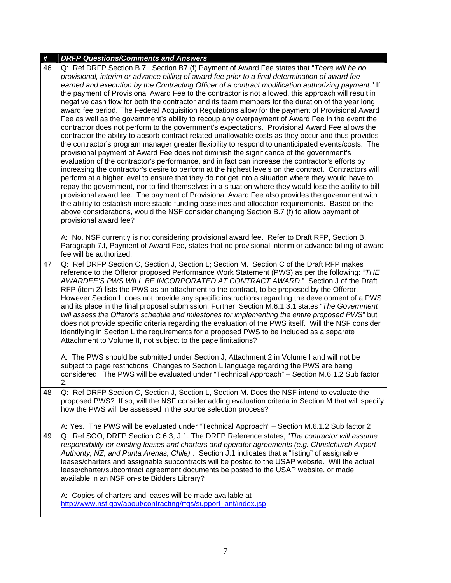| #  | <b>DRFP Questions/Comments and Answers</b>                                                                                                                                                                                                                                                                                                                                                                                                                                                                                                                                                                                                                                                                                                                                                                                                                                                                                                                                                                                                                                                                                                                                                                                                                                                                                                                                                                                                                                                                                                                                                                                                                                                                                                                                                                                                                                                                                                                                                  |
|----|---------------------------------------------------------------------------------------------------------------------------------------------------------------------------------------------------------------------------------------------------------------------------------------------------------------------------------------------------------------------------------------------------------------------------------------------------------------------------------------------------------------------------------------------------------------------------------------------------------------------------------------------------------------------------------------------------------------------------------------------------------------------------------------------------------------------------------------------------------------------------------------------------------------------------------------------------------------------------------------------------------------------------------------------------------------------------------------------------------------------------------------------------------------------------------------------------------------------------------------------------------------------------------------------------------------------------------------------------------------------------------------------------------------------------------------------------------------------------------------------------------------------------------------------------------------------------------------------------------------------------------------------------------------------------------------------------------------------------------------------------------------------------------------------------------------------------------------------------------------------------------------------------------------------------------------------------------------------------------------------|
| 46 | Q: Ref DRFP Section B.7. Section B7 (f) Payment of Award Fee states that "There will be no<br>provisional, interim or advance billing of award fee prior to a final determination of award fee<br>earned and execution by the Contracting Officer of a contract modification authorizing payment." If<br>the payment of Provisional Award Fee to the contractor is not allowed, this approach will result in<br>negative cash flow for both the contractor and its team members for the duration of the year long<br>award fee period. The Federal Acquisition Regulations allow for the payment of Provisional Award<br>Fee as well as the government's ability to recoup any overpayment of Award Fee in the event the<br>contractor does not perform to the government's expectations. Provisional Award Fee allows the<br>contractor the ability to absorb contract related unallowable costs as they occur and thus provides<br>the contractor's program manager greater flexibility to respond to unanticipated events/costs. The<br>provisional payment of Award Fee does not diminish the significance of the government's<br>evaluation of the contractor's performance, and in fact can increase the contractor's efforts by<br>increasing the contractor's desire to perform at the highest levels on the contract. Contractors will<br>perform at a higher level to ensure that they do not get into a situation where they would have to<br>repay the government, nor to find themselves in a situation where they would lose the ability to bill<br>provisional award fee. The payment of Provisional Award Fee also provides the government with<br>the ability to establish more stable funding baselines and allocation requirements. Based on the<br>above considerations, would the NSF consider changing Section B.7 (f) to allow payment of<br>provisional award fee?<br>A: No. NSF currently is not considering provisional award fee. Refer to Draft RFP, Section B, |
|    | Paragraph 7.f, Payment of Award Fee, states that no provisional interim or advance billing of award<br>fee will be authorized.                                                                                                                                                                                                                                                                                                                                                                                                                                                                                                                                                                                                                                                                                                                                                                                                                                                                                                                                                                                                                                                                                                                                                                                                                                                                                                                                                                                                                                                                                                                                                                                                                                                                                                                                                                                                                                                              |
| 47 | Q: Ref DRFP Section C, Section J, Section L; Section M. Section C of the Draft RFP makes<br>reference to the Offeror proposed Performance Work Statement (PWS) as per the following: "THE<br>AWARDEE'S PWS WILL BE INCORPORATED AT CONTRACT AWARD." Section J of the Draft<br>RFP (item 2) lists the PWS as an attachment to the contract, to be proposed by the Offeror.<br>However Section L does not provide any specific instructions regarding the development of a PWS<br>and its place in the final proposal submission. Further, Section M.6.1.3.1 states "The Government"<br>will assess the Offeror's schedule and milestones for implementing the entire proposed PWS" but<br>does not provide specific criteria regarding the evaluation of the PWS itself. Will the NSF consider<br>identifying in Section L the requirements for a proposed PWS to be included as a separate<br>Attachment to Volume II, not subject to the page limitations?                                                                                                                                                                                                                                                                                                                                                                                                                                                                                                                                                                                                                                                                                                                                                                                                                                                                                                                                                                                                                                 |
|    | A: The PWS should be submitted under Section J, Attachment 2 in Volume I and will not be<br>subject to page restrictions Changes to Section L language regarding the PWS are being<br>considered. The PWS will be evaluated under "Technical Approach" - Section M.6.1.2 Sub factor<br>2.                                                                                                                                                                                                                                                                                                                                                                                                                                                                                                                                                                                                                                                                                                                                                                                                                                                                                                                                                                                                                                                                                                                                                                                                                                                                                                                                                                                                                                                                                                                                                                                                                                                                                                   |
| 48 | Q: Ref DRFP Section C, Section J, Section L, Section M. Does the NSF intend to evaluate the<br>proposed PWS? If so, will the NSF consider adding evaluation criteria in Section M that will specify<br>how the PWS will be assessed in the source selection process?                                                                                                                                                                                                                                                                                                                                                                                                                                                                                                                                                                                                                                                                                                                                                                                                                                                                                                                                                                                                                                                                                                                                                                                                                                                                                                                                                                                                                                                                                                                                                                                                                                                                                                                        |
|    | A: Yes. The PWS will be evaluated under "Technical Approach" - Section M.6.1.2 Sub factor 2                                                                                                                                                                                                                                                                                                                                                                                                                                                                                                                                                                                                                                                                                                                                                                                                                                                                                                                                                                                                                                                                                                                                                                                                                                                                                                                                                                                                                                                                                                                                                                                                                                                                                                                                                                                                                                                                                                 |
| 49 | Q: Ref SOO, DRFP Section C.6.3, J.1. The DRFP Reference states, "The contractor will assume<br>responsibility for existing leases and charters and operator agreements (e.g. Christchurch Airport<br>Authority, NZ, and Punta Arenas, Chile)". Section J.1 indicates that a "listing" of assignable<br>leases/charters and assignable subcontracts will be posted to the USAP website. Will the actual<br>lease/charter/subcontract agreement documents be posted to the USAP website, or made<br>available in an NSF on-site Bidders Library?                                                                                                                                                                                                                                                                                                                                                                                                                                                                                                                                                                                                                                                                                                                                                                                                                                                                                                                                                                                                                                                                                                                                                                                                                                                                                                                                                                                                                                              |
|    | A: Copies of charters and leases will be made available at<br>http://www.nsf.gov/about/contracting/rfgs/support_ant/index.jsp                                                                                                                                                                                                                                                                                                                                                                                                                                                                                                                                                                                                                                                                                                                                                                                                                                                                                                                                                                                                                                                                                                                                                                                                                                                                                                                                                                                                                                                                                                                                                                                                                                                                                                                                                                                                                                                               |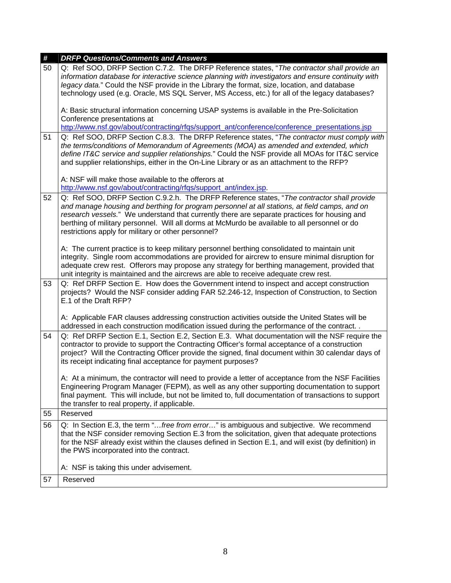| #  | <b>DRFP Questions/Comments and Answers</b>                                                                                                                                                                  |
|----|-------------------------------------------------------------------------------------------------------------------------------------------------------------------------------------------------------------|
| 50 | Q: Ref SOO, DRFP Section C.7.2. The DRFP Reference states, "The contractor shall provide an<br>information database for interactive science planning with investigators and ensure continuity with          |
|    | legacy data." Could the NSF provide in the Library the format, size, location, and database                                                                                                                 |
|    | technology used (e.g. Oracle, MS SQL Server, MS Access, etc.) for all of the legacy databases?                                                                                                              |
|    |                                                                                                                                                                                                             |
|    | A: Basic structural information concerning USAP systems is available in the Pre-Solicitation                                                                                                                |
|    | Conference presentations at<br>http://www.nsf.gov/about/contracting/rfgs/support_ant/conference/conference_presentations.jsp                                                                                |
| 51 | Q: Ref SOO, DRFP Section C.8.3. The DRFP Reference states, "The contractor must comply with                                                                                                                 |
|    | the terms/conditions of Memorandum of Agreements (MOA) as amended and extended, which                                                                                                                       |
|    | define IT&C service and supplier relationships." Could the NSF provide all MOAs for IT&C service                                                                                                            |
|    | and supplier relationships, either in the On-Line Library or as an attachment to the RFP?                                                                                                                   |
|    | A: NSF will make those available to the offerors at                                                                                                                                                         |
|    | http://www.nsf.gov/about/contracting/rfqs/support_ant/index.jsp.                                                                                                                                            |
| 52 | Q: Ref SOO, DRFP Section C.9.2.h. The DRFP Reference states, "The contractor shall provide                                                                                                                  |
|    | and manage housing and berthing for program personnel at all stations, at field camps, and on                                                                                                               |
|    | research vessels." We understand that currently there are separate practices for housing and                                                                                                                |
|    | berthing of military personnel. Will all dorms at McMurdo be available to all personnel or do                                                                                                               |
|    | restrictions apply for military or other personnel?                                                                                                                                                         |
|    | A: The current practice is to keep military personnel berthing consolidated to maintain unit                                                                                                                |
|    | integrity. Single room accommodations are provided for aircrew to ensure minimal disruption for                                                                                                             |
|    | adequate crew rest. Offerors may propose any strategy for berthing management, provided that                                                                                                                |
|    | unit integrity is maintained and the aircrews are able to receive adequate crew rest.                                                                                                                       |
| 53 | Q: Ref DRFP Section E. How does the Government intend to inspect and accept construction                                                                                                                    |
|    | projects? Would the NSF consider adding FAR 52.246-12, Inspection of Construction, to Section<br>E.1 of the Draft RFP?                                                                                      |
|    |                                                                                                                                                                                                             |
|    | A: Applicable FAR clauses addressing construction activities outside the United States will be                                                                                                              |
|    | addressed in each construction modification issued during the performance of the contract                                                                                                                   |
| 54 | Q: Ref DRFP Section E.1, Section E.2, Section E.3. What documentation will the NSF require the                                                                                                              |
|    | contractor to provide to support the Contracting Officer's formal acceptance of a construction                                                                                                              |
|    | project? Will the Contracting Officer provide the signed, final document within 30 calendar days of                                                                                                         |
|    | its receipt indicating final acceptance for payment purposes?                                                                                                                                               |
|    | A: At a minimum, the contractor will need to provide a letter of acceptance from the NSF Facilities                                                                                                         |
|    | Engineering Program Manager (FEPM), as well as any other supporting documentation to support                                                                                                                |
|    | final payment. This will include, but not be limited to, full documentation of transactions to support                                                                                                      |
|    | the transfer to real property, if applicable.                                                                                                                                                               |
| 55 | Reserved                                                                                                                                                                                                    |
| 56 | Q: In Section E.3, the term "free from error" is ambiguous and subjective. We recommend                                                                                                                     |
|    | that the NSF consider removing Section E.3 from the solicitation, given that adequate protections<br>for the NSF already exist within the clauses defined in Section E.1, and will exist (by definition) in |
|    | the PWS incorporated into the contract.                                                                                                                                                                     |
|    |                                                                                                                                                                                                             |
|    | A: NSF is taking this under advisement.                                                                                                                                                                     |
| 57 | Reserved                                                                                                                                                                                                    |
|    |                                                                                                                                                                                                             |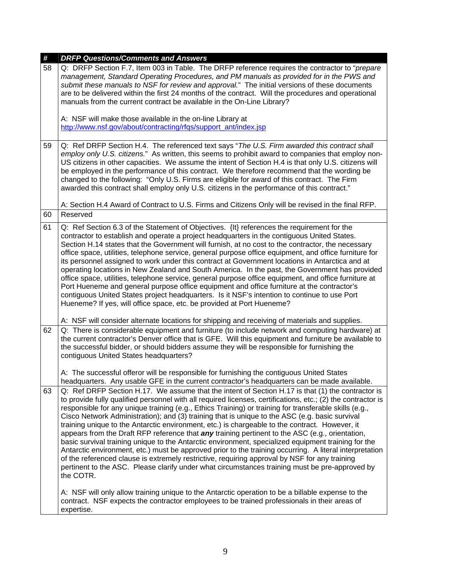| $\pmb{\#}$ | <b>DRFP Questions/Comments and Answers</b>                                                                                                                                                                                                                                                                                                                                                                                                                                                                                                                                                                                                                                                                                                                                                                                                                                                                                                                                                                                                                                  |
|------------|-----------------------------------------------------------------------------------------------------------------------------------------------------------------------------------------------------------------------------------------------------------------------------------------------------------------------------------------------------------------------------------------------------------------------------------------------------------------------------------------------------------------------------------------------------------------------------------------------------------------------------------------------------------------------------------------------------------------------------------------------------------------------------------------------------------------------------------------------------------------------------------------------------------------------------------------------------------------------------------------------------------------------------------------------------------------------------|
| 58         | Q: DRFP Section F.7, Item 003 in Table. The DRFP reference requires the contractor to "prepare"<br>management, Standard Operating Procedures, and PM manuals as provided for in the PWS and<br>submit these manuals to NSF for review and approval." The initial versions of these documents<br>are to be delivered within the first 24 months of the contract. Will the procedures and operational<br>manuals from the current contract be available in the On-Line Library?                                                                                                                                                                                                                                                                                                                                                                                                                                                                                                                                                                                               |
|            | A: NSF will make those available in the on-line Library at<br>http://www.nsf.gov/about/contracting/rfqs/support_ant/index.jsp                                                                                                                                                                                                                                                                                                                                                                                                                                                                                                                                                                                                                                                                                                                                                                                                                                                                                                                                               |
| 59         | Q: Ref DRFP Section H.4. The referenced text says "The U.S. Firm awarded this contract shall<br>employ only U.S. citizens." As written, this seems to prohibit award to companies that employ non-<br>US citizens in other capacities. We assume the intent of Section H.4 is that only U.S. citizens will<br>be employed in the performance of this contract. We therefore recommend that the wording be<br>changed to the following: "Only U.S. Firms are eligible for award of this contract. The Firm<br>awarded this contract shall employ only U.S. citizens in the performance of this contract."                                                                                                                                                                                                                                                                                                                                                                                                                                                                    |
|            | A: Section H.4 Award of Contract to U.S. Firms and Citizens Only will be revised in the final RFP.                                                                                                                                                                                                                                                                                                                                                                                                                                                                                                                                                                                                                                                                                                                                                                                                                                                                                                                                                                          |
| 60         | Reserved                                                                                                                                                                                                                                                                                                                                                                                                                                                                                                                                                                                                                                                                                                                                                                                                                                                                                                                                                                                                                                                                    |
| 61         | Q: Ref Section 6.3 of the Statement of Objectives. {It} references the requirement for the<br>contractor to establish and operate a project headquarters in the contiguous United States.<br>Section H.14 states that the Government will furnish, at no cost to the contractor, the necessary<br>office space, utilities, telephone service, general purpose office equipment, and office furniture for<br>its personnel assigned to work under this contract at Government locations in Antarctica and at<br>operating locations in New Zealand and South America. In the past, the Government has provided<br>office space, utilities, telephone service, general purpose office equipment, and office furniture at<br>Port Hueneme and general purpose office equipment and office furniture at the contractor's<br>contiguous United States project headquarters. Is it NSF's intention to continue to use Port<br>Hueneme? If yes, will office space, etc. be provided at Port Hueneme?                                                                               |
|            | A: NSF will consider alternate locations for shipping and receiving of materials and supplies.                                                                                                                                                                                                                                                                                                                                                                                                                                                                                                                                                                                                                                                                                                                                                                                                                                                                                                                                                                              |
| 62         | Q: There is considerable equipment and furniture (to include network and computing hardware) at<br>the current contractor's Denver office that is GFE. Will this equipment and furniture be available to<br>the successful bidder, or should bidders assume they will be responsible for furnishing the<br>contiguous United States headquarters?<br>A: The successful offeror will be responsible for furnishing the contiguous United States<br>headquarters. Any usable GFE in the current contractor's headquarters can be made available.                                                                                                                                                                                                                                                                                                                                                                                                                                                                                                                              |
| 63         | Q: Ref DRFP Section H.17. We assume that the intent of Section H.17 is that (1) the contractor is<br>to provide fully qualified personnel with all required licenses, certifications, etc.; (2) the contractor is<br>responsible for any unique training (e.g., Ethics Training) or training for transferable skills (e.g.,<br>Cisco Network Administration); and (3) training that is unique to the ASC (e.g. basic survival<br>training unique to the Antarctic environment, etc.) is chargeable to the contract. However, it<br>appears from the Draft RFP reference that <i>any</i> training pertinent to the ASC (e.g., orientation,<br>basic survival training unique to the Antarctic environment, specialized equipment training for the<br>Antarctic environment, etc.) must be approved prior to the training occurring. A literal interpretation<br>of the referenced clause is extremely restrictive, requiring approval by NSF for any training<br>pertinent to the ASC. Please clarify under what circumstances training must be pre-approved by<br>the COTR. |
|            | A: NSF will only allow training unique to the Antarctic operation to be a billable expense to the<br>contract. NSF expects the contractor employees to be trained professionals in their areas of<br>expertise.                                                                                                                                                                                                                                                                                                                                                                                                                                                                                                                                                                                                                                                                                                                                                                                                                                                             |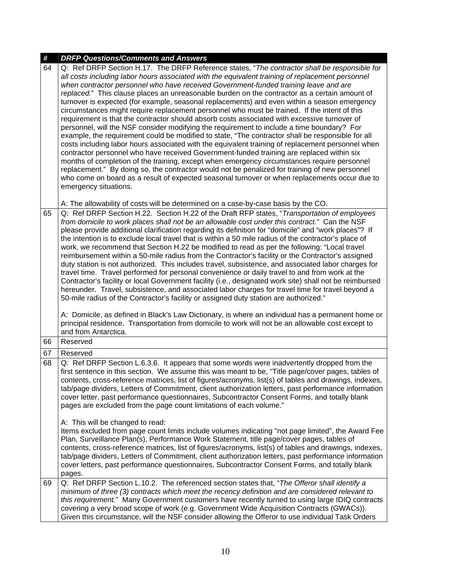| $\pmb{\#}$ | <b>DRFP Questions/Comments and Answers</b>                                                                                                                                                                                                                                                                                                                                                                                                                                                                                                                                                                                                                                                                                                                                                                                                                                                                                                                                                                                                                                                                                                                                                                                                                                                                                                                                                                                 |
|------------|----------------------------------------------------------------------------------------------------------------------------------------------------------------------------------------------------------------------------------------------------------------------------------------------------------------------------------------------------------------------------------------------------------------------------------------------------------------------------------------------------------------------------------------------------------------------------------------------------------------------------------------------------------------------------------------------------------------------------------------------------------------------------------------------------------------------------------------------------------------------------------------------------------------------------------------------------------------------------------------------------------------------------------------------------------------------------------------------------------------------------------------------------------------------------------------------------------------------------------------------------------------------------------------------------------------------------------------------------------------------------------------------------------------------------|
| 64         | Q: Ref DRFP Section H.17. The DRFP Reference states, "The contractor shall be responsible for<br>all costs including labor hours associated with the equivalent training of replacement personnel<br>when contractor personnel who have received Government-funded training leave and are<br>replaced." This clause places an unreasonable burden on the contractor as a certain amount of<br>turnover is expected (for example, seasonal replacements) and even within a season emergency<br>circumstances might require replacement personnel who must be trained. If the intent of this<br>requirement is that the contractor should absorb costs associated with excessive turnover of<br>personnel, will the NSF consider modifying the requirement to include a time boundary? For<br>example, the requirement could be modified to state, "The contractor shall be responsible for all<br>costs including labor hours associated with the equivalent training of replacement personnel when<br>contractor personnel who have received Government-funded training are replaced within six<br>months of completion of the training, except when emergency circumstances require personnel<br>replacement." By doing so, the contractor would not be penalized for training of new personnel<br>who come on board as a result of expected seasonal turnover or when replacements occur due to<br>emergency situations. |
| 65         | A: The allowability of costs will be determined on a case-by-case basis by the CO.<br>Q: Ref DRFP Section H.22. Section H.22 of the Draft RFP states, "Transportation of employees                                                                                                                                                                                                                                                                                                                                                                                                                                                                                                                                                                                                                                                                                                                                                                                                                                                                                                                                                                                                                                                                                                                                                                                                                                         |
|            | from domicile to work places shall not be an allowable cost under this contract." Can the NSF<br>please provide additional clarification regarding its definition for "domicile" and "work places"? If<br>the intention is to exclude local travel that is within a 50 mile radius of the contractor's place of<br>work, we recommend that Section H.22 be modified to read as per the following: "Local travel<br>reimbursement within a 50-mile radius from the Contractor's facility or the Contractor's assigned<br>duty station is not authorized. This includes travel, subsistence, and associated labor charges for<br>travel time. Travel performed for personal convenience or daily travel to and from work at the<br>Contractor's facility or local Government facility (i.e., designated work site) shall not be reimbursed<br>hereunder. Travel, subsistence, and associated labor charges for travel time for travel beyond a<br>50-mile radius of the Contractor's facility or assigned duty station are authorized."<br>A: Domicile, as defined in Black's Law Dictionary, is where an individual has a permanent home or<br>principal residence. Transportation from domicile to work will not be an allowable cost except to<br>and from Antarctica.                                                                                                                                                    |
| 66         | Reserved                                                                                                                                                                                                                                                                                                                                                                                                                                                                                                                                                                                                                                                                                                                                                                                                                                                                                                                                                                                                                                                                                                                                                                                                                                                                                                                                                                                                                   |
| 67         | Reserved                                                                                                                                                                                                                                                                                                                                                                                                                                                                                                                                                                                                                                                                                                                                                                                                                                                                                                                                                                                                                                                                                                                                                                                                                                                                                                                                                                                                                   |
| 68         | Q: Ref DRFP Section L.6.3.6. It appears that some words were inadvertently dropped from the<br>first sentence in this section. We assume this was meant to be, "Title page/cover pages, tables of<br>contents, cross-reference matrices, list of figures/acronyms, list(s) of tables and drawings, indexes,<br>tab/page dividers, Letters of Commitment, client authorization letters, past performance information<br>cover letter, past performance questionnaires, Subcontractor Consent Forms, and totally blank<br>pages are excluded from the page count limitations of each volume."<br>A: This will be changed to read:                                                                                                                                                                                                                                                                                                                                                                                                                                                                                                                                                                                                                                                                                                                                                                                            |
|            | Items excluded from page count limits include volumes indicating "not page limited", the Award Fee<br>Plan, Surveillance Plan(s), Performance Work Statement, title page/cover pages, tables of<br>contents, cross-reference matrices, list of figures/acronyms, list(s) of tables and drawings, indexes,<br>tab/page dividers, Letters of Commitment, client authorization letters, past performance information<br>cover letters, past performance questionnaires, Subcontractor Consent Forms, and totally blank<br>pages.                                                                                                                                                                                                                                                                                                                                                                                                                                                                                                                                                                                                                                                                                                                                                                                                                                                                                              |
| 69         | Q: Ref DRFP Section L.10.2. The referenced section states that, "The Offeror shall identify a                                                                                                                                                                                                                                                                                                                                                                                                                                                                                                                                                                                                                                                                                                                                                                                                                                                                                                                                                                                                                                                                                                                                                                                                                                                                                                                              |
|            | minimum of three (3) contracts which meet the recency definition and are considered relevant to<br>this requirement." Many Government customers have recently turned to using large IDIQ contracts<br>covering a very broad scope of work (e.g. Government Wide Acquisition Contracts (GWACs)).<br>Given this circumstance, will the NSF consider allowing the Offeror to use individual Task Orders                                                                                                                                                                                                                                                                                                                                                                                                                                                                                                                                                                                                                                                                                                                                                                                                                                                                                                                                                                                                                       |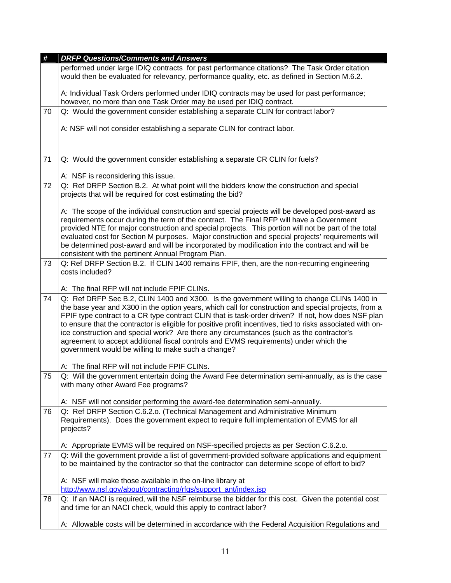| #  | <b>DRFP Questions/Comments and Answers</b>                                                                                                                                                                                                                                                                                                                                                                                                                                                                                                                                                                                                                         |
|----|--------------------------------------------------------------------------------------------------------------------------------------------------------------------------------------------------------------------------------------------------------------------------------------------------------------------------------------------------------------------------------------------------------------------------------------------------------------------------------------------------------------------------------------------------------------------------------------------------------------------------------------------------------------------|
|    | performed under large IDIQ contracts for past performance citations? The Task Order citation<br>would then be evaluated for relevancy, performance quality, etc. as defined in Section M.6.2.                                                                                                                                                                                                                                                                                                                                                                                                                                                                      |
|    | A: Individual Task Orders performed under IDIQ contracts may be used for past performance;<br>however, no more than one Task Order may be used per IDIQ contract.                                                                                                                                                                                                                                                                                                                                                                                                                                                                                                  |
| 70 | Q: Would the government consider establishing a separate CLIN for contract labor?                                                                                                                                                                                                                                                                                                                                                                                                                                                                                                                                                                                  |
|    | A: NSF will not consider establishing a separate CLIN for contract labor.                                                                                                                                                                                                                                                                                                                                                                                                                                                                                                                                                                                          |
| 71 | Q: Would the government consider establishing a separate CR CLIN for fuels?                                                                                                                                                                                                                                                                                                                                                                                                                                                                                                                                                                                        |
|    |                                                                                                                                                                                                                                                                                                                                                                                                                                                                                                                                                                                                                                                                    |
| 72 | A: NSF is reconsidering this issue.                                                                                                                                                                                                                                                                                                                                                                                                                                                                                                                                                                                                                                |
|    | Q: Ref DRFP Section B.2. At what point will the bidders know the construction and special<br>projects that will be required for cost estimating the bid?                                                                                                                                                                                                                                                                                                                                                                                                                                                                                                           |
|    | A: The scope of the individual construction and special projects will be developed post-award as<br>requirements occur during the term of the contract. The Final RFP will have a Government<br>provided NTE for major construction and special projects. This portion will not be part of the total<br>evaluated cost for Section M purposes. Major construction and special projects' requirements will<br>be determined post-award and will be incorporated by modification into the contract and will be<br>consistent with the pertinent Annual Program Plan.                                                                                                 |
| 73 | Q: Ref DRFP Section B.2. If CLIN 1400 remains FPIF, then, are the non-recurring engineering                                                                                                                                                                                                                                                                                                                                                                                                                                                                                                                                                                        |
|    | costs included?                                                                                                                                                                                                                                                                                                                                                                                                                                                                                                                                                                                                                                                    |
|    | A: The final RFP will not include FPIF CLINs.                                                                                                                                                                                                                                                                                                                                                                                                                                                                                                                                                                                                                      |
| 74 | Q: Ref DRFP Sec B.2, CLIN 1400 and X300. Is the government willing to change CLINs 1400 in<br>the base year and X300 in the option years, which call for construction and special projects, from a<br>FPIF type contract to a CR type contract CLIN that is task-order driven? If not, how does NSF plan<br>to ensure that the contractor is eligible for positive profit incentives, tied to risks associated with on-<br>ice construction and special work? Are there any circumstances (such as the contractor's<br>agreement to accept additional fiscal controls and EVMS requirements) under which the<br>government would be willing to make such a change? |
|    | A: The final RFP will not include FPIF CLINs.                                                                                                                                                                                                                                                                                                                                                                                                                                                                                                                                                                                                                      |
| 75 | Q: Will the government entertain doing the Award Fee determination semi-annually, as is the case<br>with many other Award Fee programs?                                                                                                                                                                                                                                                                                                                                                                                                                                                                                                                            |
|    | A: NSF will not consider performing the award-fee determination semi-annually.                                                                                                                                                                                                                                                                                                                                                                                                                                                                                                                                                                                     |
| 76 | Q: Ref DRFP Section C.6.2.o. (Technical Management and Administrative Minimum<br>Requirements). Does the government expect to require full implementation of EVMS for all<br>projects?                                                                                                                                                                                                                                                                                                                                                                                                                                                                             |
|    | A: Appropriate EVMS will be required on NSF-specified projects as per Section C.6.2.o.                                                                                                                                                                                                                                                                                                                                                                                                                                                                                                                                                                             |
| 77 | Q: Will the government provide a list of government-provided software applications and equipment<br>to be maintained by the contractor so that the contractor can determine scope of effort to bid?                                                                                                                                                                                                                                                                                                                                                                                                                                                                |
|    | A: NSF will make those available in the on-line library at                                                                                                                                                                                                                                                                                                                                                                                                                                                                                                                                                                                                         |
|    | http://www.nsf.gov/about/contracting/rfqs/support_ant/index.jsp                                                                                                                                                                                                                                                                                                                                                                                                                                                                                                                                                                                                    |
| 78 | Q: If an NACI is required, will the NSF reimburse the bidder for this cost. Given the potential cost<br>and time for an NACI check, would this apply to contract labor?                                                                                                                                                                                                                                                                                                                                                                                                                                                                                            |
|    | A: Allowable costs will be determined in accordance with the Federal Acquisition Regulations and                                                                                                                                                                                                                                                                                                                                                                                                                                                                                                                                                                   |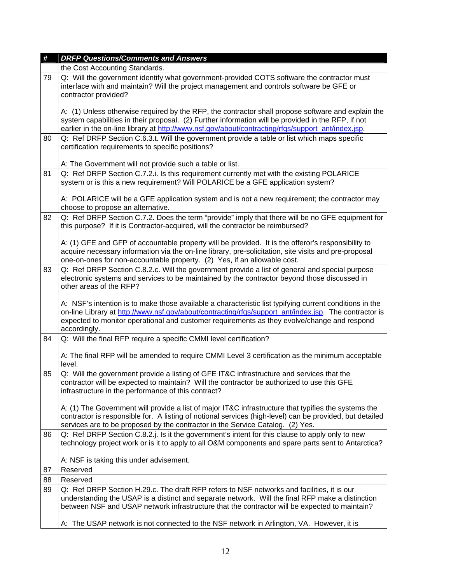| #  | <b>DRFP Questions/Comments and Answers</b>                                                                                                                                                                                                                                                                                      |
|----|---------------------------------------------------------------------------------------------------------------------------------------------------------------------------------------------------------------------------------------------------------------------------------------------------------------------------------|
|    | the Cost Accounting Standards.                                                                                                                                                                                                                                                                                                  |
| 79 | Q: Will the government identify what government-provided COTS software the contractor must<br>interface with and maintain? Will the project management and controls software be GFE or<br>contractor provided?                                                                                                                  |
|    | A: (1) Unless otherwise required by the RFP, the contractor shall propose software and explain the<br>system capabilities in their proposal. (2) Further information will be provided in the RFP, if not<br>earlier in the on-line library at http://www.nsf.gov/about/contracting/rfqs/support_ant/index.jsp.                  |
| 80 | Q: Ref DRFP Section C.6.3.t. Will the government provide a table or list which maps specific<br>certification requirements to specific positions?                                                                                                                                                                               |
|    | A: The Government will not provide such a table or list.                                                                                                                                                                                                                                                                        |
| 81 | Q: Ref DRFP Section C.7.2.i. Is this requirement currently met with the existing POLARICE<br>system or is this a new requirement? Will POLARICE be a GFE application system?                                                                                                                                                    |
|    | A: POLARICE will be a GFE application system and is not a new requirement; the contractor may<br>choose to propose an alternative.                                                                                                                                                                                              |
| 82 | Q: Ref DRFP Section C.7.2. Does the term "provide" imply that there will be no GFE equipment for<br>this purpose? If it is Contractor-acquired, will the contractor be reimbursed?                                                                                                                                              |
|    | A: (1) GFE and GFP of accountable property will be provided. It is the offeror's responsibility to<br>acquire necessary information via the on-line library, pre-solicitation, site visits and pre-proposal<br>one-on-ones for non-accountable property. (2) Yes, if an allowable cost.                                         |
| 83 | Q: Ref DRFP Section C.8.2.c. Will the government provide a list of general and special purpose<br>electronic systems and services to be maintained by the contractor beyond those discussed in<br>other areas of the RFP?                                                                                                       |
|    | A: NSF's intention is to make those available a characteristic list typifying current conditions in the<br>on-line Library at http://www.nsf.gov/about/contracting/rfqs/support_ant/index.jsp. The contractor is<br>expected to monitor operational and customer requirements as they evolve/change and respond<br>accordingly. |
| 84 | Q: Will the final RFP require a specific CMMI level certification?                                                                                                                                                                                                                                                              |
|    | A: The final RFP will be amended to require CMMI Level 3 certification as the minimum acceptable<br>level.                                                                                                                                                                                                                      |
| 85 | Q: Will the government provide a listing of GFE IT&C infrastructure and services that the<br>contractor will be expected to maintain? Will the contractor be authorized to use this GFE<br>infrastructure in the performance of this contract?                                                                                  |
|    | A: (1) The Government will provide a list of major IT&C infrastructure that typifies the systems the<br>contractor is responsible for. A listing of notional services (high-level) can be provided, but detailed<br>services are to be proposed by the contractor in the Service Catalog. (2) Yes.                              |
| 86 | Q: Ref DRFP Section C.8.2.j. Is it the government's intent for this clause to apply only to new<br>technology project work or is it to apply to all O&M components and spare parts sent to Antarctica?                                                                                                                          |
|    | A: NSF is taking this under advisement.                                                                                                                                                                                                                                                                                         |
| 87 | Reserved                                                                                                                                                                                                                                                                                                                        |
| 88 | Reserved                                                                                                                                                                                                                                                                                                                        |
| 89 | Q: Ref DRFP Section H.29.c. The draft RFP refers to NSF networks and facilities, it is our<br>understanding the USAP is a distinct and separate network. Will the final RFP make a distinction<br>between NSF and USAP network infrastructure that the contractor will be expected to maintain?                                 |
|    | A: The USAP network is not connected to the NSF network in Arlington, VA. However, it is                                                                                                                                                                                                                                        |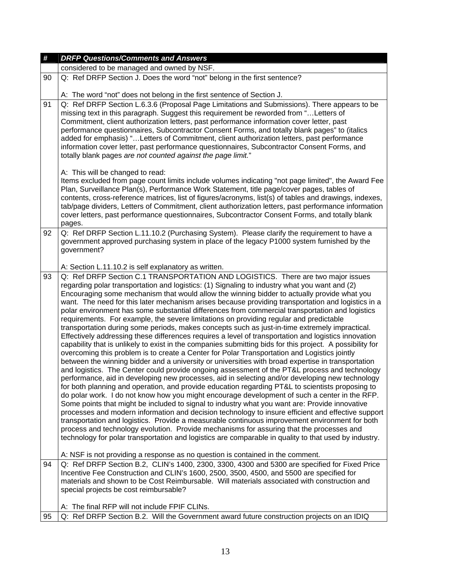| #  | <b>DRFP Questions/Comments and Answers</b>                                                                                                                                                                                                                                                                                                                                                                                                                                                                                                                                                                                                                                                                                                                                                                                                                                                                                                                                                                                                                                                                                                                                                                                                                                                                                                                                                                                                                                                                                                                                                                                                                                                                                                                                                                                                                                                                                                                                                                                               |
|----|------------------------------------------------------------------------------------------------------------------------------------------------------------------------------------------------------------------------------------------------------------------------------------------------------------------------------------------------------------------------------------------------------------------------------------------------------------------------------------------------------------------------------------------------------------------------------------------------------------------------------------------------------------------------------------------------------------------------------------------------------------------------------------------------------------------------------------------------------------------------------------------------------------------------------------------------------------------------------------------------------------------------------------------------------------------------------------------------------------------------------------------------------------------------------------------------------------------------------------------------------------------------------------------------------------------------------------------------------------------------------------------------------------------------------------------------------------------------------------------------------------------------------------------------------------------------------------------------------------------------------------------------------------------------------------------------------------------------------------------------------------------------------------------------------------------------------------------------------------------------------------------------------------------------------------------------------------------------------------------------------------------------------------------|
|    | considered to be managed and owned by NSF.                                                                                                                                                                                                                                                                                                                                                                                                                                                                                                                                                                                                                                                                                                                                                                                                                                                                                                                                                                                                                                                                                                                                                                                                                                                                                                                                                                                                                                                                                                                                                                                                                                                                                                                                                                                                                                                                                                                                                                                               |
| 90 | Q: Ref DRFP Section J. Does the word "not" belong in the first sentence?                                                                                                                                                                                                                                                                                                                                                                                                                                                                                                                                                                                                                                                                                                                                                                                                                                                                                                                                                                                                                                                                                                                                                                                                                                                                                                                                                                                                                                                                                                                                                                                                                                                                                                                                                                                                                                                                                                                                                                 |
|    | A: The word "not" does not belong in the first sentence of Section J.                                                                                                                                                                                                                                                                                                                                                                                                                                                                                                                                                                                                                                                                                                                                                                                                                                                                                                                                                                                                                                                                                                                                                                                                                                                                                                                                                                                                                                                                                                                                                                                                                                                                                                                                                                                                                                                                                                                                                                    |
| 91 | Q: Ref DRFP Section L.6.3.6 (Proposal Page Limitations and Submissions). There appears to be<br>missing text in this paragraph. Suggest this requirement be reworded from " Letters of<br>Commitment, client authorization letters, past performance information cover letter, past<br>performance questionnaires, Subcontractor Consent Forms, and totally blank pages" to (italics<br>added for emphasis) "Letters of Commitment, client authorization letters, past performance<br>information cover letter, past performance questionnaires, Subcontractor Consent Forms, and<br>totally blank pages are not counted against the page limit."                                                                                                                                                                                                                                                                                                                                                                                                                                                                                                                                                                                                                                                                                                                                                                                                                                                                                                                                                                                                                                                                                                                                                                                                                                                                                                                                                                                        |
|    | A: This will be changed to read:<br>Items excluded from page count limits include volumes indicating "not page limited", the Award Fee<br>Plan, Surveillance Plan(s), Performance Work Statement, title page/cover pages, tables of<br>contents, cross-reference matrices, list of figures/acronyms, list(s) of tables and drawings, indexes,<br>tab/page dividers, Letters of Commitment, client authorization letters, past performance information<br>cover letters, past performance questionnaires, Subcontractor Consent Forms, and totally blank<br>pages.                                                                                                                                                                                                                                                                                                                                                                                                                                                                                                                                                                                                                                                                                                                                                                                                                                                                                                                                                                                                                                                                                                                                                                                                                                                                                                                                                                                                                                                                        |
| 92 | Q: Ref DRFP Section L.11.10.2 (Purchasing System). Please clarify the requirement to have a<br>government approved purchasing system in place of the legacy P1000 system furnished by the<br>government?                                                                                                                                                                                                                                                                                                                                                                                                                                                                                                                                                                                                                                                                                                                                                                                                                                                                                                                                                                                                                                                                                                                                                                                                                                                                                                                                                                                                                                                                                                                                                                                                                                                                                                                                                                                                                                 |
|    | A: Section L.11.10.2 is self explanatory as written.                                                                                                                                                                                                                                                                                                                                                                                                                                                                                                                                                                                                                                                                                                                                                                                                                                                                                                                                                                                                                                                                                                                                                                                                                                                                                                                                                                                                                                                                                                                                                                                                                                                                                                                                                                                                                                                                                                                                                                                     |
| 93 | Q: Ref DRFP Section C.1 TRANSPORTATION AND LOGISTICS. There are two major issues<br>regarding polar transportation and logistics: (1) Signaling to industry what you want and (2)<br>Encouraging some mechanism that would allow the winning bidder to actually provide what you<br>want. The need for this later mechanism arises because providing transportation and logistics in a<br>polar environment has some substantial differences from commercial transportation and logistics<br>requirements. For example, the severe limitations on providing regular and predictable<br>transportation during some periods, makes concepts such as just-in-time extremely impractical.<br>Effectively addressing these differences requires a level of transportation and logistics innovation<br>capability that is unlikely to exist in the companies submitting bids for this project. A possibility for<br>overcoming this problem is to create a Center for Polar Transportation and Logistics jointly<br>between the winning bidder and a university or universities with broad expertise in transportation<br>and logistics. The Center could provide ongoing assessment of the PT&L process and technology<br>performance, aid in developing new processes, aid in selecting and/or developing new technology<br>for both planning and operation, and provide education regarding PT&L to scientists proposing to<br>do polar work. I do not know how you might encourage development of such a center in the RFP.<br>Some points that might be included to signal to industry what you want are: Provide innovative<br>processes and modern information and decision technology to insure efficient and effective support<br>transportation and logistics. Provide a measurable continuous improvement environment for both<br>process and technology evolution. Provide mechanisms for assuring that the processes and<br>technology for polar transportation and logistics are comparable in quality to that used by industry. |
| 94 | A: NSF is not providing a response as no question is contained in the comment.<br>Q: Ref DRFP Section B.2, CLIN's 1400, 2300, 3300, 4300 and 5300 are specified for Fixed Price                                                                                                                                                                                                                                                                                                                                                                                                                                                                                                                                                                                                                                                                                                                                                                                                                                                                                                                                                                                                                                                                                                                                                                                                                                                                                                                                                                                                                                                                                                                                                                                                                                                                                                                                                                                                                                                          |
|    | Incentive Fee Construction and CLIN's 1600, 2500, 3500, 4500, and 5500 are specified for<br>materials and shown to be Cost Reimbursable. Will materials associated with construction and<br>special projects be cost reimbursable?                                                                                                                                                                                                                                                                                                                                                                                                                                                                                                                                                                                                                                                                                                                                                                                                                                                                                                                                                                                                                                                                                                                                                                                                                                                                                                                                                                                                                                                                                                                                                                                                                                                                                                                                                                                                       |
|    | A: The final RFP will not include FPIF CLINs.                                                                                                                                                                                                                                                                                                                                                                                                                                                                                                                                                                                                                                                                                                                                                                                                                                                                                                                                                                                                                                                                                                                                                                                                                                                                                                                                                                                                                                                                                                                                                                                                                                                                                                                                                                                                                                                                                                                                                                                            |
| 95 | Q: Ref DRFP Section B.2. Will the Government award future construction projects on an IDIQ                                                                                                                                                                                                                                                                                                                                                                                                                                                                                                                                                                                                                                                                                                                                                                                                                                                                                                                                                                                                                                                                                                                                                                                                                                                                                                                                                                                                                                                                                                                                                                                                                                                                                                                                                                                                                                                                                                                                               |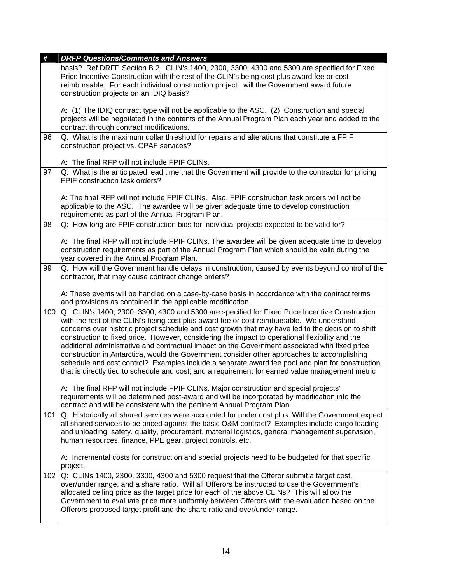| #   | <b>DRFP Questions/Comments and Answers</b>                                                                                                                                                                                                                                                                                                                                                                                                                                                                                                                                                                                                                                                                                                                                                                   |
|-----|--------------------------------------------------------------------------------------------------------------------------------------------------------------------------------------------------------------------------------------------------------------------------------------------------------------------------------------------------------------------------------------------------------------------------------------------------------------------------------------------------------------------------------------------------------------------------------------------------------------------------------------------------------------------------------------------------------------------------------------------------------------------------------------------------------------|
|     | basis? Ref DRFP Section B.2. CLIN's 1400, 2300, 3300, 4300 and 5300 are specified for Fixed<br>Price Incentive Construction with the rest of the CLIN's being cost plus award fee or cost<br>reimbursable. For each individual construction project: will the Government award future<br>construction projects on an IDIQ basis?                                                                                                                                                                                                                                                                                                                                                                                                                                                                             |
|     | A: (1) The IDIQ contract type will not be applicable to the ASC. (2) Construction and special<br>projects will be negotiated in the contents of the Annual Program Plan each year and added to the<br>contract through contract modifications.                                                                                                                                                                                                                                                                                                                                                                                                                                                                                                                                                               |
| 96  | Q: What is the maximum dollar threshold for repairs and alterations that constitute a FPIF<br>construction project vs. CPAF services?                                                                                                                                                                                                                                                                                                                                                                                                                                                                                                                                                                                                                                                                        |
|     | A: The final RFP will not include FPIF CLINs.                                                                                                                                                                                                                                                                                                                                                                                                                                                                                                                                                                                                                                                                                                                                                                |
| 97  | Q: What is the anticipated lead time that the Government will provide to the contractor for pricing<br>FPIF construction task orders?                                                                                                                                                                                                                                                                                                                                                                                                                                                                                                                                                                                                                                                                        |
|     | A: The final RFP will not include FPIF CLINs. Also, FPIF construction task orders will not be<br>applicable to the ASC. The awardee will be given adequate time to develop construction<br>requirements as part of the Annual Program Plan.                                                                                                                                                                                                                                                                                                                                                                                                                                                                                                                                                                  |
| 98  | Q: How long are FPIF construction bids for individual projects expected to be valid for?                                                                                                                                                                                                                                                                                                                                                                                                                                                                                                                                                                                                                                                                                                                     |
|     | A: The final RFP will not include FPIF CLINs. The awardee will be given adequate time to develop<br>construction requirements as part of the Annual Program Plan which should be valid during the<br>year covered in the Annual Program Plan.                                                                                                                                                                                                                                                                                                                                                                                                                                                                                                                                                                |
| 99  | Q: How will the Government handle delays in construction, caused by events beyond control of the<br>contractor, that may cause contract change orders?                                                                                                                                                                                                                                                                                                                                                                                                                                                                                                                                                                                                                                                       |
|     | A: These events will be handled on a case-by-case basis in accordance with the contract terms<br>and provisions as contained in the applicable modification.                                                                                                                                                                                                                                                                                                                                                                                                                                                                                                                                                                                                                                                 |
| 100 | Q: CLIN's 1400, 2300, 3300, 4300 and 5300 are specified for Fixed Price Incentive Construction<br>with the rest of the CLIN's being cost plus award fee or cost reimbursable. We understand<br>concerns over historic project schedule and cost growth that may have led to the decision to shift<br>construction to fixed price. However, considering the impact to operational flexibility and the<br>additional administrative and contractual impact on the Government associated with fixed price<br>construction in Antarctica, would the Government consider other approaches to accomplishing<br>schedule and cost control? Examples include a separate award fee pool and plan for construction<br>that is directly tied to schedule and cost; and a requirement for earned value management metric |
|     | A: The final RFP will not include FPIF CLINs. Major construction and special projects'<br>requirements will be determined post-award and will be incorporated by modification into the<br>contract and will be consistent with the pertinent Annual Program Plan.                                                                                                                                                                                                                                                                                                                                                                                                                                                                                                                                            |
| 101 | Q: Historically all shared services were accounted for under cost plus. Will the Government expect<br>all shared services to be priced against the basic O&M contract? Examples include cargo loading<br>and unloading, safety, quality, procurement, material logistics, general management supervision,<br>human resources, finance, PPE gear, project controls, etc.                                                                                                                                                                                                                                                                                                                                                                                                                                      |
|     | A: Incremental costs for construction and special projects need to be budgeted for that specific<br>project.                                                                                                                                                                                                                                                                                                                                                                                                                                                                                                                                                                                                                                                                                                 |
| 102 | Q: CLINs 1400, 2300, 3300, 4300 and 5300 request that the Offeror submit a target cost,<br>over/under range, and a share ratio. Will all Offerors be instructed to use the Government's<br>allocated ceiling price as the target price for each of the above CLINs? This will allow the<br>Government to evaluate price more uniformly between Offerors with the evaluation based on the<br>Offerors proposed target profit and the share ratio and over/under range.                                                                                                                                                                                                                                                                                                                                        |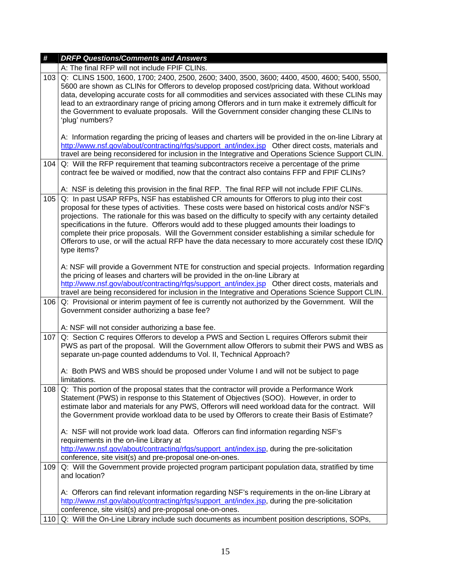| #   | <b>DRFP Questions/Comments and Answers</b>                                                                                                                                                                                                                                                                                                                                                                                                                                                                                                                                                                                      |
|-----|---------------------------------------------------------------------------------------------------------------------------------------------------------------------------------------------------------------------------------------------------------------------------------------------------------------------------------------------------------------------------------------------------------------------------------------------------------------------------------------------------------------------------------------------------------------------------------------------------------------------------------|
|     | A: The final RFP will not include FPIF CLINs.                                                                                                                                                                                                                                                                                                                                                                                                                                                                                                                                                                                   |
| 103 | Q: CLINS 1500, 1600, 1700; 2400, 2500, 2600; 3400, 3500, 3600; 4400, 4500, 4600; 5400, 5500,<br>5600 are shown as CLINs for Offerors to develop proposed cost/pricing data. Without workload<br>data, developing accurate costs for all commodities and services associated with these CLINs may<br>lead to an extraordinary range of pricing among Offerors and in turn make it extremely difficult for<br>the Government to evaluate proposals. Will the Government consider changing these CLINs to<br>'plug' numbers?                                                                                                       |
|     | A: Information regarding the pricing of leases and charters will be provided in the on-line Library at<br>http://www.nsf.gov/about/contracting/rfgs/support ant/index.jsp Other direct costs, materials and<br>travel are being reconsidered for inclusion in the Integrative and Operations Science Support CLIN.                                                                                                                                                                                                                                                                                                              |
| 104 | Q: Will the RFP requirement that teaming subcontractors receive a percentage of the prime<br>contract fee be waived or modified, now that the contract also contains FFP and FPIF CLINs?                                                                                                                                                                                                                                                                                                                                                                                                                                        |
|     | A: NSF is deleting this provision in the final RFP. The final RFP will not include FPIF CLINs.                                                                                                                                                                                                                                                                                                                                                                                                                                                                                                                                  |
| 105 | Q: In past USAP RFPs, NSF has established CR amounts for Offerors to plug into their cost<br>proposal for these types of activities. These costs were based on historical costs and/or NSF's<br>projections. The rationale for this was based on the difficulty to specify with any certainty detailed<br>specifications in the future. Offerors would add to these plugged amounts their loadings to<br>complete their price proposals. Will the Government consider establishing a similar schedule for<br>Offerors to use, or will the actual RFP have the data necessary to more accurately cost these ID/IQ<br>type items? |
|     | A: NSF will provide a Government NTE for construction and special projects. Information regarding<br>the pricing of leases and charters will be provided in the on-line Library at<br>http://www.nsf.gov/about/contracting/rfgs/support_ant/index.jsp Other direct costs, materials and<br>travel are being reconsidered for inclusion in the Integrative and Operations Science Support CLIN.                                                                                                                                                                                                                                  |
| 106 | Q: Provisional or interim payment of fee is currently not authorized by the Government. Will the<br>Government consider authorizing a base fee?                                                                                                                                                                                                                                                                                                                                                                                                                                                                                 |
|     | A: NSF will not consider authorizing a base fee.                                                                                                                                                                                                                                                                                                                                                                                                                                                                                                                                                                                |
| 107 | Q: Section C requires Offerors to develop a PWS and Section L requires Offerors submit their<br>PWS as part of the proposal. Will the Government allow Offerors to submit their PWS and WBS as<br>separate un-page counted addendums to Vol. II, Technical Approach?                                                                                                                                                                                                                                                                                                                                                            |
|     | A: Both PWS and WBS should be proposed under Volume I and will not be subject to page<br>limitations.                                                                                                                                                                                                                                                                                                                                                                                                                                                                                                                           |
| 108 | Q: This portion of the proposal states that the contractor will provide a Performance Work<br>Statement (PWS) in response to this Statement of Objectives (SOO). However, in order to<br>estimate labor and materials for any PWS, Offerors will need workload data for the contract. Will<br>the Government provide workload data to be used by Offerors to create their Basis of Estimate?                                                                                                                                                                                                                                    |
|     | A: NSF will not provide work load data. Offerors can find information regarding NSF's<br>requirements in the on-line Library at<br>http://www.nsf.gov/about/contracting/rfgs/support_ant/index.jsp, during the pre-solicitation<br>conference, site visit(s) and pre-proposal one-on-ones.                                                                                                                                                                                                                                                                                                                                      |
| 109 | Q: Will the Government provide projected program participant population data, stratified by time<br>and location?                                                                                                                                                                                                                                                                                                                                                                                                                                                                                                               |
|     | A: Offerors can find relevant information regarding NSF's requirements in the on-line Library at<br>http://www.nsf.gov/about/contracting/rfgs/support_ant/index.jsp, during the pre-solicitation<br>conference, site visit(s) and pre-proposal one-on-ones.                                                                                                                                                                                                                                                                                                                                                                     |
| 110 | Q: Will the On-Line Library include such documents as incumbent position descriptions, SOPs,                                                                                                                                                                                                                                                                                                                                                                                                                                                                                                                                    |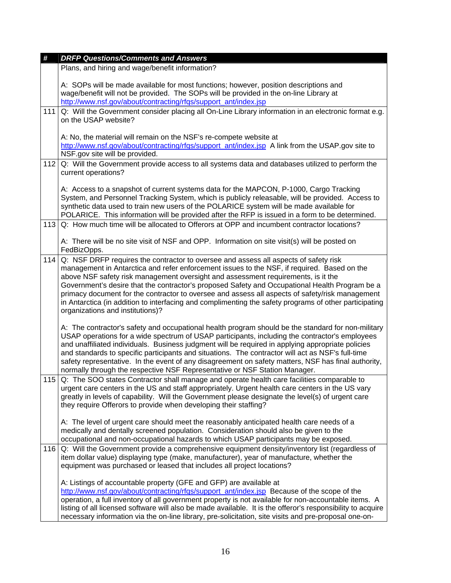| #   | <b>DRFP Questions/Comments and Answers</b>                                                                                                                                                                                                                                                                                                                                                                                                                                                                                                                                                                                  |
|-----|-----------------------------------------------------------------------------------------------------------------------------------------------------------------------------------------------------------------------------------------------------------------------------------------------------------------------------------------------------------------------------------------------------------------------------------------------------------------------------------------------------------------------------------------------------------------------------------------------------------------------------|
|     | Plans, and hiring and wage/benefit information?                                                                                                                                                                                                                                                                                                                                                                                                                                                                                                                                                                             |
|     | A: SOPs will be made available for most functions; however, position descriptions and<br>wage/benefit will not be provided. The SOPs will be provided in the on-line Library at<br>http://www.nsf.gov/about/contracting/rfqs/support_ant/index.jsp                                                                                                                                                                                                                                                                                                                                                                          |
| 111 | Q: Will the Government consider placing all On-Line Library information in an electronic format e.g.                                                                                                                                                                                                                                                                                                                                                                                                                                                                                                                        |
|     | on the USAP website?                                                                                                                                                                                                                                                                                                                                                                                                                                                                                                                                                                                                        |
|     | A: No, the material will remain on the NSF's re-compete website at<br>http://www.nsf.gov/about/contracting/rfgs/support_ant/index.jsp A link from the USAP.gov site to<br>NSF.gov site will be provided.                                                                                                                                                                                                                                                                                                                                                                                                                    |
| 112 | Q: Will the Government provide access to all systems data and databases utilized to perform the<br>current operations?                                                                                                                                                                                                                                                                                                                                                                                                                                                                                                      |
|     | A: Access to a snapshot of current systems data for the MAPCON, P-1000, Cargo Tracking<br>System, and Personnel Tracking System, which is publicly releasable, will be provided. Access to<br>synthetic data used to train new users of the POLARICE system will be made available for<br>POLARICE. This information will be provided after the RFP is issued in a form to be determined.                                                                                                                                                                                                                                   |
| 113 | Q: How much time will be allocated to Offerors at OPP and incumbent contractor locations?                                                                                                                                                                                                                                                                                                                                                                                                                                                                                                                                   |
|     | A: There will be no site visit of NSF and OPP. Information on site visit(s) will be posted on<br>FedBizOpps.                                                                                                                                                                                                                                                                                                                                                                                                                                                                                                                |
| 114 | Q: NSF DRFP requires the contractor to oversee and assess all aspects of safety risk<br>management in Antarctica and refer enforcement issues to the NSF, if required. Based on the<br>above NSF safety risk management oversight and assessment requirements, is it the<br>Government's desire that the contractor's proposed Safety and Occupational Health Program be a<br>primacy document for the contractor to oversee and assess all aspects of safety/risk management<br>in Antarctica (in addition to interfacing and complimenting the safety programs of other participating<br>organizations and institutions)? |
|     | A: The contractor's safety and occupational health program should be the standard for non-military<br>USAP operations for a wide spectrum of USAP participants, including the contractor's employees<br>and unaffiliated individuals. Business judgment will be required in applying appropriate policies<br>and standards to specific participants and situations. The contractor will act as NSF's full-time<br>safety representative. In the event of any disagreement on safety matters, NSF has final authority,<br>normally through the respective NSF Representative or NSF Station Manager.                         |
| 115 | Q: The SOO states Contractor shall manage and operate health care facilities comparable to<br>urgent care centers in the US and staff appropriately. Urgent health care centers in the US vary<br>greatly in levels of capability. Will the Government please designate the level(s) of urgent care<br>they require Offerors to provide when developing their staffing?                                                                                                                                                                                                                                                     |
|     | A: The level of urgent care should meet the reasonably anticipated health care needs of a<br>medically and dentally screened population. Consideration should also be given to the<br>occupational and non-occupational hazards to which USAP participants may be exposed.                                                                                                                                                                                                                                                                                                                                                  |
| 116 | Q: Will the Government provide a comprehensive equipment density/inventory list (regardless of<br>item dollar value) displaying type (make, manufacturer), year of manufacture, whether the<br>equipment was purchased or leased that includes all project locations?                                                                                                                                                                                                                                                                                                                                                       |
|     | A: Listings of accountable property (GFE and GFP) are available at<br>http://www.nsf.gov/about/contracting/rfgs/support_ant/index.jsp Because of the scope of the<br>operation, a full inventory of all government property is not available for non-accountable items. A<br>listing of all licensed software will also be made available. It is the offeror's responsibility to acquire<br>necessary information via the on-line library, pre-solicitation, site visits and pre-proposal one-on-                                                                                                                           |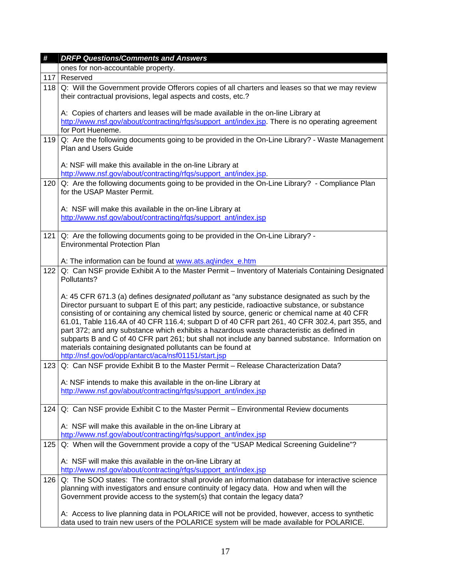| #   | <b>DRFP Questions/Comments and Answers</b>                                                                                                                                                                                                                                                                                                                                                                                                                                                                                                                                                                                                                                                                               |
|-----|--------------------------------------------------------------------------------------------------------------------------------------------------------------------------------------------------------------------------------------------------------------------------------------------------------------------------------------------------------------------------------------------------------------------------------------------------------------------------------------------------------------------------------------------------------------------------------------------------------------------------------------------------------------------------------------------------------------------------|
|     | ones for non-accountable property.                                                                                                                                                                                                                                                                                                                                                                                                                                                                                                                                                                                                                                                                                       |
| 117 | Reserved                                                                                                                                                                                                                                                                                                                                                                                                                                                                                                                                                                                                                                                                                                                 |
| 118 | Q: Will the Government provide Offerors copies of all charters and leases so that we may review<br>their contractual provisions, legal aspects and costs, etc.?                                                                                                                                                                                                                                                                                                                                                                                                                                                                                                                                                          |
|     | A: Copies of charters and leases will be made available in the on-line Library at<br>http://www.nsf.gov/about/contracting/rfqs/support_ant/index.jsp. There is no operating agreement<br>for Port Hueneme.                                                                                                                                                                                                                                                                                                                                                                                                                                                                                                               |
| 119 | Q: Are the following documents going to be provided in the On-Line Library? - Waste Management<br><b>Plan and Users Guide</b>                                                                                                                                                                                                                                                                                                                                                                                                                                                                                                                                                                                            |
|     | A: NSF will make this available in the on-line Library at<br>http://www.nsf.gov/about/contracting/rfqs/support_ant/index.jsp.                                                                                                                                                                                                                                                                                                                                                                                                                                                                                                                                                                                            |
| 120 | Q: Are the following documents going to be provided in the On-Line Library? - Compliance Plan<br>for the USAP Master Permit.                                                                                                                                                                                                                                                                                                                                                                                                                                                                                                                                                                                             |
|     | A: NSF will make this available in the on-line Library at                                                                                                                                                                                                                                                                                                                                                                                                                                                                                                                                                                                                                                                                |
|     | http://www.nsf.gov/about/contracting/rfgs/support_ant/index.jsp                                                                                                                                                                                                                                                                                                                                                                                                                                                                                                                                                                                                                                                          |
| 121 | Q: Are the following documents going to be provided in the On-Line Library? -<br><b>Environmental Protection Plan</b>                                                                                                                                                                                                                                                                                                                                                                                                                                                                                                                                                                                                    |
|     | A: The information can be found at www.ats.aq\index e.htm                                                                                                                                                                                                                                                                                                                                                                                                                                                                                                                                                                                                                                                                |
| 122 | Q: Can NSF provide Exhibit A to the Master Permit - Inventory of Materials Containing Designated<br>Pollutants?                                                                                                                                                                                                                                                                                                                                                                                                                                                                                                                                                                                                          |
|     | A: 45 CFR 671.3 (a) defines designated pollutant as "any substance designated as such by the<br>Director pursuant to subpart E of this part; any pesticide, radioactive substance, or substance<br>consisting of or containing any chemical listed by source, generic or chemical name at 40 CFR<br>61.01, Table 116.4A of 40 CFR 116.4; subpart D of 40 CFR part 261, 40 CFR 302.4, part 355, and<br>part 372; and any substance which exhibits a hazardous waste characteristic as defined in<br>subparts B and C of 40 CFR part 261; but shall not include any banned substance. Information on<br>materials containing designated pollutants can be found at<br>http://nsf.gov/od/opp/antarct/aca/nsf01151/start.jsp |
| 123 | Q: Can NSF provide Exhibit B to the Master Permit - Release Characterization Data?                                                                                                                                                                                                                                                                                                                                                                                                                                                                                                                                                                                                                                       |
|     | A: NSF intends to make this available in the on-line Library at<br>http://www.nsf.gov/about/contracting/rfqs/support_ant/index.jsp                                                                                                                                                                                                                                                                                                                                                                                                                                                                                                                                                                                       |
| 124 | Q: Can NSF provide Exhibit C to the Master Permit - Environmental Review documents                                                                                                                                                                                                                                                                                                                                                                                                                                                                                                                                                                                                                                       |
|     | A: NSF will make this available in the on-line Library at<br>http://www.nsf.gov/about/contracting/rfqs/support_ant/index.jsp                                                                                                                                                                                                                                                                                                                                                                                                                                                                                                                                                                                             |
| 125 | Q: When will the Government provide a copy of the "USAP Medical Screening Guideline"?                                                                                                                                                                                                                                                                                                                                                                                                                                                                                                                                                                                                                                    |
|     | A: NSF will make this available in the on-line Library at<br>http://www.nsf.gov/about/contracting/rfqs/support_ant/index.jsp                                                                                                                                                                                                                                                                                                                                                                                                                                                                                                                                                                                             |
| 126 | Q: The SOO states: The contractor shall provide an information database for interactive science<br>planning with investigators and ensure continuity of legacy data. How and when will the<br>Government provide access to the system(s) that contain the legacy data?                                                                                                                                                                                                                                                                                                                                                                                                                                                   |
|     |                                                                                                                                                                                                                                                                                                                                                                                                                                                                                                                                                                                                                                                                                                                          |
|     | A: Access to live planning data in POLARICE will not be provided, however, access to synthetic<br>data used to train new users of the POLARICE system will be made available for POLARICE.                                                                                                                                                                                                                                                                                                                                                                                                                                                                                                                               |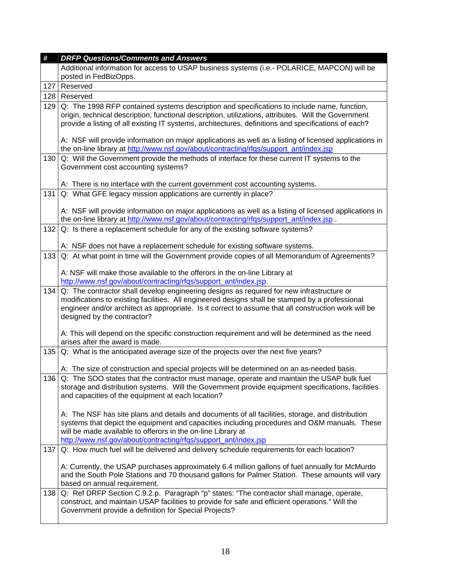| #   | <b>DRFP Questions/Comments and Answers</b>                                                                                                                                                                                                                                                                                                                                                                            |
|-----|-----------------------------------------------------------------------------------------------------------------------------------------------------------------------------------------------------------------------------------------------------------------------------------------------------------------------------------------------------------------------------------------------------------------------|
|     | Additional information for access to USAP business systems (i.e.- POLARICE, MAPCON) will be<br>posted in FedBizOpps.                                                                                                                                                                                                                                                                                                  |
| 127 | Reserved                                                                                                                                                                                                                                                                                                                                                                                                              |
| 128 | Reserved                                                                                                                                                                                                                                                                                                                                                                                                              |
| 129 | Q: The 1998 RFP contained systems description and specifications to include name, function,<br>origin, technical description, functional description, utilizations, attributes. Will the Government<br>provide a listing of all existing IT systems, architectures, definitions and specifications of each?<br>A: NSF will provide information on major applications as well as a listing of licensed applications in |
|     | the on-line library at http://www.nsf.gov/about/contracting/rfqs/support_ant/index.jsp                                                                                                                                                                                                                                                                                                                                |
| 130 | Q: Will the Government provide the methods of interface for these current IT systems to the<br>Government cost accounting systems?                                                                                                                                                                                                                                                                                    |
|     | A: There is no interface with the current government cost accounting systems.                                                                                                                                                                                                                                                                                                                                         |
| 131 | Q: What GFE legacy mission applications are currently in place?                                                                                                                                                                                                                                                                                                                                                       |
|     | A: NSF will provide information on major applications as well as a listing of licensed applications in<br>the on-line library at http://www.nsf.gov/about/contracting/rfqs/support_ant/index.jsp.                                                                                                                                                                                                                     |
| 132 | Q: Is there a replacement schedule for any of the existing software systems?                                                                                                                                                                                                                                                                                                                                          |
|     | A: NSF does not have a replacement schedule for existing software systems.                                                                                                                                                                                                                                                                                                                                            |
| 133 | Q: At what point in time will the Government provide copies of all Memorandum of Agreements?                                                                                                                                                                                                                                                                                                                          |
|     | A: NSF will make those available to the offerors in the on-line Library at<br>http://www.nsf.gov/about/contracting/rfgs/support_ant/index.jsp.                                                                                                                                                                                                                                                                        |
| 134 | Q: The contractor shall develop engineering designs as required for new infrastructure or<br>modifications to existing facilities. All engineered designs shall be stamped by a professional<br>engineer and/or architect as appropriate. Is it correct to assume that all construction work will be<br>designed by the contractor?                                                                                   |
|     | A: This will depend on the specific construction requirement and will be determined as the need<br>arises after the award is made.                                                                                                                                                                                                                                                                                    |
| 135 | Q: What is the anticipated average size of the projects over the next five years?                                                                                                                                                                                                                                                                                                                                     |
|     | A: The size of construction and special projects will be determined on an as-needed basis.                                                                                                                                                                                                                                                                                                                            |
| 136 | Q: The SOO states that the contractor must manage, operate and maintain the USAP bulk fuel<br>storage and distribution systems. Will the Government provide equipment specifications, facilities<br>and capacities of the equipment at each location?                                                                                                                                                                 |
|     | A: The NSF has site plans and details and documents of all facilities, storage, and distribution<br>systems that depict the equipment and capacities including procedures and O&M manuals. These<br>will be made available to offerors in the on-line Library at<br>http://www.nsf.gov/about/contracting/rfqs/support_ant/index.jsp                                                                                   |
| 137 | Q: How much fuel will be delivered and delivery schedule requirements for each location?                                                                                                                                                                                                                                                                                                                              |
|     | A: Currently, the USAP purchases approximately 6.4 million gallons of fuel annually for McMurdo<br>and the South Pole Stations and 70 thousand gallons for Palmer Station. These amounts will vary<br>based on annual requirement.                                                                                                                                                                                    |
| 138 | Q: Ref DRFP Section C.9.2.p. Paragraph "p" states: "The contractor shall manage, operate,<br>construct, and maintain USAP facilities to provide for safe and efficient operations." Will the<br>Government provide a definition for Special Projects?                                                                                                                                                                 |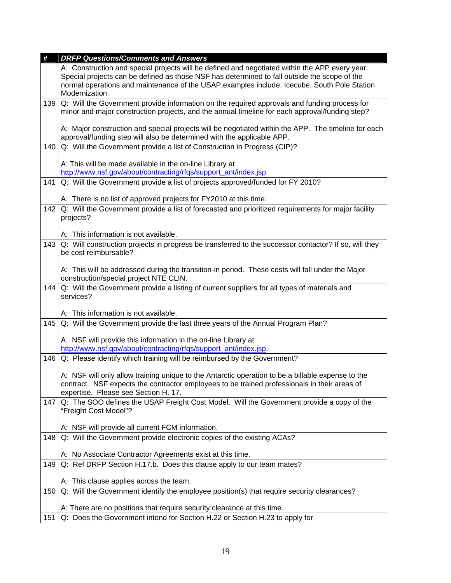| #   | <b>DRFP Questions/Comments and Answers</b>                                                                                                                                                                                                                                                     |
|-----|------------------------------------------------------------------------------------------------------------------------------------------------------------------------------------------------------------------------------------------------------------------------------------------------|
|     | A: Construction and special projects will be defined and negotiated within the APP every year.<br>Special projects can be defined as those NSF has determined to fall outside the scope of the<br>normal operations and maintenance of the USAP, examples include: Icecube, South Pole Station |
|     | Modernization.                                                                                                                                                                                                                                                                                 |
| 139 | Q: Will the Government provide information on the required approvals and funding process for                                                                                                                                                                                                   |
|     | minor and major construction projects, and the annual timeline for each approval/funding step?                                                                                                                                                                                                 |
|     | A: Major construction and special projects will be negotiated within the APP. The timeline for each<br>approval/funding step will also be determined with the applicable APP.                                                                                                                  |
| 140 | Q: Will the Government provide a list of Construction in Progress (CIP)?                                                                                                                                                                                                                       |
|     | A: This will be made available in the on-line Library at                                                                                                                                                                                                                                       |
|     | http://www.nsf.gov/about/contracting/rfgs/support_ant/index.jsp                                                                                                                                                                                                                                |
| 141 | Q: Will the Government provide a list of projects approved/funded for FY 2010?                                                                                                                                                                                                                 |
|     | A: There is no list of approved projects for FY2010 at this time.                                                                                                                                                                                                                              |
| 142 | Q: Will the Government provide a list of forecasted and prioritized requirements for major facility<br>projects?                                                                                                                                                                               |
|     | A: This information is not available.                                                                                                                                                                                                                                                          |
| 143 | Q: Will construction projects in progress be transferred to the successor contactor? If so, will they<br>be cost reimbursable?                                                                                                                                                                 |
|     | A: This will be addressed during the transition-in period. These costs will fall under the Major<br>construction/special project NTE CLIN.                                                                                                                                                     |
| 144 | Q: Will the Government provide a listing of current suppliers for all types of materials and<br>services?                                                                                                                                                                                      |
|     | A: This information is not available.                                                                                                                                                                                                                                                          |
| 145 | Q: Will the Government provide the last three years of the Annual Program Plan?                                                                                                                                                                                                                |
|     |                                                                                                                                                                                                                                                                                                |
|     | A: NSF will provide this information in the on-line Library at                                                                                                                                                                                                                                 |
|     | http://www.nsf.gov/about/contracting/rfqs/support_ant/index.jsp.                                                                                                                                                                                                                               |
| 146 | Q: Please identify which training will be reimbursed by the Government?                                                                                                                                                                                                                        |
|     | A: NSF will only allow training unique to the Antarctic operation to be a billable expense to the                                                                                                                                                                                              |
|     | contract. NSF expects the contractor employees to be trained professionals in their areas of                                                                                                                                                                                                   |
|     | expertise. Please see Section H. 17.                                                                                                                                                                                                                                                           |
| 147 | Q: The SOO defines the USAP Freight Cost Model. Will the Government provide a copy of the<br>"Freight Cost Model"?                                                                                                                                                                             |
|     | A: NSF will provide all current FCM information.                                                                                                                                                                                                                                               |
| 148 | Q: Will the Government provide electronic copies of the existing ACAs?                                                                                                                                                                                                                         |
|     | A: No Associate Contractor Agreements exist at this time.                                                                                                                                                                                                                                      |
| 149 | Q: Ref DRFP Section H.17.b. Does this clause apply to our team mates?                                                                                                                                                                                                                          |
|     | A: This clause applies across the team.                                                                                                                                                                                                                                                        |
| 150 | Q: Will the Government identify the employee position(s) that require security clearances?                                                                                                                                                                                                     |
|     | A: There are no positions that require security clearance at this time.                                                                                                                                                                                                                        |
| 151 | Q: Does the Government intend for Section H.22 or Section H.23 to apply for                                                                                                                                                                                                                    |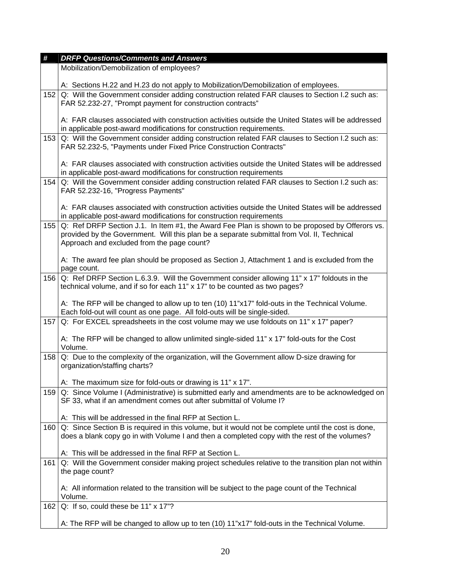| #   | <b>DRFP Questions/Comments and Answers</b>                                                                                                                                                                                                  |
|-----|---------------------------------------------------------------------------------------------------------------------------------------------------------------------------------------------------------------------------------------------|
|     | Mobilization/Demobilization of employees?                                                                                                                                                                                                   |
|     | A: Sections H.22 and H.23 do not apply to Mobilization/Demobilization of employees.                                                                                                                                                         |
| 152 | Q: Will the Government consider adding construction related FAR clauses to Section I.2 such as:<br>FAR 52.232-27, "Prompt payment for construction contracts"                                                                               |
|     | A: FAR clauses associated with construction activities outside the United States will be addressed<br>in applicable post-award modifications for construction requirements.                                                                 |
| 153 | Q: Will the Government consider adding construction related FAR clauses to Section I.2 such as:<br>FAR 52.232-5, "Payments under Fixed Price Construction Contracts"                                                                        |
|     | A: FAR clauses associated with construction activities outside the United States will be addressed<br>in applicable post-award modifications for construction requirements                                                                  |
| 154 | Q: Will the Government consider adding construction related FAR clauses to Section I.2 such as:<br>FAR 52.232-16, "Progress Payments"                                                                                                       |
|     | A: FAR clauses associated with construction activities outside the United States will be addressed<br>in applicable post-award modifications for construction requirements                                                                  |
| 155 | Q: Ref DRFP Section J.1. In Item #1, the Award Fee Plan is shown to be proposed by Offerors vs.<br>provided by the Government. Will this plan be a separate submittal from Vol. II, Technical<br>Approach and excluded from the page count? |
|     | A: The award fee plan should be proposed as Section J, Attachment 1 and is excluded from the<br>page count.                                                                                                                                 |
| 156 | Q: Ref DRFP Section L.6.3.9. Will the Government consider allowing 11" x 17" foldouts in the<br>technical volume, and if so for each 11" x 17" to be counted as two pages?                                                                  |
|     | A: The RFP will be changed to allow up to ten (10) 11"x17" fold-outs in the Technical Volume.<br>Each fold-out will count as one page. All fold-outs will be single-sided.                                                                  |
| 157 | Q: For EXCEL spreadsheets in the cost volume may we use foldouts on 11" x 17" paper?                                                                                                                                                        |
|     | A: The RFP will be changed to allow unlimited single-sided 11" x 17" fold-outs for the Cost<br>Volume.                                                                                                                                      |
| 158 | Q: Due to the complexity of the organization, will the Government allow D-size drawing for<br>organization/staffing charts?                                                                                                                 |
|     | A: The maximum size for fold-outs or drawing is 11" x 17".                                                                                                                                                                                  |
| 159 | Q: Since Volume I (Administrative) is submitted early and amendments are to be acknowledged on<br>SF 33, what if an amendment comes out after submittal of Volume I?                                                                        |
|     | A: This will be addressed in the final RFP at Section L.                                                                                                                                                                                    |
| 160 | Q: Since Section B is required in this volume, but it would not be complete until the cost is done,<br>does a blank copy go in with Volume I and then a completed copy with the rest of the volumes?                                        |
|     | A: This will be addressed in the final RFP at Section L.                                                                                                                                                                                    |
| 161 | Q: Will the Government consider making project schedules relative to the transition plan not within<br>the page count?                                                                                                                      |
|     | A: All information related to the transition will be subject to the page count of the Technical<br>Volume.                                                                                                                                  |
| 162 | Q: If so, could these be 11" x 17"?                                                                                                                                                                                                         |
|     | A: The RFP will be changed to allow up to ten (10) 11"x17" fold-outs in the Technical Volume.                                                                                                                                               |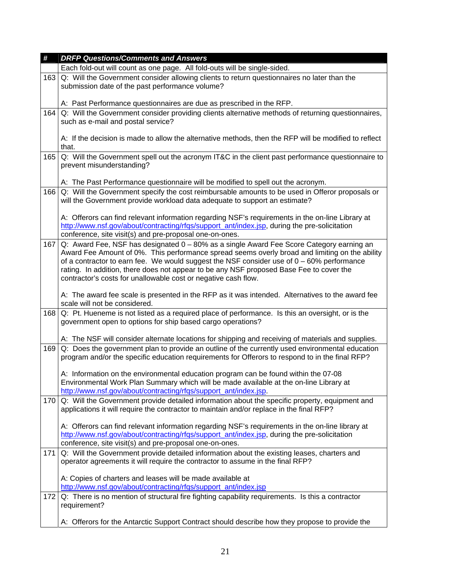| #   | <b>DRFP Questions/Comments and Answers</b>                                                                                                                                                                                                                                                                                                                                                                                                              |
|-----|---------------------------------------------------------------------------------------------------------------------------------------------------------------------------------------------------------------------------------------------------------------------------------------------------------------------------------------------------------------------------------------------------------------------------------------------------------|
|     | Each fold-out will count as one page. All fold-outs will be single-sided.                                                                                                                                                                                                                                                                                                                                                                               |
| 163 | Q: Will the Government consider allowing clients to return questionnaires no later than the<br>submission date of the past performance volume?                                                                                                                                                                                                                                                                                                          |
|     | A: Past Performance questionnaires are due as prescribed in the RFP.                                                                                                                                                                                                                                                                                                                                                                                    |
| 164 | Q: Will the Government consider providing clients alternative methods of returning questionnaires,<br>such as e-mail and postal service?                                                                                                                                                                                                                                                                                                                |
|     | A: If the decision is made to allow the alternative methods, then the RFP will be modified to reflect<br>that.                                                                                                                                                                                                                                                                                                                                          |
| 165 | Q: Will the Government spell out the acronym IT&C in the client past performance questionnaire to<br>prevent misunderstanding?                                                                                                                                                                                                                                                                                                                          |
|     | A: The Past Performance questionnaire will be modified to spell out the acronym.                                                                                                                                                                                                                                                                                                                                                                        |
| 166 | Q: Will the Government specify the cost reimbursable amounts to be used in Offeror proposals or<br>will the Government provide workload data adequate to support an estimate?                                                                                                                                                                                                                                                                           |
|     | A: Offerors can find relevant information regarding NSF's requirements in the on-line Library at<br>http://www.nsf.gov/about/contracting/rfgs/support_ant/index.jsp, during the pre-solicitation<br>conference, site visit(s) and pre-proposal one-on-ones.                                                                                                                                                                                             |
| 167 | Q: Award Fee, NSF has designated 0 - 80% as a single Award Fee Score Category earning an<br>Award Fee Amount of 0%. This performance spread seems overly broad and limiting on the ability<br>of a contractor to earn fee. We would suggest the NSF consider use of $0 - 60\%$ performance<br>rating. In addition, there does not appear to be any NSF proposed Base Fee to cover the<br>contractor's costs for unallowable cost or negative cash flow. |
|     | A: The award fee scale is presented in the RFP as it was intended. Alternatives to the award fee<br>scale will not be considered.                                                                                                                                                                                                                                                                                                                       |
| 168 | Q: Pt. Hueneme is not listed as a required place of performance. Is this an oversight, or is the<br>government open to options for ship based cargo operations?                                                                                                                                                                                                                                                                                         |
|     | A: The NSF will consider alternate locations for shipping and receiving of materials and supplies.                                                                                                                                                                                                                                                                                                                                                      |
| 169 | Q: Does the government plan to provide an outline of the currently used environmental education<br>program and/or the specific education requirements for Offerors to respond to in the final RFP?                                                                                                                                                                                                                                                      |
|     | A: Information on the environmental education program can be found within the 07-08<br>Environmental Work Plan Summary which will be made available at the on-line Library at<br>http://www.nsf.gov/about/contracting/rfgs/support_ant/index.jsp.                                                                                                                                                                                                       |
| 170 | Q: Will the Government provide detailed information about the specific property, equipment and<br>applications it will require the contractor to maintain and/or replace in the final RFP?                                                                                                                                                                                                                                                              |
|     | A: Offerors can find relevant information regarding NSF's requirements in the on-line library at<br>http://www.nsf.gov/about/contracting/rfgs/support_ant/index.jsp, during the pre-solicitation<br>conference, site visit(s) and pre-proposal one-on-ones.                                                                                                                                                                                             |
| 171 | Q: Will the Government provide detailed information about the existing leases, charters and<br>operator agreements it will require the contractor to assume in the final RFP?                                                                                                                                                                                                                                                                           |
|     | A: Copies of charters and leases will be made available at                                                                                                                                                                                                                                                                                                                                                                                              |
|     | http://www.nsf.gov/about/contracting/rfqs/support_ant/index.jsp                                                                                                                                                                                                                                                                                                                                                                                         |
| 172 | Q: There is no mention of structural fire fighting capability requirements. Is this a contractor<br>requirement?                                                                                                                                                                                                                                                                                                                                        |
|     | A: Offerors for the Antarctic Support Contract should describe how they propose to provide the                                                                                                                                                                                                                                                                                                                                                          |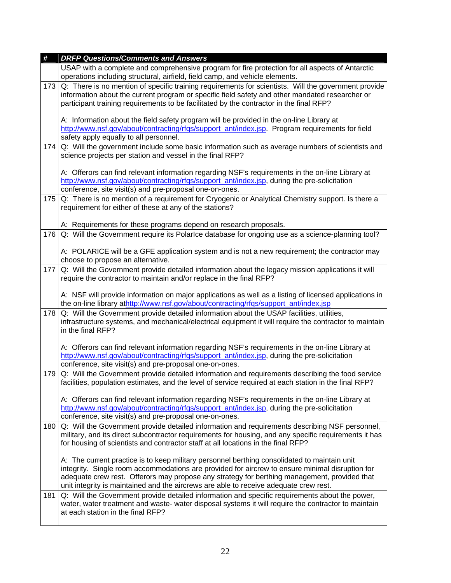| $\pmb{\#}$ | <b>DRFP Questions/Comments and Answers</b>                                                                                                                                                                                                                                                                                                                                               |
|------------|------------------------------------------------------------------------------------------------------------------------------------------------------------------------------------------------------------------------------------------------------------------------------------------------------------------------------------------------------------------------------------------|
|            | USAP with a complete and comprehensive program for fire protection for all aspects of Antarctic<br>operations including structural, airfield, field camp, and vehicle elements.                                                                                                                                                                                                          |
| 173        | Q: There is no mention of specific training requirements for scientists. Will the government provide<br>information about the current program or specific field safety and other mandated researcher or<br>participant training requirements to be facilitated by the contractor in the final RFP?                                                                                       |
|            | A: Information about the field safety program will be provided in the on-line Library at<br>http://www.nsf.gov/about/contracting/rfgs/support_ant/index.jsp. Program requirements for field<br>safety apply equally to all personnel.                                                                                                                                                    |
| 174        | Q: Will the government include some basic information such as average numbers of scientists and<br>science projects per station and vessel in the final RFP?                                                                                                                                                                                                                             |
|            | A: Offerors can find relevant information regarding NSF's requirements in the on-line Library at<br>http://www.nsf.gov/about/contracting/rfgs/support_ant/index.jsp, during the pre-solicitation<br>conference, site visit(s) and pre-proposal one-on-ones.                                                                                                                              |
| 175        | Q: There is no mention of a requirement for Cryogenic or Analytical Chemistry support. Is there a<br>requirement for either of these at any of the stations?                                                                                                                                                                                                                             |
|            | A: Requirements for these programs depend on research proposals.                                                                                                                                                                                                                                                                                                                         |
| 176        | Q: Will the Government require its Polarlce database for ongoing use as a science-planning tool?                                                                                                                                                                                                                                                                                         |
|            | A: POLARICE will be a GFE application system and is not a new requirement; the contractor may<br>choose to propose an alternative.                                                                                                                                                                                                                                                       |
| 177        | Q: Will the Government provide detailed information about the legacy mission applications it will<br>require the contractor to maintain and/or replace in the final RFP?                                                                                                                                                                                                                 |
|            | A: NSF will provide information on major applications as well as a listing of licensed applications in<br>the on-line library athttp://www.nsf.gov/about/contracting/rfqs/support_ant/index.jsp                                                                                                                                                                                          |
| 178        | Q: Will the Government provide detailed information about the USAP facilities, utilities,<br>infrastructure systems, and mechanical/electrical equipment it will require the contractor to maintain<br>in the final RFP?                                                                                                                                                                 |
|            | A: Offerors can find relevant information regarding NSF's requirements in the on-line Library at<br>http://www.nsf.gov/about/contracting/rfqs/support_ant/index.jsp, during the pre-solicitation<br>conference, site visit(s) and pre-proposal one-on-ones.                                                                                                                              |
| 179        | Q: Will the Government provide detailed information and requirements describing the food service<br>facilities, population estimates, and the level of service required at each station in the final RFP?                                                                                                                                                                                |
|            | A: Offerors can find relevant information regarding NSF's requirements in the on-line Library at<br>http://www.nsf.gov/about/contracting/rfgs/support_ant/index.jsp, during the pre-solicitation<br>conference, site visit(s) and pre-proposal one-on-ones.                                                                                                                              |
| 180        | Q: Will the Government provide detailed information and requirements describing NSF personnel,<br>military, and its direct subcontractor requirements for housing, and any specific requirements it has<br>for housing of scientists and contractor staff at all locations in the final RFP?                                                                                             |
|            | A: The current practice is to keep military personnel berthing consolidated to maintain unit<br>integrity. Single room accommodations are provided for aircrew to ensure minimal disruption for<br>adequate crew rest. Offerors may propose any strategy for berthing management, provided that<br>unit integrity is maintained and the aircrews are able to receive adequate crew rest. |
| 181        | Q: Will the Government provide detailed information and specific requirements about the power,<br>water, water treatment and waste- water disposal systems it will require the contractor to maintain<br>at each station in the final RFP?                                                                                                                                               |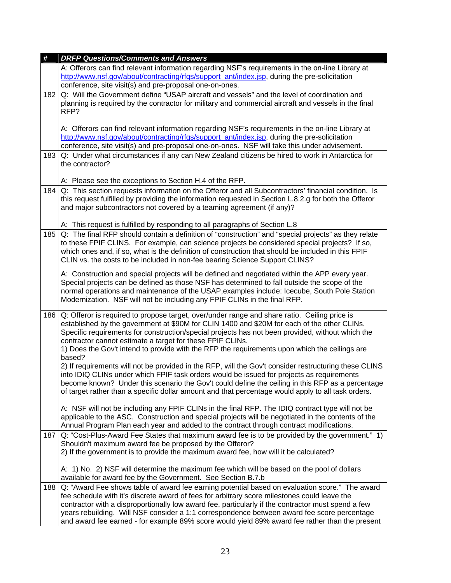| #   | <b>DRFP Questions/Comments and Answers</b>                                                                                                                                                                                                                                                                                                                                                                                                                                                            |
|-----|-------------------------------------------------------------------------------------------------------------------------------------------------------------------------------------------------------------------------------------------------------------------------------------------------------------------------------------------------------------------------------------------------------------------------------------------------------------------------------------------------------|
|     | A: Offerors can find relevant information regarding NSF's requirements in the on-line Library at<br>http://www.nsf.gov/about/contracting/rfgs/support_ant/index.jsp, during the pre-solicitation                                                                                                                                                                                                                                                                                                      |
|     | conference, site visit(s) and pre-proposal one-on-ones.                                                                                                                                                                                                                                                                                                                                                                                                                                               |
| 182 | Q: Will the Government define "USAP aircraft and vessels" and the level of coordination and<br>planning is required by the contractor for military and commercial aircraft and vessels in the final<br>RFP?                                                                                                                                                                                                                                                                                           |
|     | A: Offerors can find relevant information regarding NSF's requirements in the on-line Library at<br>http://www.nsf.gov/about/contracting/rfgs/support_ant/index.jsp, during the pre-solicitation<br>conference, site visit(s) and pre-proposal one-on-ones. NSF will take this under advisement.                                                                                                                                                                                                      |
| 183 | Q: Under what circumstances if any can New Zealand citizens be hired to work in Antarctica for<br>the contractor?                                                                                                                                                                                                                                                                                                                                                                                     |
|     | A: Please see the exceptions to Section H.4 of the RFP.                                                                                                                                                                                                                                                                                                                                                                                                                                               |
| 184 | Q: This section requests information on the Offeror and all Subcontractors' financial condition. Is<br>this request fulfilled by providing the information requested in Section L.8.2.g for both the Offeror<br>and major subcontractors not covered by a teaming agreement (if any)?                                                                                                                                                                                                                 |
|     | A: This request is fulfilled by responding to all paragraphs of Section L.8                                                                                                                                                                                                                                                                                                                                                                                                                           |
| 185 | Q: The final RFP should contain a definition of "construction" and "special projects" as they relate<br>to these FPIF CLINS. For example, can science projects be considered special projects? If so,<br>which ones and, if so, what is the definition of construction that should be included in this FPIF<br>CLIN vs. the costs to be included in non-fee bearing Science Support CLINS?                                                                                                            |
|     | A: Construction and special projects will be defined and negotiated within the APP every year.<br>Special projects can be defined as those NSF has determined to fall outside the scope of the<br>normal operations and maintenance of the USAP, examples include: Icecube, South Pole Station<br>Modernization. NSF will not be including any FPIF CLINs in the final RFP.                                                                                                                           |
| 186 | Q: Offeror is required to propose target, over/under range and share ratio. Ceiling price is<br>established by the government at \$90M for CLIN 1400 and \$20M for each of the other CLINs.<br>Specific requirements for construction/special projects has not been provided, without which the<br>contractor cannot estimate a target for these FPIF CLINs.<br>1) Does the Gov't intend to provide with the RFP the requirements upon which the ceilings are                                         |
|     | based?<br>2) If requirements will not be provided in the RFP, will the Gov't consider restructuring these CLINS<br>into IDIQ CLINs under which FPIF task orders would be issued for projects as requirements<br>become known? Under this scenario the Gov't could define the ceiling in this RFP as a percentage<br>of target rather than a specific dollar amount and that percentage would apply to all task orders.                                                                                |
|     | A: NSF will not be including any FPIF CLINs in the final RFP. The IDIQ contract type will not be<br>applicable to the ASC. Construction and special projects will be negotiated in the contents of the<br>Annual Program Plan each year and added to the contract through contract modifications.                                                                                                                                                                                                     |
| 187 | Q: "Cost-Plus-Award Fee States that maximum award fee is to be provided by the government." 1)<br>Shouldn't maximum award fee be proposed by the Offeror?<br>2) If the government is to provide the maximum award fee, how will it be calculated?                                                                                                                                                                                                                                                     |
|     | A: 1) No. 2) NSF will determine the maximum fee which will be based on the pool of dollars<br>available for award fee by the Government. See Section B.7.b                                                                                                                                                                                                                                                                                                                                            |
| 188 | Q: "Award Fee shows table of award fee earning potential based on evaluation score." The award<br>fee schedule with it's discrete award of fees for arbitrary score milestones could leave the<br>contractor with a disproportionally low award fee, particularly if the contractor must spend a few<br>years rebuilding. Will NSF consider a 1:1 correspondence between award fee score percentage<br>and award fee earned - for example 89% score would yield 89% award fee rather than the present |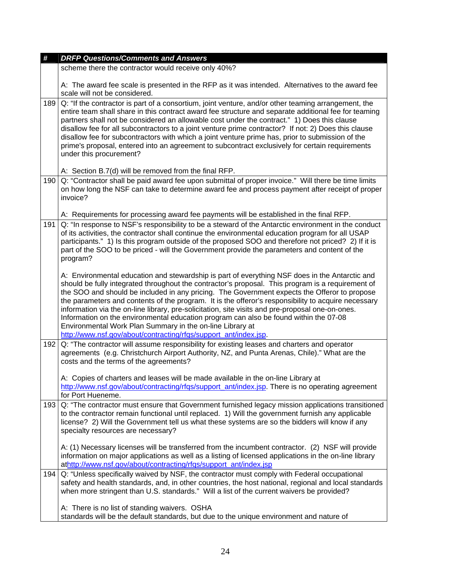| #   | <b>DRFP Questions/Comments and Answers</b>                                                                                                                                                                                                                                                                                                                                                                                                                                                                                                                                                                                                                                                                                               |
|-----|------------------------------------------------------------------------------------------------------------------------------------------------------------------------------------------------------------------------------------------------------------------------------------------------------------------------------------------------------------------------------------------------------------------------------------------------------------------------------------------------------------------------------------------------------------------------------------------------------------------------------------------------------------------------------------------------------------------------------------------|
|     | scheme there the contractor would receive only 40%?                                                                                                                                                                                                                                                                                                                                                                                                                                                                                                                                                                                                                                                                                      |
|     | A: The award fee scale is presented in the RFP as it was intended. Alternatives to the award fee<br>scale will not be considered.                                                                                                                                                                                                                                                                                                                                                                                                                                                                                                                                                                                                        |
| 189 | Q: "If the contractor is part of a consortium, joint venture, and/or other teaming arrangement, the<br>entire team shall share in this contract award fee structure and separate additional fee for teaming<br>partners shall not be considered an allowable cost under the contract." 1) Does this clause<br>disallow fee for all subcontractors to a joint venture prime contractor? If not: 2) Does this clause<br>disallow fee for subcontractors with which a joint venture prime has, prior to submission of the<br>prime's proposal, entered into an agreement to subcontract exclusively for certain requirements<br>under this procurement?                                                                                     |
|     | A: Section B.7(d) will be removed from the final RFP.                                                                                                                                                                                                                                                                                                                                                                                                                                                                                                                                                                                                                                                                                    |
| 190 | Q: "Contractor shall be paid award fee upon submittal of proper invoice." Will there be time limits<br>on how long the NSF can take to determine award fee and process payment after receipt of proper<br>invoice?                                                                                                                                                                                                                                                                                                                                                                                                                                                                                                                       |
| 191 | A: Requirements for processing award fee payments will be established in the final RFP.<br>Q: "In response to NSF's responsibility to be a steward of the Antarctic environment in the conduct<br>of its activities, the contractor shall continue the environmental education program for all USAP<br>participants." 1) Is this program outside of the proposed SOO and therefore not priced? 2) If it is<br>part of the SOO to be priced - will the Government provide the parameters and content of the<br>program?                                                                                                                                                                                                                   |
|     | A: Environmental education and stewardship is part of everything NSF does in the Antarctic and<br>should be fully integrated throughout the contractor's proposal. This program is a requirement of<br>the SOO and should be included in any pricing. The Government expects the Offeror to propose<br>the parameters and contents of the program. It is the offeror's responsibility to acquire necessary<br>information via the on-line library, pre-solicitation, site visits and pre-proposal one-on-ones.<br>Information on the environmental education program can also be found within the 07-08<br>Environmental Work Plan Summary in the on-line Library at<br>http://www.nsf.gov/about/contracting/rfqs/support_ant/index.jsp. |
| 192 | Q: "The contractor will assume responsibility for existing leases and charters and operator<br>agreements (e.g. Christchurch Airport Authority, NZ, and Punta Arenas, Chile)." What are the<br>costs and the terms of the agreements?                                                                                                                                                                                                                                                                                                                                                                                                                                                                                                    |
|     | A: Copies of charters and leases will be made available in the on-line Library at<br>http://www.nsf.gov/about/contracting/rfqs/support_ant/index.jsp. There is no operating agreement<br>for Port Hueneme.                                                                                                                                                                                                                                                                                                                                                                                                                                                                                                                               |
| 193 | Q: "The contractor must ensure that Government furnished legacy mission applications transitioned<br>to the contractor remain functional until replaced. 1) Will the government furnish any applicable<br>license? 2) Will the Government tell us what these systems are so the bidders will know if any<br>specialty resources are necessary?                                                                                                                                                                                                                                                                                                                                                                                           |
|     | A: (1) Necessary licenses will be transferred from the incumbent contractor. (2) NSF will provide<br>information on major applications as well as a listing of licensed applications in the on-line library<br>athttp://www.nsf.gov/about/contracting/rfgs/support_ant/index.jsp                                                                                                                                                                                                                                                                                                                                                                                                                                                         |
| 194 | Q: "Unless specifically waived by NSF, the contractor must comply with Federal occupational<br>safety and health standards, and, in other countries, the host national, regional and local standards<br>when more stringent than U.S. standards." Will a list of the current waivers be provided?                                                                                                                                                                                                                                                                                                                                                                                                                                        |
|     | A: There is no list of standing waivers. OSHA<br>standards will be the default standards, but due to the unique environment and nature of                                                                                                                                                                                                                                                                                                                                                                                                                                                                                                                                                                                                |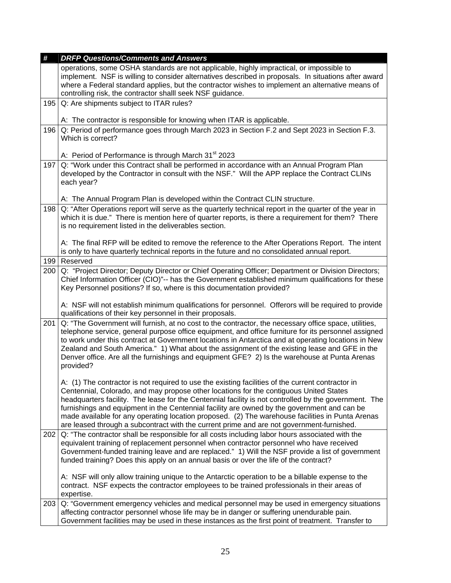| #   | <b>DRFP Questions/Comments and Answers</b>                                                                                                                                                                                                                                                                                                                                                                                                                                                                                                                                                           |
|-----|------------------------------------------------------------------------------------------------------------------------------------------------------------------------------------------------------------------------------------------------------------------------------------------------------------------------------------------------------------------------------------------------------------------------------------------------------------------------------------------------------------------------------------------------------------------------------------------------------|
|     | operations, some OSHA standards are not applicable, highly impractical, or impossible to<br>implement. NSF is willing to consider alternatives described in proposals. In situations after award<br>where a Federal standard applies, but the contractor wishes to implement an alternative means of                                                                                                                                                                                                                                                                                                 |
|     | controlling risk, the contractor shalll seek NSF guidance.                                                                                                                                                                                                                                                                                                                                                                                                                                                                                                                                           |
| 195 | Q: Are shipments subject to ITAR rules?                                                                                                                                                                                                                                                                                                                                                                                                                                                                                                                                                              |
|     | A: The contractor is responsible for knowing when ITAR is applicable.                                                                                                                                                                                                                                                                                                                                                                                                                                                                                                                                |
| 196 | Q: Period of performance goes through March 2023 in Section F.2 and Sept 2023 in Section F.3.<br>Which is correct?                                                                                                                                                                                                                                                                                                                                                                                                                                                                                   |
|     | A: Period of Performance is through March 31 <sup>st</sup> 2023                                                                                                                                                                                                                                                                                                                                                                                                                                                                                                                                      |
| 197 | Q: "Work under this Contract shall be performed in accordance with an Annual Program Plan<br>developed by the Contractor in consult with the NSF." Will the APP replace the Contract CLINs<br>each year?                                                                                                                                                                                                                                                                                                                                                                                             |
|     | A: The Annual Program Plan is developed within the Contract CLIN structure.                                                                                                                                                                                                                                                                                                                                                                                                                                                                                                                          |
| 198 | Q: "After Operations report will serve as the quarterly technical report in the quarter of the year in<br>which it is due." There is mention here of quarter reports, is there a requirement for them? There<br>is no requirement listed in the deliverables section.                                                                                                                                                                                                                                                                                                                                |
|     | A: The final RFP will be edited to remove the reference to the After Operations Report. The intent<br>is only to have quarterly technical reports in the future and no consolidated annual report.                                                                                                                                                                                                                                                                                                                                                                                                   |
| 199 | Reserved                                                                                                                                                                                                                                                                                                                                                                                                                                                                                                                                                                                             |
| 200 | Q: "Project Director; Deputy Director or Chief Operating Officer; Department or Division Directors;<br>Chief Information Officer (CIO)"-- has the Government established minimum qualifications for these<br>Key Personnel positions? If so, where is this documentation provided?                                                                                                                                                                                                                                                                                                                   |
|     | A: NSF will not establish minimum qualifications for personnel. Offerors will be required to provide<br>qualifications of their key personnel in their proposals.                                                                                                                                                                                                                                                                                                                                                                                                                                    |
| 201 | Q: "The Government will furnish, at no cost to the contractor, the necessary office space, utilities,<br>telephone service, general purpose office equipment, and office furniture for its personnel assigned<br>to work under this contract at Government locations in Antarctica and at operating locations in New<br>Zealand and South America." 1) What about the assignment of the existing lease and GFE in the<br>Denver office. Are all the furnishings and equipment GFE? 2) Is the warehouse at Punta Arenas<br>provided?                                                                  |
|     | A: (1) The contractor is not required to use the existing facilities of the current contractor in<br>Centennial, Colorado, and may propose other locations for the contiguous United States<br>headquarters facility. The lease for the Centennial facility is not controlled by the government. The<br>furnishings and equipment in the Centennial facility are owned by the government and can be<br>made available for any operating location proposed. (2) The warehouse facilities in Punta Arenas<br>are leased through a subcontract with the current prime and are not government-furnished. |
| 202 | Q: "The contractor shall be responsible for all costs including labor hours associated with the<br>equivalent training of replacement personnel when contractor personnel who have received<br>Government-funded training leave and are replaced." 1) Will the NSF provide a list of government<br>funded training? Does this apply on an annual basis or over the life of the contract?                                                                                                                                                                                                             |
|     | A: NSF will only allow training unique to the Antarctic operation to be a billable expense to the<br>contract. NSF expects the contractor employees to be trained professionals in their areas of<br>expertise.                                                                                                                                                                                                                                                                                                                                                                                      |
| 203 | Q: "Government emergency vehicles and medical personnel may be used in emergency situations<br>affecting contractor personnel whose life may be in danger or suffering unendurable pain.<br>Government facilities may be used in these instances as the first point of treatment. Transfer to                                                                                                                                                                                                                                                                                                        |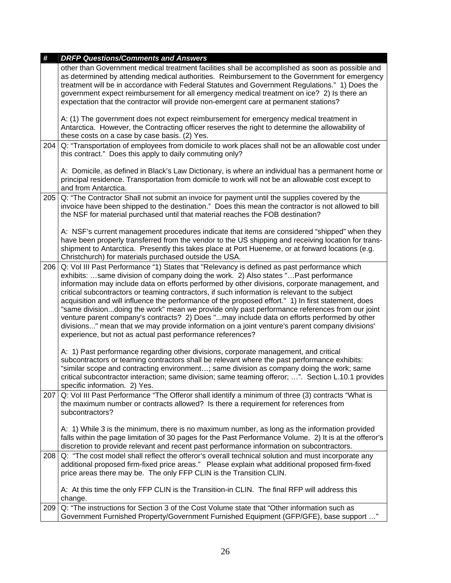| #   | <b>DRFP Questions/Comments and Answers</b>                                                                                                                                                                                                                                                                                                                                                                                                                                                                                                                                                                                                                                                                                                                                                                                                                     |
|-----|----------------------------------------------------------------------------------------------------------------------------------------------------------------------------------------------------------------------------------------------------------------------------------------------------------------------------------------------------------------------------------------------------------------------------------------------------------------------------------------------------------------------------------------------------------------------------------------------------------------------------------------------------------------------------------------------------------------------------------------------------------------------------------------------------------------------------------------------------------------|
|     | other than Government medical treatment facilities shall be accomplished as soon as possible and<br>as determined by attending medical authorities. Reimbursement to the Government for emergency<br>treatment will be in accordance with Federal Statutes and Government Regulations." 1) Does the<br>government expect reimbursement for all emergency medical treatment on ice? 2) Is there an<br>expectation that the contractor will provide non-emergent care at permanent stations?                                                                                                                                                                                                                                                                                                                                                                     |
|     | A: (1) The government does not expect reimbursement for emergency medical treatment in<br>Antarctica. However, the Contracting officer reserves the right to determine the allowability of<br>these costs on a case by case basis. (2) Yes.                                                                                                                                                                                                                                                                                                                                                                                                                                                                                                                                                                                                                    |
| 204 | Q: "Transportation of employees from domicile to work places shall not be an allowable cost under<br>this contract." Does this apply to daily commuting only?                                                                                                                                                                                                                                                                                                                                                                                                                                                                                                                                                                                                                                                                                                  |
|     | A: Domicile, as defined in Black's Law Dictionary, is where an individual has a permanent home or<br>principal residence. Transportation from domicile to work will not be an allowable cost except to<br>and from Antarctica.                                                                                                                                                                                                                                                                                                                                                                                                                                                                                                                                                                                                                                 |
| 205 | Q: "The Contractor Shall not submit an invoice for payment until the supplies covered by the<br>invoice have been shipped to the destination." Does this mean the contractor is not allowed to bill<br>the NSF for material purchased until that material reaches the FOB destination?                                                                                                                                                                                                                                                                                                                                                                                                                                                                                                                                                                         |
|     | A: NSF's current management procedures indicate that items are considered "shipped" when they<br>have been properly transferred from the vendor to the US shipping and receiving location for trans-<br>shipment to Antarctica. Presently this takes place at Port Hueneme, or at forward locations (e.g.<br>Christchurch) for materials purchased outside the USA.                                                                                                                                                                                                                                                                                                                                                                                                                                                                                            |
| 206 | Q: Vol III Past Performance "1) States that "Relevancy is defined as past performance which<br>exhibits: same division of company doing the work. 2) Also states "Past performance<br>information may include data on efforts performed by other divisions, corporate management, and<br>critical subcontractors or teaming contractors, if such information is relevant to the subject<br>acquisition and will influence the performance of the proposed effort." 1) In first statement, does<br>"same divisiondoing the work" mean we provide only past performance references from our joint<br>venture parent company's contracts? 2) Does "may include data on efforts performed by other<br>divisions" mean that we may provide information on a joint venture's parent company divisions'<br>experience, but not as actual past performance references? |
|     | A: 1) Past performance regarding other divisions, corporate management, and critical<br>subcontractors or teaming contractors shall be relevant where the past performance exhibits:<br>"similar scope and contracting environment; same division as company doing the work; same<br>critical subcontractor interaction; same division; same teaming offeror; ". Section L.10.1 provides<br>specific information. 2) Yes.                                                                                                                                                                                                                                                                                                                                                                                                                                      |
| 207 | Q: Vol III Past Performance "The Offeror shall identify a minimum of three (3) contracts "What is<br>the maximum number or contracts allowed? Is there a requirement for references from<br>subcontractors?                                                                                                                                                                                                                                                                                                                                                                                                                                                                                                                                                                                                                                                    |
|     | A: 1) While 3 is the minimum, there is no maximum number, as long as the information provided<br>falls within the page limitation of 30 pages for the Past Performance Volume. 2) It is at the offeror's<br>discretion to provide relevant and recent past performance information on subcontractors.                                                                                                                                                                                                                                                                                                                                                                                                                                                                                                                                                          |
| 208 | Q: "The cost model shall reflect the offeror's overall technical solution and must incorporate any<br>additional proposed firm-fixed price areas." Please explain what additional proposed firm-fixed<br>price areas there may be. The only FFP CLIN is the Transition CLIN.                                                                                                                                                                                                                                                                                                                                                                                                                                                                                                                                                                                   |
|     | A: At this time the only FFP CLIN is the Transition-in CLIN. The final RFP will address this<br>change.                                                                                                                                                                                                                                                                                                                                                                                                                                                                                                                                                                                                                                                                                                                                                        |
| 209 | Q: "The instructions for Section 3 of the Cost Volume state that "Other information such as<br>Government Furnished Property/Government Furnished Equipment (GFP/GFE), base support "                                                                                                                                                                                                                                                                                                                                                                                                                                                                                                                                                                                                                                                                          |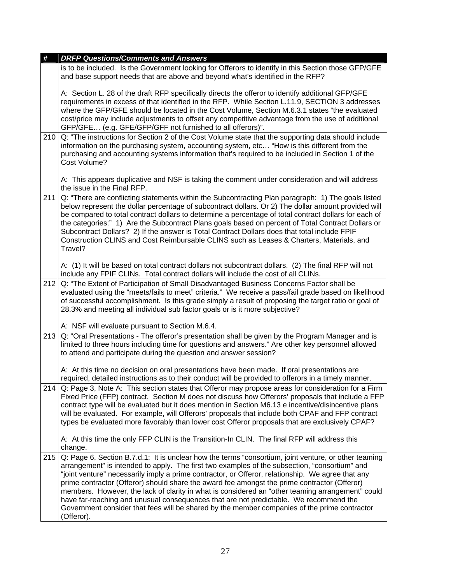| #   | <b>DRFP Questions/Comments and Answers</b>                                                                                                                                                                                                                                                                                                                                                                                                                                                                                                                                                                                                                                                                            |
|-----|-----------------------------------------------------------------------------------------------------------------------------------------------------------------------------------------------------------------------------------------------------------------------------------------------------------------------------------------------------------------------------------------------------------------------------------------------------------------------------------------------------------------------------------------------------------------------------------------------------------------------------------------------------------------------------------------------------------------------|
|     | is to be included. Is the Government looking for Offerors to identify in this Section those GFP/GFE<br>and base support needs that are above and beyond what's identified in the RFP?                                                                                                                                                                                                                                                                                                                                                                                                                                                                                                                                 |
|     | A: Section L. 28 of the draft RFP specifically directs the offeror to identify additional GFP/GFE<br>requirements in excess of that identified in the RFP. While Section L.11.9, SECTION 3 addresses<br>where the GFP/GFE should be located in the Cost Volume, Section M.6.3.1 states "the evaluated<br>cost/price may include adjustments to offset any competitive advantage from the use of additional<br>GFP/GFE (e.g. GFE/GFP/GFF not furnished to all offerors)".                                                                                                                                                                                                                                              |
| 210 | Q: "The instructions for Section 2 of the Cost Volume state that the supporting data should include<br>information on the purchasing system, accounting system, etc "How is this different from the<br>purchasing and accounting systems information that's required to be included in Section 1 of the<br>Cost Volume?                                                                                                                                                                                                                                                                                                                                                                                               |
|     | A: This appears duplicative and NSF is taking the comment under consideration and will address<br>the issue in the Final RFP.                                                                                                                                                                                                                                                                                                                                                                                                                                                                                                                                                                                         |
| 211 | Q: "There are conflicting statements within the Subcontracting Plan paragraph: 1) The goals listed<br>below represent the dollar percentage of subcontract dollars. Or 2) The dollar amount provided will<br>be compared to total contract dollars to determine a percentage of total contract dollars for each of<br>the categories:" 1) Are the Subcontract Plans goals based on percent of Total Contract Dollars or<br>Subcontract Dollars? 2) If the answer is Total Contract Dollars does that total include FPIF<br>Construction CLINS and Cost Reimbursable CLINS such as Leases & Charters, Materials, and<br>Travel?                                                                                        |
|     | A: (1) It will be based on total contract dollars not subcontract dollars. (2) The final RFP will not<br>include any FPIF CLINs. Total contract dollars will include the cost of all CLINs.                                                                                                                                                                                                                                                                                                                                                                                                                                                                                                                           |
| 212 | Q: "The Extent of Participation of Small Disadvantaged Business Concerns Factor shall be<br>evaluated using the "meets/fails to meet" criteria." We receive a pass/fail grade based on likelihood<br>of successful accomplishment. Is this grade simply a result of proposing the target ratio or goal of<br>28.3% and meeting all individual sub factor goals or is it more subjective?                                                                                                                                                                                                                                                                                                                              |
|     | A: NSF will evaluate pursuant to Section M.6.4.                                                                                                                                                                                                                                                                                                                                                                                                                                                                                                                                                                                                                                                                       |
| 213 | Q: "Oral Presentations - The offeror's presentation shall be given by the Program Manager and is<br>limited to three hours including time for questions and answers." Are other key personnel allowed<br>to attend and participate during the question and answer session?                                                                                                                                                                                                                                                                                                                                                                                                                                            |
|     | A: At this time no decision on oral presentations have been made. If oral presentations are<br>required, detailed instructions as to their conduct will be provided to offerors in a timely manner.                                                                                                                                                                                                                                                                                                                                                                                                                                                                                                                   |
| 214 | Q: Page 3, Note A: This section states that Offeror may propose areas for consideration for a Firm<br>Fixed Price (FFP) contract. Section M does not discuss how Offerors' proposals that include a FFP<br>contract type will be evaluated but it does mention in Section M6.13 e incentive/disincentive plans<br>will be evaluated. For example, will Offerors' proposals that include both CPAF and FFP contract<br>types be evaluated more favorably than lower cost Offeror proposals that are exclusively CPAF?                                                                                                                                                                                                  |
|     | A: At this time the only FFP CLIN is the Transition-In CLIN. The final RFP will address this<br>change.                                                                                                                                                                                                                                                                                                                                                                                                                                                                                                                                                                                                               |
| 215 | Q: Page 6, Section B.7.d.1: It is unclear how the terms "consortium, joint venture, or other teaming<br>arrangement" is intended to apply. The first two examples of the subsection, "consortium" and<br>"joint venture" necessarily imply a prime contractor, or Offeror, relationship. We agree that any<br>prime contractor (Offeror) should share the award fee amongst the prime contractor (Offeror)<br>members. However, the lack of clarity in what is considered an "other teaming arrangement" could<br>have far-reaching and unusual consequences that are not predictable. We recommend the<br>Government consider that fees will be shared by the member companies of the prime contractor<br>(Offeror). |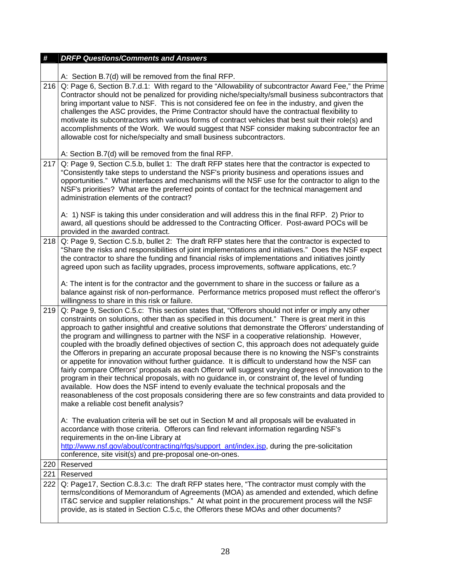| #   | <b>DRFP Questions/Comments and Answers</b>                                                                                                                                                                                                                                                                                                                                                                                                                                                                                                                                                                                                                                                                                                                                                                                                                                                                                                                                                                                                                                                                                                                                         |
|-----|------------------------------------------------------------------------------------------------------------------------------------------------------------------------------------------------------------------------------------------------------------------------------------------------------------------------------------------------------------------------------------------------------------------------------------------------------------------------------------------------------------------------------------------------------------------------------------------------------------------------------------------------------------------------------------------------------------------------------------------------------------------------------------------------------------------------------------------------------------------------------------------------------------------------------------------------------------------------------------------------------------------------------------------------------------------------------------------------------------------------------------------------------------------------------------|
|     |                                                                                                                                                                                                                                                                                                                                                                                                                                                                                                                                                                                                                                                                                                                                                                                                                                                                                                                                                                                                                                                                                                                                                                                    |
| 216 | A: Section B.7(d) will be removed from the final RFP.<br>Q: Page 6, Section B.7.d.1: With regard to the "Allowability of subcontractor Award Fee," the Prime                                                                                                                                                                                                                                                                                                                                                                                                                                                                                                                                                                                                                                                                                                                                                                                                                                                                                                                                                                                                                       |
|     | Contractor should not be penalized for providing niche/specialty/small business subcontractors that<br>bring important value to NSF. This is not considered fee on fee in the industry, and given the<br>challenges the ASC provides, the Prime Contractor should have the contractual flexibility to<br>motivate its subcontractors with various forms of contract vehicles that best suit their role(s) and<br>accomplishments of the Work. We would suggest that NSF consider making subcontractor fee an                                                                                                                                                                                                                                                                                                                                                                                                                                                                                                                                                                                                                                                                       |
|     | allowable cost for niche/specialty and small business subcontractors.                                                                                                                                                                                                                                                                                                                                                                                                                                                                                                                                                                                                                                                                                                                                                                                                                                                                                                                                                                                                                                                                                                              |
|     | A: Section B.7(d) will be removed from the final RFP.                                                                                                                                                                                                                                                                                                                                                                                                                                                                                                                                                                                                                                                                                                                                                                                                                                                                                                                                                                                                                                                                                                                              |
| 217 | Q: Page 9, Section C.5.b, bullet 1: The draft RFP states here that the contractor is expected to<br>"Consistently take steps to understand the NSF's priority business and operations issues and<br>opportunities." What interfaces and mechanisms will the NSF use for the contractor to align to the<br>NSF's priorities? What are the preferred points of contact for the technical management and<br>administration elements of the contract?                                                                                                                                                                                                                                                                                                                                                                                                                                                                                                                                                                                                                                                                                                                                  |
|     | A: 1) NSF is taking this under consideration and will address this in the final RFP. 2) Prior to<br>award, all questions should be addressed to the Contracting Officer. Post-award POCs will be<br>provided in the awarded contract.                                                                                                                                                                                                                                                                                                                                                                                                                                                                                                                                                                                                                                                                                                                                                                                                                                                                                                                                              |
| 218 | Q: Page 9, Section C.5.b, bullet 2: The draft RFP states here that the contractor is expected to<br>"Share the risks and responsibilities of joint implementations and initiatives." Does the NSF expect<br>the contractor to share the funding and financial risks of implementations and initiatives jointly<br>agreed upon such as facility upgrades, process improvements, software applications, etc.?                                                                                                                                                                                                                                                                                                                                                                                                                                                                                                                                                                                                                                                                                                                                                                        |
|     | A: The intent is for the contractor and the government to share in the success or failure as a<br>balance against risk of non-performance. Performance metrics proposed must reflect the offeror's<br>willingness to share in this risk or failure.                                                                                                                                                                                                                                                                                                                                                                                                                                                                                                                                                                                                                                                                                                                                                                                                                                                                                                                                |
| 219 | Q: Page 9, Section C.5.c: This section states that, "Offerors should not infer or imply any other<br>constraints on solutions, other than as specified in this document." There is great merit in this<br>approach to gather insightful and creative solutions that demonstrate the Offerors' understanding of<br>the program and willingness to partner with the NSF in a cooperative relationship. However,<br>coupled with the broadly defined objectives of section C, this approach does not adequately guide<br>the Offerors in preparing an accurate proposal because there is no knowing the NSF's constraints<br>or appetite for innovation without further guidance. It is difficult to understand how the NSF can<br>fairly compare Offerors' proposals as each Offeror will suggest varying degrees of innovation to the<br>program in their technical proposals, with no guidance in, or constraint of, the level of funding<br>available. How does the NSF intend to evenly evaluate the technical proposals and the<br>reasonableness of the cost proposals considering there are so few constraints and data provided to<br>make a reliable cost benefit analysis? |
|     | A: The evaluation criteria will be set out in Section M and all proposals will be evaluated in<br>accordance with those criteria. Offerors can find relevant information regarding NSF's<br>requirements in the on-line Library at<br>http://www.nsf.gov/about/contracting/rfgs/support_ant/index.jsp, during the pre-solicitation<br>conference, site visit(s) and pre-proposal one-on-ones.                                                                                                                                                                                                                                                                                                                                                                                                                                                                                                                                                                                                                                                                                                                                                                                      |
| 220 | Reserved                                                                                                                                                                                                                                                                                                                                                                                                                                                                                                                                                                                                                                                                                                                                                                                                                                                                                                                                                                                                                                                                                                                                                                           |
| 221 | Reserved                                                                                                                                                                                                                                                                                                                                                                                                                                                                                                                                                                                                                                                                                                                                                                                                                                                                                                                                                                                                                                                                                                                                                                           |
| 222 | Q: Page17, Section C.8.3.c: The draft RFP states here, "The contractor must comply with the<br>terms/conditions of Memorandum of Agreements (MOA) as amended and extended, which define<br>IT&C service and supplier relationships." At what point in the procurement process will the NSF<br>provide, as is stated in Section C.5.c, the Offerors these MOAs and other documents?                                                                                                                                                                                                                                                                                                                                                                                                                                                                                                                                                                                                                                                                                                                                                                                                 |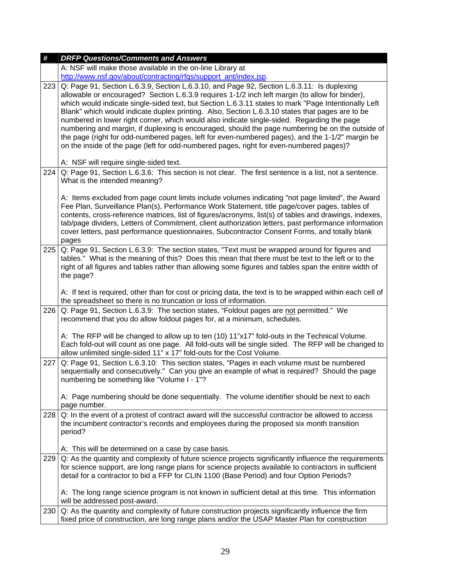| $\pmb{\#}$ | <b>DRFP Questions/Comments and Answers</b>                                                                                                                                                                                                                                                                                                                                                                                                                                                                                                                                                                                                                                                                                                                                                               |
|------------|----------------------------------------------------------------------------------------------------------------------------------------------------------------------------------------------------------------------------------------------------------------------------------------------------------------------------------------------------------------------------------------------------------------------------------------------------------------------------------------------------------------------------------------------------------------------------------------------------------------------------------------------------------------------------------------------------------------------------------------------------------------------------------------------------------|
|            | A: NSF will make those available in the on-line Library at                                                                                                                                                                                                                                                                                                                                                                                                                                                                                                                                                                                                                                                                                                                                               |
|            | http://www.nsf.gov/about/contracting/rfqs/support_ant/index.jsp.                                                                                                                                                                                                                                                                                                                                                                                                                                                                                                                                                                                                                                                                                                                                         |
| 223        | Q: Page 91, Section L.6.3.9, Section L.6.3.10, and Page 92, Section L.6.3.11: Is duplexing<br>allowable or encouraged? Section L.6.3.9 requires 1-1/2 inch left margin (to allow for binder),<br>which would indicate single-sided text, but Section L.6.3.11 states to mark "Page Intentionally Left<br>Blank" which would indicate duplex printing. Also, Section L.6.3.10 states that pages are to be<br>numbered in lower right corner, which would also indicate single-sided. Regarding the page<br>numbering and margin, if duplexing is encouraged, should the page numbering be on the outside of<br>the page (right for odd-numbered pages, left for even-numbered pages), and the 1-1/2" margin be<br>on the inside of the page (left for odd-numbered pages, right for even-numbered pages)? |
|            | A: NSF will require single-sided text.                                                                                                                                                                                                                                                                                                                                                                                                                                                                                                                                                                                                                                                                                                                                                                   |
| 224        | Q: Page 91, Section L.6.3.6: This section is not clear. The first sentence is a list, not a sentence.<br>What is the intended meaning?                                                                                                                                                                                                                                                                                                                                                                                                                                                                                                                                                                                                                                                                   |
|            | A: Items excluded from page count limits include volumes indicating "not page limited", the Award<br>Fee Plan, Surveillance Plan(s), Performance Work Statement, title page/cover pages, tables of<br>contents, cross-reference matrices, list of figures/acronyms, list(s) of tables and drawings, indexes,<br>tab/page dividers, Letters of Commitment, client authorization letters, past performance information<br>cover letters, past performance questionnaires, Subcontractor Consent Forms, and totally blank<br>pages                                                                                                                                                                                                                                                                          |
| 225        | Q: Page 91, Section L.6.3.9: The section states, "Text must be wrapped around for figures and<br>tables." What is the meaning of this? Does this mean that there must be text to the left or to the<br>right of all figures and tables rather than allowing some figures and tables span the entire width of<br>the page?                                                                                                                                                                                                                                                                                                                                                                                                                                                                                |
|            | A: If text is required, other than for cost or pricing data, the text is to be wrapped within each cell of<br>the spreadsheet so there is no truncation or loss of information.                                                                                                                                                                                                                                                                                                                                                                                                                                                                                                                                                                                                                          |
| 226        | Q: Page 91, Section L.6.3.9: The section states, "Foldout pages are not permitted." We<br>recommend that you do allow foldout pages for, at a minimum, schedules.                                                                                                                                                                                                                                                                                                                                                                                                                                                                                                                                                                                                                                        |
|            | A: The RFP will be changed to allow up to ten (10) 11"x17" fold-outs in the Technical Volume.<br>Each fold-out will count as one page. All fold-outs will be single sided. The RFP will be changed to<br>allow unlimited single-sided 11" x 17" fold-outs for the Cost Volume.                                                                                                                                                                                                                                                                                                                                                                                                                                                                                                                           |
| 227        | Q: Page 91, Section L.6.3.10: This section states, "Pages in each volume must be numbered<br>sequentially and consecutively." Can you give an example of what is required? Should the page<br>numbering be something like "Volume I - 1"?                                                                                                                                                                                                                                                                                                                                                                                                                                                                                                                                                                |
|            | A: Page numbering should be done sequentially. The volume identifier should be next to each<br>page number.                                                                                                                                                                                                                                                                                                                                                                                                                                                                                                                                                                                                                                                                                              |
| 228        | Q: In the event of a protest of contract award will the successful contractor be allowed to access<br>the incumbent contractor's records and employees during the proposed six month transition<br>period?                                                                                                                                                                                                                                                                                                                                                                                                                                                                                                                                                                                               |
|            | A: This will be determined on a case by case basis.                                                                                                                                                                                                                                                                                                                                                                                                                                                                                                                                                                                                                                                                                                                                                      |
| 229        | Q: As the quantity and complexity of future science projects significantly influence the requirements<br>for science support, are long range plans for science projects available to contractors in sufficient<br>detail for a contractor to bid a FFP for CLIN 1100 (Base Period) and four Option Periods?                                                                                                                                                                                                                                                                                                                                                                                                                                                                                              |
|            | A: The long range science program is not known in sufficient detail at this time. This information<br>will be addressed post-award.                                                                                                                                                                                                                                                                                                                                                                                                                                                                                                                                                                                                                                                                      |
| 230        | Q: As the quantity and complexity of future construction projects significantly influence the firm<br>fixed price of construction, are long range plans and/or the USAP Master Plan for construction                                                                                                                                                                                                                                                                                                                                                                                                                                                                                                                                                                                                     |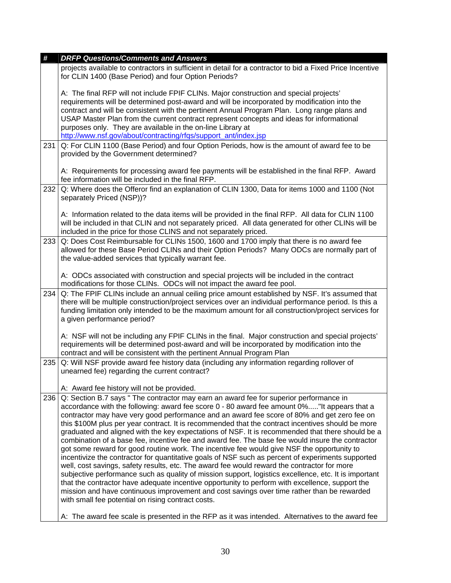| #   | <b>DRFP Questions/Comments and Answers</b>                                                                                                                                                                                                                                                                                                                                                                                                                                                                                                                                                                                                                                                                                                                                                                                                                                                                                                                                                                                                                                                                                                                                                                                                                          |
|-----|---------------------------------------------------------------------------------------------------------------------------------------------------------------------------------------------------------------------------------------------------------------------------------------------------------------------------------------------------------------------------------------------------------------------------------------------------------------------------------------------------------------------------------------------------------------------------------------------------------------------------------------------------------------------------------------------------------------------------------------------------------------------------------------------------------------------------------------------------------------------------------------------------------------------------------------------------------------------------------------------------------------------------------------------------------------------------------------------------------------------------------------------------------------------------------------------------------------------------------------------------------------------|
|     | projects available to contractors in sufficient in detail for a contractor to bid a Fixed Price Incentive<br>for CLIN 1400 (Base Period) and four Option Periods?                                                                                                                                                                                                                                                                                                                                                                                                                                                                                                                                                                                                                                                                                                                                                                                                                                                                                                                                                                                                                                                                                                   |
|     | A: The final RFP will not include FPIF CLINs. Major construction and special projects'<br>requirements will be determined post-award and will be incorporated by modification into the<br>contract and will be consistent with the pertinent Annual Program Plan. Long range plans and<br>USAP Master Plan from the current contract represent concepts and ideas for informational<br>purposes only. They are available in the on-line Library at<br>http://www.nsf.gov/about/contracting/rfqs/support_ant/index.jsp                                                                                                                                                                                                                                                                                                                                                                                                                                                                                                                                                                                                                                                                                                                                               |
| 231 | Q: For CLIN 1100 (Base Period) and four Option Periods, how is the amount of award fee to be<br>provided by the Government determined?                                                                                                                                                                                                                                                                                                                                                                                                                                                                                                                                                                                                                                                                                                                                                                                                                                                                                                                                                                                                                                                                                                                              |
|     | A: Requirements for processing award fee payments will be established in the final RFP. Award<br>fee information will be included in the final RFP.                                                                                                                                                                                                                                                                                                                                                                                                                                                                                                                                                                                                                                                                                                                                                                                                                                                                                                                                                                                                                                                                                                                 |
| 232 | Q: Where does the Offeror find an explanation of CLIN 1300, Data for items 1000 and 1100 (Not<br>separately Priced (NSP))?                                                                                                                                                                                                                                                                                                                                                                                                                                                                                                                                                                                                                                                                                                                                                                                                                                                                                                                                                                                                                                                                                                                                          |
|     | A: Information related to the data items will be provided in the final RFP. All data for CLIN 1100<br>will be included in that CLIN and not separately priced. All data generated for other CLINs will be<br>included in the price for those CLINS and not separately priced.                                                                                                                                                                                                                                                                                                                                                                                                                                                                                                                                                                                                                                                                                                                                                                                                                                                                                                                                                                                       |
| 233 | Q: Does Cost Reimbursable for CLINs 1500, 1600 and 1700 imply that there is no award fee<br>allowed for these Base Period CLINs and their Option Periods? Many ODCs are normally part of<br>the value-added services that typically warrant fee.                                                                                                                                                                                                                                                                                                                                                                                                                                                                                                                                                                                                                                                                                                                                                                                                                                                                                                                                                                                                                    |
|     | A: ODCs associated with construction and special projects will be included in the contract<br>modifications for those CLINs. ODCs will not impact the award fee pool.                                                                                                                                                                                                                                                                                                                                                                                                                                                                                                                                                                                                                                                                                                                                                                                                                                                                                                                                                                                                                                                                                               |
| 234 | Q: The FPIF CLINs include an annual ceiling price amount established by NSF. It's assumed that<br>there will be multiple construction/project services over an individual performance period. Is this a<br>funding limitation only intended to be the maximum amount for all construction/project services for<br>a given performance period?                                                                                                                                                                                                                                                                                                                                                                                                                                                                                                                                                                                                                                                                                                                                                                                                                                                                                                                       |
|     | A: NSF will not be including any FPIF CLINs in the final. Major construction and special projects'<br>requirements will be determined post-award and will be incorporated by modification into the<br>contract and will be consistent with the pertinent Annual Program Plan                                                                                                                                                                                                                                                                                                                                                                                                                                                                                                                                                                                                                                                                                                                                                                                                                                                                                                                                                                                        |
| 235 | Q: Will NSF provide award fee history data (including any information regarding rollover of<br>unearned fee) regarding the current contract?<br>A: Award fee history will not be provided.                                                                                                                                                                                                                                                                                                                                                                                                                                                                                                                                                                                                                                                                                                                                                                                                                                                                                                                                                                                                                                                                          |
| 236 | Q: Section B.7 says " The contractor may earn an award fee for superior performance in<br>accordance with the following: award fee score 0 - 80 award fee amount 0%"It appears that a<br>contractor may have very good performance and an award fee score of 80% and get zero fee on<br>this \$100M plus per year contract. It is recommended that the contract incentives should be more<br>graduated and aligned with the key expectations of NSF. It is recommended that there should be a<br>combination of a base fee, incentive fee and award fee. The base fee would insure the contractor<br>got some reward for good routine work. The incentive fee would give NSF the opportunity to<br>incentivize the contractor for quantitative goals of NSF such as percent of experiments supported<br>well, cost savings, safety results, etc. The award fee would reward the contractor for more<br>subjective performance such as quality of mission support, logistics excellence, etc. It is important<br>that the contractor have adequate incentive opportunity to perform with excellence, support the<br>mission and have continuous improvement and cost savings over time rather than be rewarded<br>with small fee potential on rising contract costs. |
|     | A: The award fee scale is presented in the RFP as it was intended. Alternatives to the award fee                                                                                                                                                                                                                                                                                                                                                                                                                                                                                                                                                                                                                                                                                                                                                                                                                                                                                                                                                                                                                                                                                                                                                                    |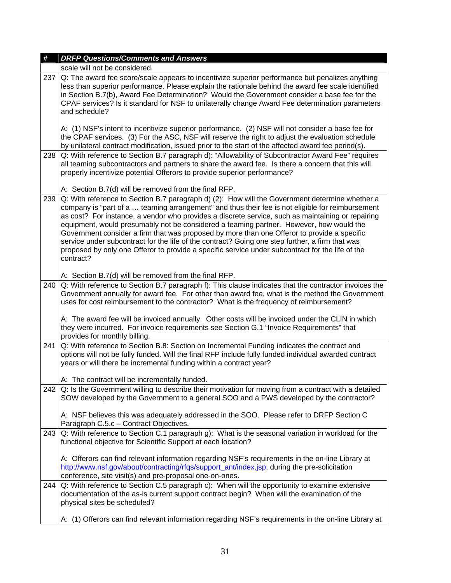| #   | <b>DRFP Questions/Comments and Answers</b>                                                                                                                                                                                                                                                                                                                                                                                                                                                                                                                                                                                                                                                                            |
|-----|-----------------------------------------------------------------------------------------------------------------------------------------------------------------------------------------------------------------------------------------------------------------------------------------------------------------------------------------------------------------------------------------------------------------------------------------------------------------------------------------------------------------------------------------------------------------------------------------------------------------------------------------------------------------------------------------------------------------------|
|     | scale will not be considered.                                                                                                                                                                                                                                                                                                                                                                                                                                                                                                                                                                                                                                                                                         |
| 237 | Q: The award fee score/scale appears to incentivize superior performance but penalizes anything<br>less than superior performance. Please explain the rationale behind the award fee scale identified<br>in Section B.7(b), Award Fee Determination? Would the Government consider a base fee for the<br>CPAF services? Is it standard for NSF to unilaterally change Award Fee determination parameters<br>and schedule?                                                                                                                                                                                                                                                                                             |
|     | A: (1) NSF's intent to incentivize superior performance. (2) NSF will not consider a base fee for<br>the CPAF services. (3) For the ASC, NSF will reserve the right to adjust the evaluation schedule<br>by unilateral contract modification, issued prior to the start of the affected award fee period(s).                                                                                                                                                                                                                                                                                                                                                                                                          |
| 238 | Q: With reference to Section B.7 paragraph d): "Allowability of Subcontractor Award Fee" requires<br>all teaming subcontractors and partners to share the award fee. Is there a concern that this will<br>properly incentivize potential Offerors to provide superior performance?                                                                                                                                                                                                                                                                                                                                                                                                                                    |
|     | A: Section B.7(d) will be removed from the final RFP.                                                                                                                                                                                                                                                                                                                                                                                                                                                                                                                                                                                                                                                                 |
| 239 | Q: With reference to Section B.7 paragraph d) (2): How will the Government determine whether a<br>company is "part of a  teaming arrangement" and thus their fee is not eligible for reimbursement<br>as cost? For instance, a vendor who provides a discrete service, such as maintaining or repairing<br>equipment, would presumably not be considered a teaming partner. However, how would the<br>Government consider a firm that was proposed by more than one Offeror to provide a specific<br>service under subcontract for the life of the contract? Going one step further, a firm that was<br>proposed by only one Offeror to provide a specific service under subcontract for the life of the<br>contract? |
|     | A: Section B.7(d) will be removed from the final RFP.                                                                                                                                                                                                                                                                                                                                                                                                                                                                                                                                                                                                                                                                 |
| 240 | Q: With reference to Section B.7 paragraph f): This clause indicates that the contractor invoices the<br>Government annually for award fee. For other than award fee, what is the method the Government<br>uses for cost reimbursement to the contractor? What is the frequency of reimbursement?                                                                                                                                                                                                                                                                                                                                                                                                                     |
|     | A: The award fee will be invoiced annually. Other costs will be invoiced under the CLIN in which<br>they were incurred. For invoice requirements see Section G.1 "Invoice Requirements" that<br>provides for monthly billing.                                                                                                                                                                                                                                                                                                                                                                                                                                                                                         |
| 241 | Q: With reference to Section B.8: Section on Incremental Funding indicates the contract and<br>options will not be fully funded. Will the final RFP include fully funded individual awarded contract<br>years or will there be incremental funding within a contract year?                                                                                                                                                                                                                                                                                                                                                                                                                                            |
|     | A: The contract will be incrementally funded.                                                                                                                                                                                                                                                                                                                                                                                                                                                                                                                                                                                                                                                                         |
|     | $242$ Q: Is the Government willing to describe their motivation for moving from a contract with a detailed<br>SOW developed by the Government to a general SOO and a PWS developed by the contractor?<br>A: NSF believes this was adequately addressed in the SOO. Please refer to DRFP Section C                                                                                                                                                                                                                                                                                                                                                                                                                     |
|     | Paragraph C.5.c - Contract Objectives.                                                                                                                                                                                                                                                                                                                                                                                                                                                                                                                                                                                                                                                                                |
| 243 | Q: With reference to Section C.1 paragraph g): What is the seasonal variation in workload for the<br>functional objective for Scientific Support at each location?                                                                                                                                                                                                                                                                                                                                                                                                                                                                                                                                                    |
|     | A: Offerors can find relevant information regarding NSF's requirements in the on-line Library at<br>http://www.nsf.gov/about/contracting/rfgs/support_ant/index.jsp, during the pre-solicitation<br>conference, site visit(s) and pre-proposal one-on-ones.                                                                                                                                                                                                                                                                                                                                                                                                                                                           |
| 244 | Q: With reference to Section C.5 paragraph c): When will the opportunity to examine extensive<br>documentation of the as-is current support contract begin? When will the examination of the<br>physical sites be scheduled?                                                                                                                                                                                                                                                                                                                                                                                                                                                                                          |
|     | A: (1) Offerors can find relevant information regarding NSF's requirements in the on-line Library at                                                                                                                                                                                                                                                                                                                                                                                                                                                                                                                                                                                                                  |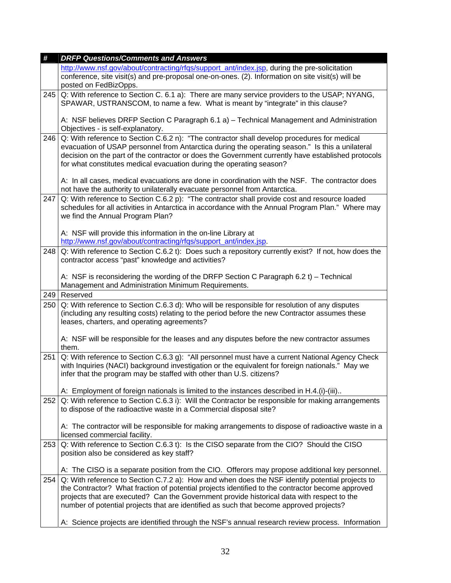| #   | <b>DRFP Questions/Comments and Answers</b>                                                                                                                                                            |
|-----|-------------------------------------------------------------------------------------------------------------------------------------------------------------------------------------------------------|
|     | http://www.nsf.gov/about/contracting/rfgs/support_ant/index.jsp, during the pre-solicitation                                                                                                          |
|     | conference, site visit(s) and pre-proposal one-on-ones. (2). Information on site visit(s) will be                                                                                                     |
|     | posted on FedBizOpps.                                                                                                                                                                                 |
| 245 | Q: With reference to Section C. 6.1 a): There are many service providers to the USAP; NYANG,                                                                                                          |
|     | SPAWAR, USTRANSCOM, to name a few. What is meant by "integrate" in this clause?                                                                                                                       |
|     |                                                                                                                                                                                                       |
|     | A: NSF believes DRFP Section C Paragraph 6.1 a) - Technical Management and Administration                                                                                                             |
|     | Objectives - is self-explanatory.                                                                                                                                                                     |
| 246 | Q: With reference to Section C.6.2 n): "The contractor shall develop procedures for medical                                                                                                           |
|     | evacuation of USAP personnel from Antarctica during the operating season." Is this a unilateral<br>decision on the part of the contractor or does the Government currently have established protocols |
|     | for what constitutes medical evacuation during the operating season?                                                                                                                                  |
|     |                                                                                                                                                                                                       |
|     | A: In all cases, medical evacuations are done in coordination with the NSF. The contractor does                                                                                                       |
|     | not have the authority to unilaterally evacuate personnel from Antarctica.                                                                                                                            |
| 247 | Q: With reference to Section C.6.2 p): "The contractor shall provide cost and resource loaded                                                                                                         |
|     | schedules for all activities in Antarctica in accordance with the Annual Program Plan." Where may                                                                                                     |
|     | we find the Annual Program Plan?                                                                                                                                                                      |
|     |                                                                                                                                                                                                       |
|     | A: NSF will provide this information in the on-line Library at                                                                                                                                        |
|     | http://www.nsf.gov/about/contracting/rfqs/support_ant/index.jsp.                                                                                                                                      |
| 248 | Q: With reference to Section C.6.2 t): Does such a repository currently exist? If not, how does the<br>contractor access "past" knowledge and activities?                                             |
|     |                                                                                                                                                                                                       |
|     | A: NSF is reconsidering the wording of the DRFP Section C Paragraph 6.2 t) - Technical                                                                                                                |
|     | Management and Administration Minimum Requirements.                                                                                                                                                   |
| 249 | Reserved                                                                                                                                                                                              |
| 250 | Q: With reference to Section C.6.3 d): Who will be responsible for resolution of any disputes                                                                                                         |
|     | (including any resulting costs) relating to the period before the new Contractor assumes these                                                                                                        |
|     | leases, charters, and operating agreements?                                                                                                                                                           |
|     |                                                                                                                                                                                                       |
|     | A: NSF will be responsible for the leases and any disputes before the new contractor assumes<br>them.                                                                                                 |
| 251 | Q: With reference to Section C.6.3 g): "All personnel must have a current National Agency Check                                                                                                       |
|     | with Inquiries (NACI) background investigation or the equivalent for foreign nationals." May we                                                                                                       |
|     | infer that the program may be staffed with other than U.S. citizens?                                                                                                                                  |
|     |                                                                                                                                                                                                       |
|     | A: Employment of foreign nationals is limited to the instances described in H.4.(i)-(iii)                                                                                                             |
| 252 | Q: With reference to Section C.6.3 i): Will the Contractor be responsible for making arrangements                                                                                                     |
|     | to dispose of the radioactive waste in a Commercial disposal site?                                                                                                                                    |
|     |                                                                                                                                                                                                       |
|     | A: The contractor will be responsible for making arrangements to dispose of radioactive waste in a                                                                                                    |
| 253 | licensed commercial facility.<br>Q: With reference to Section C.6.3 t): Is the CISO separate from the CIO? Should the CISO                                                                            |
|     | position also be considered as key staff?                                                                                                                                                             |
|     |                                                                                                                                                                                                       |
|     | A: The CISO is a separate position from the CIO. Offerors may propose additional key personnel.                                                                                                       |
| 254 |                                                                                                                                                                                                       |
|     | Q: With reference to Section C.7.2 a): How and when does the NSF identify potential projects to                                                                                                       |
|     | the Contractor? What fraction of potential projects identified to the contractor become approved                                                                                                      |
|     | projects that are executed? Can the Government provide historical data with respect to the                                                                                                            |
|     | number of potential projects that are identified as such that become approved projects?                                                                                                               |
|     | A: Science projects are identified through the NSF's annual research review process. Information                                                                                                      |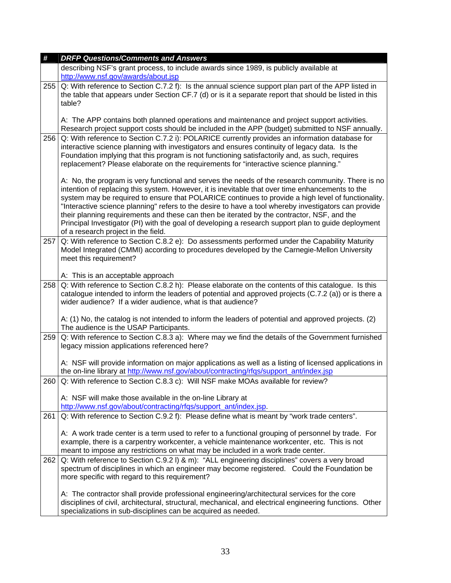| #   | <b>DRFP Questions/Comments and Answers</b>                                                                                                                                                                                                                                                                                                                                                                                                                                                                                                                                                                                                                      |
|-----|-----------------------------------------------------------------------------------------------------------------------------------------------------------------------------------------------------------------------------------------------------------------------------------------------------------------------------------------------------------------------------------------------------------------------------------------------------------------------------------------------------------------------------------------------------------------------------------------------------------------------------------------------------------------|
|     | describing NSF's grant process, to include awards since 1989, is publicly available at<br>http://www.nsf.gov/awards/about.jsp                                                                                                                                                                                                                                                                                                                                                                                                                                                                                                                                   |
| 255 | Q: With reference to Section C.7.2 f): Is the annual science support plan part of the APP listed in<br>the table that appears under Section CF.7 (d) or is it a separate report that should be listed in this<br>table?                                                                                                                                                                                                                                                                                                                                                                                                                                         |
|     | A: The APP contains both planned operations and maintenance and project support activities.<br>Research project support costs should be included in the APP (budget) submitted to NSF annually.                                                                                                                                                                                                                                                                                                                                                                                                                                                                 |
| 256 | Q: With reference to Section C.7.2 i): POLARICE currently provides an information database for<br>interactive science planning with investigators and ensures continuity of legacy data. Is the<br>Foundation implying that this program is not functioning satisfactorily and, as such, requires<br>replacement? Please elaborate on the requirements for "interactive science planning."                                                                                                                                                                                                                                                                      |
|     | A: No, the program is very functional and serves the needs of the research community. There is no<br>intention of replacing this system. However, it is inevitable that over time enhancements to the<br>system may be required to ensure that POLARICE continues to provide a high level of functionality.<br>"Interactive science planning" refers to the desire to have a tool whereby investigators can provide<br>their planning requirements and these can then be iterated by the contractor, NSF, and the<br>Principal Investigator (PI) with the goal of developing a research support plan to guide deployment<br>of a research project in the field. |
| 257 | Q: With reference to Section C.8.2 e): Do assessments performed under the Capability Maturity<br>Model Integrated (CMMI) according to procedures developed by the Carnegie-Mellon University<br>meet this requirement?                                                                                                                                                                                                                                                                                                                                                                                                                                          |
|     | A: This is an acceptable approach                                                                                                                                                                                                                                                                                                                                                                                                                                                                                                                                                                                                                               |
| 258 | Q: With reference to Section C.8.2 h): Please elaborate on the contents of this catalogue. Is this<br>catalogue intended to inform the leaders of potential and approved projects (C.7.2 (a)) or is there a<br>wider audience? If a wider audience, what is that audience?                                                                                                                                                                                                                                                                                                                                                                                      |
|     | A: (1) No, the catalog is not intended to inform the leaders of potential and approved projects. (2)<br>The audience is the USAP Participants.                                                                                                                                                                                                                                                                                                                                                                                                                                                                                                                  |
| 259 | Q: With reference to Section C.8.3 a): Where may we find the details of the Government furnished<br>legacy mission applications referenced here?                                                                                                                                                                                                                                                                                                                                                                                                                                                                                                                |
|     | A: NSF will provide information on major applications as well as a listing of licensed applications in<br>the on-line library at http://www.nsf.gov/about/contracting/rfgs/support_ant/index.jsp                                                                                                                                                                                                                                                                                                                                                                                                                                                                |
| 260 | Q: With reference to Section C.8.3 c): Will NSF make MOAs available for review?                                                                                                                                                                                                                                                                                                                                                                                                                                                                                                                                                                                 |
|     | A: NSF will make those available in the on-line Library at<br>http://www.nsf.gov/about/contracting/rfqs/support_ant/index.jsp.                                                                                                                                                                                                                                                                                                                                                                                                                                                                                                                                  |
| 261 | Q: With reference to Section C.9.2 f): Please define what is meant by "work trade centers".                                                                                                                                                                                                                                                                                                                                                                                                                                                                                                                                                                     |
|     | A: A work trade center is a term used to refer to a functional grouping of personnel by trade. For<br>example, there is a carpentry workcenter, a vehicle maintenance workcenter, etc. This is not<br>meant to impose any restrictions on what may be included in a work trade center.                                                                                                                                                                                                                                                                                                                                                                          |
| 262 | Q: With reference to Section C.9.2 I) & m): "ALL engineering disciplines" covers a very broad<br>spectrum of disciplines in which an engineer may become registered. Could the Foundation be<br>more specific with regard to this requirement?                                                                                                                                                                                                                                                                                                                                                                                                                  |
|     | A: The contractor shall provide professional engineering/architectural services for the core<br>disciplines of civil, architectural, structural, mechanical, and electrical engineering functions. Other<br>specializations in sub-disciplines can be acquired as needed.                                                                                                                                                                                                                                                                                                                                                                                       |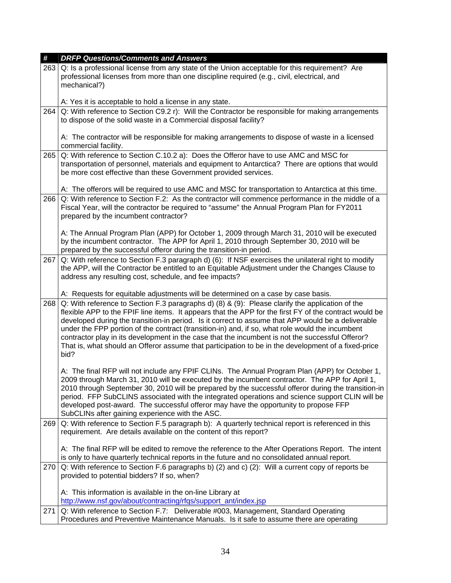| #   | <b>DRFP Questions/Comments and Answers</b>                                                                                                                                                                                                                                                                                                                                                                                                                                                                                                                                                                                            |
|-----|---------------------------------------------------------------------------------------------------------------------------------------------------------------------------------------------------------------------------------------------------------------------------------------------------------------------------------------------------------------------------------------------------------------------------------------------------------------------------------------------------------------------------------------------------------------------------------------------------------------------------------------|
| 263 | Q: Is a professional license from any state of the Union acceptable for this requirement? Are<br>professional licenses from more than one discipline required (e.g., civil, electrical, and                                                                                                                                                                                                                                                                                                                                                                                                                                           |
|     | mechanical?)                                                                                                                                                                                                                                                                                                                                                                                                                                                                                                                                                                                                                          |
|     | A: Yes it is acceptable to hold a license in any state.                                                                                                                                                                                                                                                                                                                                                                                                                                                                                                                                                                               |
| 264 | Q: With reference to Section C9.2 r): Will the Contractor be responsible for making arrangements                                                                                                                                                                                                                                                                                                                                                                                                                                                                                                                                      |
|     | to dispose of the solid waste in a Commercial disposal facility?                                                                                                                                                                                                                                                                                                                                                                                                                                                                                                                                                                      |
|     | A: The contractor will be responsible for making arrangements to dispose of waste in a licensed<br>commercial facility.                                                                                                                                                                                                                                                                                                                                                                                                                                                                                                               |
| 265 | Q: With reference to Section C.10.2 a): Does the Offeror have to use AMC and MSC for<br>transportation of personnel, materials and equipment to Antarctica? There are options that would<br>be more cost effective than these Government provided services.                                                                                                                                                                                                                                                                                                                                                                           |
|     | A: The offerors will be required to use AMC and MSC for transportation to Antarctica at this time.                                                                                                                                                                                                                                                                                                                                                                                                                                                                                                                                    |
| 266 | Q: With reference to Section F.2: As the contractor will commence performance in the middle of a<br>Fiscal Year, will the contractor be required to "assume" the Annual Program Plan for FY2011<br>prepared by the incumbent contractor?                                                                                                                                                                                                                                                                                                                                                                                              |
|     | A: The Annual Program Plan (APP) for October 1, 2009 through March 31, 2010 will be executed<br>by the incumbent contractor. The APP for April 1, 2010 through September 30, 2010 will be<br>prepared by the successful offeror during the transition-in period.                                                                                                                                                                                                                                                                                                                                                                      |
| 267 | Q: With reference to Section F.3 paragraph d) (6): If NSF exercises the unilateral right to modify<br>the APP, will the Contractor be entitled to an Equitable Adjustment under the Changes Clause to<br>address any resulting cost, schedule, and fee impacts?                                                                                                                                                                                                                                                                                                                                                                       |
|     | A: Requests for equitable adjustments will be determined on a case by case basis.                                                                                                                                                                                                                                                                                                                                                                                                                                                                                                                                                     |
| 268 | Q: With reference to Section F.3 paragraphs d) (8) & (9): Please clarify the application of the<br>flexible APP to the FPIF line items. It appears that the APP for the first FY of the contract would be<br>developed during the transition-in period. Is it correct to assume that APP would be a deliverable<br>under the FPP portion of the contract (transition-in) and, if so, what role would the incumbent<br>contractor play in its development in the case that the incumbent is not the successful Offeror?<br>That is, what should an Offeror assume that participation to be in the development of a fixed-price<br>bid? |
|     | A: The final RFP will not include any FPIF CLINs. The Annual Program Plan (APP) for October 1,<br>2009 through March 31, 2010 will be executed by the incumbent contractor. The APP for April 1,<br>2010 through September 30, 2010 will be prepared by the successful offeror during the transition-in<br>period. FFP SubCLINS associated with the integrated operations and science support CLIN will be<br>developed post-award. The successful offeror may have the opportunity to propose FFP<br>SubCLINs after gaining experience with the ASC.                                                                                 |
| 269 | Q: With reference to Section F.5 paragraph b): A quarterly technical report is referenced in this<br>requirement. Are details available on the content of this report?                                                                                                                                                                                                                                                                                                                                                                                                                                                                |
|     | A: The final RFP will be edited to remove the reference to the After Operations Report. The intent<br>is only to have quarterly technical reports in the future and no consolidated annual report.                                                                                                                                                                                                                                                                                                                                                                                                                                    |
| 270 | Q: With reference to Section F.6 paragraphs b) (2) and c) (2): Will a current copy of reports be<br>provided to potential bidders? If so, when?                                                                                                                                                                                                                                                                                                                                                                                                                                                                                       |
|     |                                                                                                                                                                                                                                                                                                                                                                                                                                                                                                                                                                                                                                       |
|     | A: This information is available in the on-line Library at<br>http://www.nsf.gov/about/contracting/rfqs/support_ant/index.jsp                                                                                                                                                                                                                                                                                                                                                                                                                                                                                                         |
| 271 | Q: With reference to Section F.7: Deliverable #003, Management, Standard Operating                                                                                                                                                                                                                                                                                                                                                                                                                                                                                                                                                    |
|     | Procedures and Preventive Maintenance Manuals. Is it safe to assume there are operating                                                                                                                                                                                                                                                                                                                                                                                                                                                                                                                                               |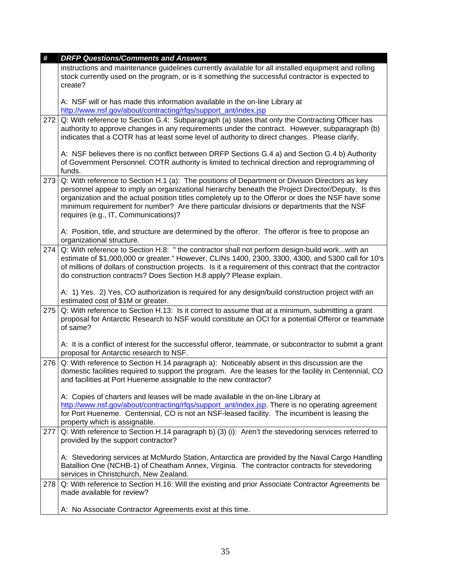| #   | <b>DRFP Questions/Comments and Answers</b>                                                                                                                                                                                                                                                                                                                                                                                                       |
|-----|--------------------------------------------------------------------------------------------------------------------------------------------------------------------------------------------------------------------------------------------------------------------------------------------------------------------------------------------------------------------------------------------------------------------------------------------------|
|     | instructions and maintenance guidelines currently available for all installed equipment and rolling<br>stock currently used on the program, or is it something the successful contractor is expected to<br>create?                                                                                                                                                                                                                               |
|     | A: NSF will or has made this information available in the on-line Library at<br>http://www.nsf.gov/about/contracting/rfqs/support_ant/index.jsp                                                                                                                                                                                                                                                                                                  |
| 272 | Q: With reference to Section G.4: Subparagraph (a) states that only the Contracting Officer has<br>authority to approve changes in any requirements under the contract. However, subparagraph (b)<br>indicates that a COTR has at least some level of authority to direct changes. Please clarify.                                                                                                                                               |
|     | A: NSF believes there is no conflict between DRFP Sections G.4 a) and Section G.4 b) Authority<br>of Government Personnel. COTR authority is limited to technical direction and reprogramming of<br>funds.                                                                                                                                                                                                                                       |
| 273 | Q: With reference to Section H.1 (a): The positions of Department or Division Directors as key<br>personnel appear to imply an organizational hierarchy beneath the Project Director/Deputy. Is this<br>organization and the actual position titles completely up to the Offeror or does the NSF have some<br>minimum requirement for number? Are there particular divisions or departments that the NSF<br>requires (e.g., IT, Communications)? |
|     | A: Position, title, and structure are determined by the offeror. The offeror is free to propose an<br>organizational structure.                                                                                                                                                                                                                                                                                                                  |
| 274 | Q: With reference to Section H.8: " the contractor shall not perform design-build workwith an<br>estimate of \$1,000,000 or greater." However, CLINs 1400, 2300, 3300, 4300, and 5300 call for 10's<br>of millions of dollars of construction projects. Is it a requirement of this contract that the contractor<br>do construction contracts? Does Section H.8 apply? Please explain.                                                           |
|     | A: 1) Yes. 2) Yes, CO authorization is required for any design/build construction project with an<br>estimated cost of \$1M or greater.                                                                                                                                                                                                                                                                                                          |
| 275 | Q: With reference to Section H.13: Is it correct to assume that at a minimum, submitting a grant<br>proposal for Antarctic Research to NSF would constitute an OCI for a potential Offeror or teammate<br>of same?                                                                                                                                                                                                                               |
|     | A: It is a conflict of interest for the successful offeror, teammate, or subcontractor to submit a grant<br>proposal for Antarctic research to NSF.                                                                                                                                                                                                                                                                                              |
| 276 | Q: With reference to Section H.14 paragraph a): Noticeably absent in this discussion are the<br>domestic facilities required to support the program. Are the leases for the facility in Centennial, CO<br>and facilities at Port Hueneme assignable to the new contractor?                                                                                                                                                                       |
|     | A: Copies of charters and leases will be made available in the on-line Library at<br>http://www.nsf.gov/about/contracting/rfqs/support_ant/index.jsp. There is no operating agreement<br>for Port Hueneme. Centennial, CO is not an NSF-leased facility. The incumbent is leasing the<br>property which is assignable.                                                                                                                           |
| 277 | Q: With reference to Section H.14 paragraph b) (3) (i): Aren't the stevedoring services referred to<br>provided by the support contractor?                                                                                                                                                                                                                                                                                                       |
|     | A: Stevedoring services at McMurdo Station, Antarctica are provided by the Naval Cargo Handling<br>Batallion One (NCHB-1) of Cheatham Annex, Virginia. The contractor contracts for stevedoring<br>services in Christchurch, New Zealand.                                                                                                                                                                                                        |
| 278 | Q: With reference to Section H.16: Will the existing and prior Associate Contractor Agreements be<br>made available for review?                                                                                                                                                                                                                                                                                                                  |
|     | A: No Associate Contractor Agreements exist at this time.                                                                                                                                                                                                                                                                                                                                                                                        |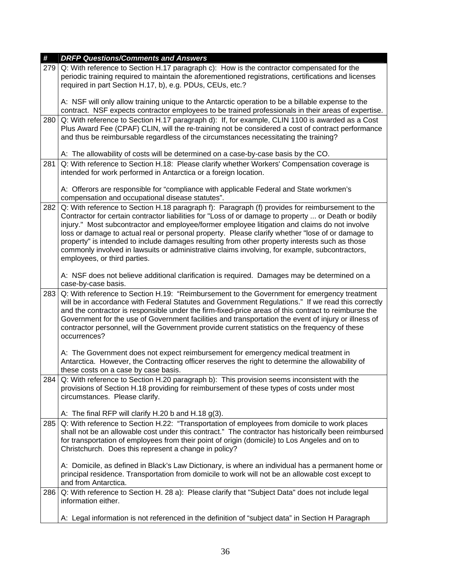| #   | <b>DRFP Questions/Comments and Answers</b>                                                                                                                                                                                                                                                                                                                                                                                                                                                                                                                                                                                                       |
|-----|--------------------------------------------------------------------------------------------------------------------------------------------------------------------------------------------------------------------------------------------------------------------------------------------------------------------------------------------------------------------------------------------------------------------------------------------------------------------------------------------------------------------------------------------------------------------------------------------------------------------------------------------------|
| 279 | Q: With reference to Section H.17 paragraph c): How is the contractor compensated for the<br>periodic training required to maintain the aforementioned registrations, certifications and licenses<br>required in part Section H.17, b), e.g. PDUs, CEUs, etc.?                                                                                                                                                                                                                                                                                                                                                                                   |
|     | A: NSF will only allow training unique to the Antarctic operation to be a billable expense to the<br>contract. NSF expects contractor employees to be trained professionals in their areas of expertise.                                                                                                                                                                                                                                                                                                                                                                                                                                         |
| 280 | Q: With reference to Section H.17 paragraph d): If, for example, CLIN 1100 is awarded as a Cost<br>Plus Award Fee (CPAF) CLIN, will the re-training not be considered a cost of contract performance<br>and thus be reimbursable regardless of the circumstances necessitating the training?                                                                                                                                                                                                                                                                                                                                                     |
|     | A: The allowability of costs will be determined on a case-by-case basis by the CO.                                                                                                                                                                                                                                                                                                                                                                                                                                                                                                                                                               |
| 281 | Q: With reference to Section H.18: Please clarify whether Workers' Compensation coverage is<br>intended for work performed in Antarctica or a foreign location.                                                                                                                                                                                                                                                                                                                                                                                                                                                                                  |
|     | A: Offerors are responsible for "compliance with applicable Federal and State workmen's<br>compensation and occupational disease statutes".                                                                                                                                                                                                                                                                                                                                                                                                                                                                                                      |
| 282 | Q: With reference to Section H.18 paragraph f): Paragraph (f) provides for reimbursement to the<br>Contractor for certain contractor liabilities for "Loss of or damage to property  or Death or bodily<br>injury." Most subcontractor and employee/former employee litigation and claims do not involve<br>loss or damage to actual real or personal property. Please clarify whether "lose of or damage to<br>property" is intended to include damages resulting from other property interests such as those<br>commonly involved in lawsuits or administrative claims involving, for example, subcontractors,<br>employees, or third parties. |
|     | A: NSF does not believe additional clarification is required. Damages may be determined on a<br>case-by-case basis.                                                                                                                                                                                                                                                                                                                                                                                                                                                                                                                              |
| 283 | Q: With reference to Section H.19: "Reimbursement to the Government for emergency treatment<br>will be in accordance with Federal Statutes and Government Regulations." If we read this correctly<br>and the contractor is responsible under the firm-fixed-price areas of this contract to reimburse the<br>Government for the use of Government facilities and transportation the event of injury or illness of<br>contractor personnel, will the Government provide current statistics on the frequency of these<br>occurrences?                                                                                                              |
|     | A: The Government does not expect reimbursement for emergency medical treatment in<br>Antarctica. However, the Contracting officer reserves the right to determine the allowability of<br>these costs on a case by case basis.                                                                                                                                                                                                                                                                                                                                                                                                                   |
|     | 284 Q: With reference to Section H.20 paragraph b): This provision seems inconsistent with the<br>provisions of Section H.18 providing for reimbursement of these types of costs under most<br>circumstances. Please clarify.                                                                                                                                                                                                                                                                                                                                                                                                                    |
|     | A: The final RFP will clarify H.20 b and H.18 $g(3)$ .                                                                                                                                                                                                                                                                                                                                                                                                                                                                                                                                                                                           |
| 285 | Q: With reference to Section H.22: "Transportation of employees from domicile to work places<br>shall not be an allowable cost under this contract." The contractor has historically been reimbursed<br>for transportation of employees from their point of origin (domicile) to Los Angeles and on to<br>Christchurch. Does this represent a change in policy?                                                                                                                                                                                                                                                                                  |
|     | A: Domicile, as defined in Black's Law Dictionary, is where an individual has a permanent home or<br>principal residence. Transportation from domicile to work will not be an allowable cost except to<br>and from Antarctica.                                                                                                                                                                                                                                                                                                                                                                                                                   |
| 286 | Q: With reference to Section H. 28 a): Please clarify that "Subject Data" does not include legal<br>information either.                                                                                                                                                                                                                                                                                                                                                                                                                                                                                                                          |
|     | A: Legal information is not referenced in the definition of "subject data" in Section H Paragraph                                                                                                                                                                                                                                                                                                                                                                                                                                                                                                                                                |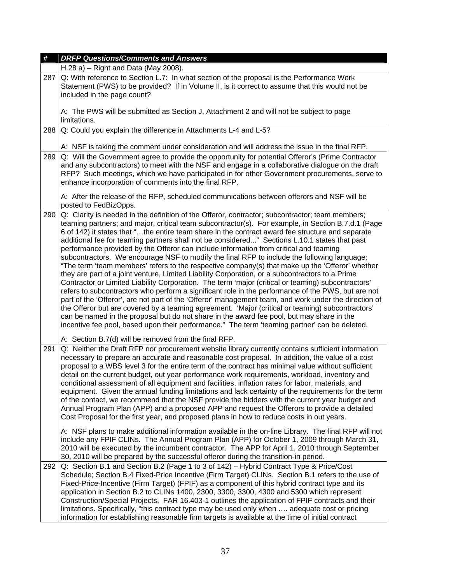| #   | <b>DRFP Questions/Comments and Answers</b>                                                                                                                                                                                                                                                                                                                                                                                                                                                                                                                                                                                                                                                                                                                                                                                                                                                                                                                                                                                                                                                                                                                                                                                                                                                                                                                                                                                      |
|-----|---------------------------------------------------------------------------------------------------------------------------------------------------------------------------------------------------------------------------------------------------------------------------------------------------------------------------------------------------------------------------------------------------------------------------------------------------------------------------------------------------------------------------------------------------------------------------------------------------------------------------------------------------------------------------------------------------------------------------------------------------------------------------------------------------------------------------------------------------------------------------------------------------------------------------------------------------------------------------------------------------------------------------------------------------------------------------------------------------------------------------------------------------------------------------------------------------------------------------------------------------------------------------------------------------------------------------------------------------------------------------------------------------------------------------------|
|     | $H.28$ a) – Right and Data (May 2008).                                                                                                                                                                                                                                                                                                                                                                                                                                                                                                                                                                                                                                                                                                                                                                                                                                                                                                                                                                                                                                                                                                                                                                                                                                                                                                                                                                                          |
| 287 | Q: With reference to Section L.7: In what section of the proposal is the Performance Work<br>Statement (PWS) to be provided? If in Volume II, is it correct to assume that this would not be<br>included in the page count?                                                                                                                                                                                                                                                                                                                                                                                                                                                                                                                                                                                                                                                                                                                                                                                                                                                                                                                                                                                                                                                                                                                                                                                                     |
|     | A: The PWS will be submitted as Section J, Attachment 2 and will not be subject to page<br>limitations.                                                                                                                                                                                                                                                                                                                                                                                                                                                                                                                                                                                                                                                                                                                                                                                                                                                                                                                                                                                                                                                                                                                                                                                                                                                                                                                         |
| 288 | Q: Could you explain the difference in Attachments L-4 and L-5?                                                                                                                                                                                                                                                                                                                                                                                                                                                                                                                                                                                                                                                                                                                                                                                                                                                                                                                                                                                                                                                                                                                                                                                                                                                                                                                                                                 |
| 289 | A: NSF is taking the comment under consideration and will address the issue in the final RFP.<br>Q: Will the Government agree to provide the opportunity for potential Offeror's (Prime Contractor<br>and any subcontractors) to meet with the NSF and engage in a collaborative dialogue on the draft<br>RFP? Such meetings, which we have participated in for other Government procurements, serve to<br>enhance incorporation of comments into the final RFP.                                                                                                                                                                                                                                                                                                                                                                                                                                                                                                                                                                                                                                                                                                                                                                                                                                                                                                                                                                |
|     | A: After the release of the RFP, scheduled communications between offerors and NSF will be<br>posted to FedBizOpps.                                                                                                                                                                                                                                                                                                                                                                                                                                                                                                                                                                                                                                                                                                                                                                                                                                                                                                                                                                                                                                                                                                                                                                                                                                                                                                             |
| 290 | Q: Clarity is needed in the definition of the Offeror, contractor; subcontractor; team members;<br>teaming partners; and major, critical team subcontractor(s). For example, in Section B.7.d.1 (Page<br>6 of 142) it states that "the entire team share in the contract award fee structure and separate<br>additional fee for teaming partners shall not be considered" Sections L.10.1 states that past<br>performance provided by the Offeror can include information from critical and teaming<br>subcontractors. We encourage NSF to modify the final RFP to include the following language:<br>"The term 'team members' refers to the respective company(s) that make up the 'Offeror' whether<br>they are part of a joint venture, Limited Liability Corporation, or a subcontractors to a Prime<br>Contractor or Limited Liability Corporation. The term 'major (critical or teaming) subcontractors'<br>refers to subcontractors who perform a significant role in the performance of the PWS, but are not<br>part of the 'Offeror', are not part of the 'Offeror' management team, and work under the direction of<br>the Offeror but are covered by a teaming agreement. 'Major (critical or teaming) subcontractors'<br>can be named in the proposal but do not share in the award fee pool, but may share in the<br>incentive fee pool, based upon their performance." The term 'teaming partner' can be deleted. |
|     | A: Section B.7(d) will be removed from the final RFP.                                                                                                                                                                                                                                                                                                                                                                                                                                                                                                                                                                                                                                                                                                                                                                                                                                                                                                                                                                                                                                                                                                                                                                                                                                                                                                                                                                           |
| 291 | Q: Neither the Draft RFP nor procurement website library currently contains sufficient information<br>necessary to prepare an accurate and reasonable cost proposal. In addition, the value of a cost<br>proposal to a WBS level 3 for the entire term of the contract has minimal value without sufficient<br>detail on the current budget, out year performance work requirements, workload, inventory and<br>conditional assessment of all equipment and facilities, inflation rates for labor, materials, and<br>equipment. Given the annual funding limitations and lack certainty of the requirements for the term<br>of the contact, we recommend that the NSF provide the bidders with the current year budget and<br>Annual Program Plan (APP) and a proposed APP and request the Offerors to provide a detailed<br>Cost Proposal for the first year, and proposed plans in how to reduce costs in out years.                                                                                                                                                                                                                                                                                                                                                                                                                                                                                                          |
|     | A: NSF plans to make additional information available in the on-line Library. The final RFP will not<br>include any FPIF CLINs. The Annual Program Plan (APP) for October 1, 2009 through March 31,<br>2010 will be executed by the incumbent contractor. The APP for April 1, 2010 through September<br>30, 2010 will be prepared by the successful offeror during the transition-in period.                                                                                                                                                                                                                                                                                                                                                                                                                                                                                                                                                                                                                                                                                                                                                                                                                                                                                                                                                                                                                                   |
| 292 | Q: Section B.1 and Section B.2 (Page 1 to 3 of 142) - Hybrid Contract Type & Price/Cost<br>Schedule; Section B.4 Fixed-Price Incentive (Firm Target) CLINs. Section B.1 refers to the use of<br>Fixed-Price-Incentive (Firm Target) (FPIF) as a component of this hybrid contract type and its<br>application in Section B.2 to CLINs 1400, 2300, 3300, 3300, 4300 and 5300 which represent<br>Construction/Special Projects. FAR 16.403-1 outlines the application of FPIF contracts and their<br>limitations. Specifically, "this contract type may be used only when  adequate cost or pricing<br>information for establishing reasonable firm targets is available at the time of initial contract                                                                                                                                                                                                                                                                                                                                                                                                                                                                                                                                                                                                                                                                                                                          |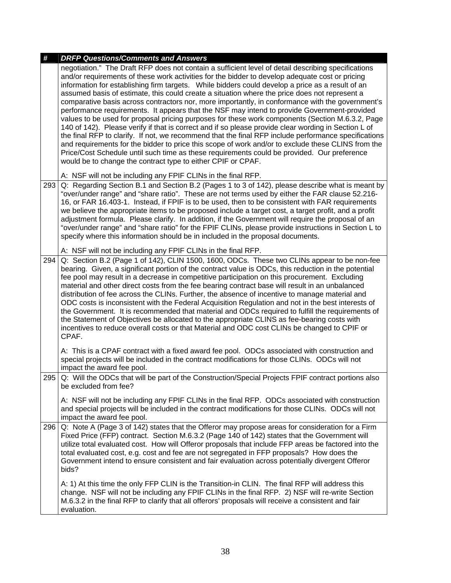| # |     | <b>DRFP Questions/Comments and Answers</b>                                                                                                                                                                                                                                                                                                                                                                                                                                                                                                                                                                                                                                                                                                                                                                                                                                                                                                                                                                                                                                                                                                                                                              |
|---|-----|---------------------------------------------------------------------------------------------------------------------------------------------------------------------------------------------------------------------------------------------------------------------------------------------------------------------------------------------------------------------------------------------------------------------------------------------------------------------------------------------------------------------------------------------------------------------------------------------------------------------------------------------------------------------------------------------------------------------------------------------------------------------------------------------------------------------------------------------------------------------------------------------------------------------------------------------------------------------------------------------------------------------------------------------------------------------------------------------------------------------------------------------------------------------------------------------------------|
|   |     | negotiation." The Draft RFP does not contain a sufficient level of detail describing specifications<br>and/or requirements of these work activities for the bidder to develop adequate cost or pricing<br>information for establishing firm targets. While bidders could develop a price as a result of an<br>assumed basis of estimate, this could create a situation where the price does not represent a<br>comparative basis across contractors nor, more importantly, in conformance with the government's<br>performance requirements. It appears that the NSF may intend to provide Government-provided<br>values to be used for proposal pricing purposes for these work components (Section M.6.3.2, Page<br>140 of 142). Please verify if that is correct and if so please provide clear wording in Section L of<br>the final RFP to clarify. If not, we recommend that the final RFP include performance specifications<br>and requirements for the bidder to price this scope of work and/or to exclude these CLINS from the<br>Price/Cost Schedule until such time as these requirements could be provided. Our preference<br>would be to change the contract type to either CPIF or CPAF. |
|   |     | A: NSF will not be including any FPIF CLINs in the final RFP.                                                                                                                                                                                                                                                                                                                                                                                                                                                                                                                                                                                                                                                                                                                                                                                                                                                                                                                                                                                                                                                                                                                                           |
|   | 293 | Q: Regarding Section B.1 and Section B.2 (Pages 1 to 3 of 142), please describe what is meant by<br>"over/under range" and "share ratio". These are not terms used by either the FAR clause 52.216-<br>16, or FAR 16.403-1. Instead, if FPIF is to be used, then to be consistent with FAR requirements<br>we believe the appropriate items to be proposed include a target cost, a target profit, and a profit<br>adjustment formula. Please clarify. In addition, if the Government will require the proposal of an<br>"over/under range" and "share ratio" for the FPIF CLINs, please provide instructions in Section L to<br>specify where this information should be in included in the proposal documents.                                                                                                                                                                                                                                                                                                                                                                                                                                                                                        |
|   |     | A: NSF will not be including any FPIF CLINs in the final RFP.                                                                                                                                                                                                                                                                                                                                                                                                                                                                                                                                                                                                                                                                                                                                                                                                                                                                                                                                                                                                                                                                                                                                           |
|   | 294 | Q: Section B.2 (Page 1 of 142), CLIN 1500, 1600, ODCs. These two CLINs appear to be non-fee<br>bearing. Given, a significant portion of the contract value is ODCs, this reduction in the potential<br>fee pool may result in a decrease in competitive participation on this procurement. Excluding<br>material and other direct costs from the fee bearing contract base will result in an unbalanced<br>distribution of fee across the CLINs. Further, the absence of incentive to manage material and<br>ODC costs is inconsistent with the Federal Acquisition Regulation and not in the best interests of<br>the Government. It is recommended that material and ODCs required to fulfill the requirements of<br>the Statement of Objectives be allocated to the appropriate CLINS as fee-bearing costs with<br>incentives to reduce overall costs or that Material and ODC cost CLINs be changed to CPIF or<br>CPAF.                                                                                                                                                                                                                                                                             |
|   |     | A: This is a CPAF contract with a fixed award fee pool. ODCs associated with construction and<br>special projects will be included in the contract modifications for those CLINs. ODCs will not<br>impact the award fee pool.                                                                                                                                                                                                                                                                                                                                                                                                                                                                                                                                                                                                                                                                                                                                                                                                                                                                                                                                                                           |
|   | 295 | Q: Will the ODCs that will be part of the Construction/Special Projects FPIF contract portions also<br>be excluded from fee?                                                                                                                                                                                                                                                                                                                                                                                                                                                                                                                                                                                                                                                                                                                                                                                                                                                                                                                                                                                                                                                                            |
|   |     | A: NSF will not be including any FPIF CLINs in the final RFP. ODCs associated with construction<br>and special projects will be included in the contract modifications for those CLINs. ODCs will not<br>impact the award fee pool.                                                                                                                                                                                                                                                                                                                                                                                                                                                                                                                                                                                                                                                                                                                                                                                                                                                                                                                                                                     |
|   | 296 | Q: Note A (Page 3 of 142) states that the Offeror may propose areas for consideration for a Firm<br>Fixed Price (FFP) contract. Section M.6.3.2 (Page 140 of 142) states that the Government will<br>utilize total evaluated cost. How will Offeror proposals that include FFP areas be factored into the<br>total evaluated cost, e.g. cost and fee are not segregated in FFP proposals? How does the<br>Government intend to ensure consistent and fair evaluation across potentially divergent Offeror<br>bids?                                                                                                                                                                                                                                                                                                                                                                                                                                                                                                                                                                                                                                                                                      |
|   |     | A: 1) At this time the only FFP CLIN is the Transition-in CLIN. The final RFP will address this<br>change. NSF will not be including any FPIF CLINs in the final RFP. 2) NSF will re-write Section<br>M.6.3.2 in the final RFP to clarify that all offerors' proposals will receive a consistent and fair<br>evaluation.                                                                                                                                                                                                                                                                                                                                                                                                                                                                                                                                                                                                                                                                                                                                                                                                                                                                                |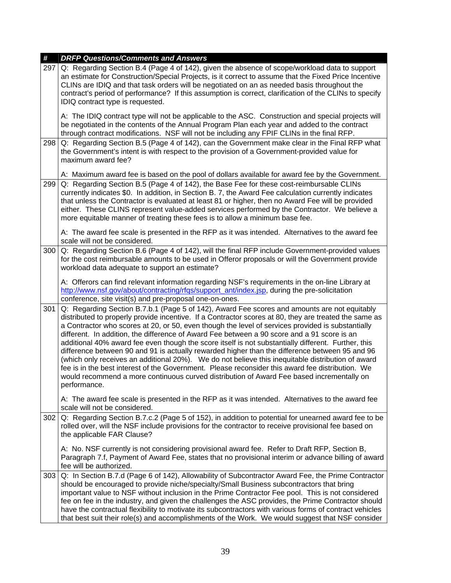| #   | <b>DRFP Questions/Comments and Answers</b>                                                                                                                                                                                                                                                                                                                                                                                                                                                                                                                                                                                                                                                                                                                                                                                                                                                                                               |
|-----|------------------------------------------------------------------------------------------------------------------------------------------------------------------------------------------------------------------------------------------------------------------------------------------------------------------------------------------------------------------------------------------------------------------------------------------------------------------------------------------------------------------------------------------------------------------------------------------------------------------------------------------------------------------------------------------------------------------------------------------------------------------------------------------------------------------------------------------------------------------------------------------------------------------------------------------|
| 297 | Q: Regarding Section B.4 (Page 4 of 142), given the absence of scope/workload data to support<br>an estimate for Construction/Special Projects, is it correct to assume that the Fixed Price Incentive<br>CLINs are IDIQ and that task orders will be negotiated on an as needed basis throughout the<br>contract's period of performance? If this assumption is correct, clarification of the CLINs to specify<br>IDIQ contract type is requested.                                                                                                                                                                                                                                                                                                                                                                                                                                                                                      |
|     | A: The IDIQ contract type will not be applicable to the ASC. Construction and special projects will<br>be negotiated in the contents of the Annual Program Plan each year and added to the contract<br>through contract modifications. NSF will not be including any FPIF CLINs in the final RFP.                                                                                                                                                                                                                                                                                                                                                                                                                                                                                                                                                                                                                                        |
| 298 | Q: Regarding Section B.5 (Page 4 of 142), can the Government make clear in the Final RFP what<br>the Government's intent is with respect to the provision of a Government-provided value for<br>maximum award fee?                                                                                                                                                                                                                                                                                                                                                                                                                                                                                                                                                                                                                                                                                                                       |
|     | A: Maximum award fee is based on the pool of dollars available for award fee by the Government.                                                                                                                                                                                                                                                                                                                                                                                                                                                                                                                                                                                                                                                                                                                                                                                                                                          |
| 299 | Q: Regarding Section B.5 (Page 4 of 142), the Base Fee for these cost-reimbursable CLINs<br>currently indicates \$0. In addition, in Section B. 7, the Award Fee calculation currently indicates<br>that unless the Contractor is evaluated at least 81 or higher, then no Award Fee will be provided<br>either. These CLINS represent value-added services performed by the Contractor. We believe a<br>more equitable manner of treating these fees is to allow a minimum base fee.<br>A: The award fee scale is presented in the RFP as it was intended. Alternatives to the award fee                                                                                                                                                                                                                                                                                                                                                |
|     | scale will not be considered.                                                                                                                                                                                                                                                                                                                                                                                                                                                                                                                                                                                                                                                                                                                                                                                                                                                                                                            |
| 300 | Q: Regarding Section B.6 (Page 4 of 142), will the final RFP include Government-provided values<br>for the cost reimbursable amounts to be used in Offeror proposals or will the Government provide<br>workload data adequate to support an estimate?                                                                                                                                                                                                                                                                                                                                                                                                                                                                                                                                                                                                                                                                                    |
|     | A: Offerors can find relevant information regarding NSF's requirements in the on-line Library at<br>http://www.nsf.gov/about/contracting/rfgs/support_ant/index.jsp, during the pre-solicitation<br>conference, site visit(s) and pre-proposal one-on-ones.                                                                                                                                                                                                                                                                                                                                                                                                                                                                                                                                                                                                                                                                              |
| 301 | Q: Regarding Section B.7.b.1 (Page 5 of 142), Award Fee scores and amounts are not equitably<br>distributed to properly provide incentive. If a Contractor scores at 80, they are treated the same as<br>a Contractor who scores at 20, or 50, even though the level of services provided is substantially<br>different. In addition, the difference of Award Fee between a 90 score and a 91 score is an<br>additional 40% award fee even though the score itself is not substantially different. Further, this<br>difference between 90 and 91 is actually rewarded higher than the difference between 95 and 96<br>(which only receives an additional 20%). We do not believe this inequitable distribution of award<br>fee is in the best interest of the Government. Please reconsider this award fee distribution. We<br>would recommend a more continuous curved distribution of Award Fee based incrementally on<br>performance. |
|     | A: The award fee scale is presented in the RFP as it was intended. Alternatives to the award fee<br>scale will not be considered.                                                                                                                                                                                                                                                                                                                                                                                                                                                                                                                                                                                                                                                                                                                                                                                                        |
| 302 | Q: Regarding Section B.7.c.2 (Page 5 of 152), in addition to potential for unearned award fee to be<br>rolled over, will the NSF include provisions for the contractor to receive provisional fee based on<br>the applicable FAR Clause?                                                                                                                                                                                                                                                                                                                                                                                                                                                                                                                                                                                                                                                                                                 |
|     | A: No. NSF currently is not considering provisional award fee. Refer to Draft RFP, Section B,<br>Paragraph 7.f, Payment of Award Fee, states that no provisional interim or advance billing of award<br>fee will be authorized.                                                                                                                                                                                                                                                                                                                                                                                                                                                                                                                                                                                                                                                                                                          |
| 303 | Q: In Section B.7.d (Page 6 of 142), Allowability of Subcontractor Award Fee, the Prime Contractor<br>should be encouraged to provide niche/specialty/Small Business subcontractors that bring<br>important value to NSF without inclusion in the Prime Contractor Fee pool. This is not considered<br>fee on fee in the industry, and given the challenges the ASC provides, the Prime Contractor should<br>have the contractual flexibility to motivate its subcontractors with various forms of contract vehicles<br>that best suit their role(s) and accomplishments of the Work. We would suggest that NSF consider                                                                                                                                                                                                                                                                                                                 |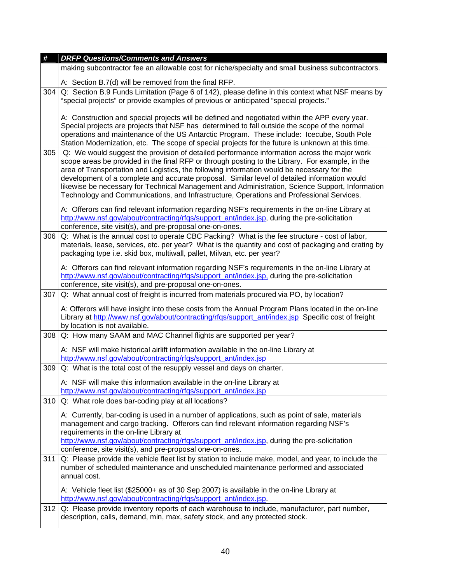| #   | <b>DRFP Questions/Comments and Answers</b>                                                                                                                                                                                                                                                                                                                                                                                                                                                                                                                                                  |
|-----|---------------------------------------------------------------------------------------------------------------------------------------------------------------------------------------------------------------------------------------------------------------------------------------------------------------------------------------------------------------------------------------------------------------------------------------------------------------------------------------------------------------------------------------------------------------------------------------------|
|     | making subcontractor fee an allowable cost for niche/specialty and small business subcontractors.                                                                                                                                                                                                                                                                                                                                                                                                                                                                                           |
|     | A: Section B.7(d) will be removed from the final RFP.                                                                                                                                                                                                                                                                                                                                                                                                                                                                                                                                       |
| 304 | Q: Section B.9 Funds Limitation (Page 6 of 142), please define in this context what NSF means by<br>"special projects" or provide examples of previous or anticipated "special projects."                                                                                                                                                                                                                                                                                                                                                                                                   |
|     | A: Construction and special projects will be defined and negotiated within the APP every year.<br>Special projects are projects that NSF has determined to fall outside the scope of the normal<br>operations and maintenance of the US Antarctic Program. These include: Icecube, South Pole<br>Station Modernization, etc. The scope of special projects for the future is unknown at this time.                                                                                                                                                                                          |
| 305 | Q: We would suggest the provision of detailed performance information across the major work<br>scope areas be provided in the final RFP or through posting to the Library. For example, in the<br>area of Transportation and Logistics, the following information would be necessary for the<br>development of a complete and accurate proposal. Similar level of detailed information would<br>likewise be necessary for Technical Management and Administration, Science Support, Information<br>Technology and Communications, and Infrastructure, Operations and Professional Services. |
|     | A: Offerors can find relevant information regarding NSF's requirements in the on-line Library at<br>http://www.nsf.gov/about/contracting/rfgs/support_ant/index.jsp, during the pre-solicitation<br>conference, site visit(s), and pre-proposal one-on-ones.                                                                                                                                                                                                                                                                                                                                |
| 306 | Q: What is the annual cost to operate CBC Packing? What is the fee structure - cost of labor,<br>materials, lease, services, etc. per year? What is the quantity and cost of packaging and crating by<br>packaging type i.e. skid box, multiwall, pallet, Milvan, etc. per year?                                                                                                                                                                                                                                                                                                            |
|     | A: Offerors can find relevant information regarding NSF's requirements in the on-line Library at<br>http://www.nsf.gov/about/contracting/rfgs/support_ant/index.jsp, during the pre-solicitation<br>conference, site visit(s), and pre-proposal one-on-ones.                                                                                                                                                                                                                                                                                                                                |
| 307 | Q: What annual cost of freight is incurred from materials procured via PO, by location?                                                                                                                                                                                                                                                                                                                                                                                                                                                                                                     |
|     | A: Offerors will have insight into these costs from the Annual Program Plans located in the on-line<br>Library at http://www.nsf.gov/about/contracting/rfgs/support_ant/index.jsp Specific cost of freight<br>by location is not available.                                                                                                                                                                                                                                                                                                                                                 |
| 308 | Q: How many SAAM and MAC Channel flights are supported per year?                                                                                                                                                                                                                                                                                                                                                                                                                                                                                                                            |
|     | A: NSF will make historical airlift information available in the on-line Library at<br>http://www.nsf.gov/about/contracting/rfqs/support_ant/index.jsp                                                                                                                                                                                                                                                                                                                                                                                                                                      |
| 309 | Q: What is the total cost of the resupply vessel and days on charter.                                                                                                                                                                                                                                                                                                                                                                                                                                                                                                                       |
|     | $A+$ NSF will make this information available in the on-line I ibrary at<br>http://www.nsf.gov/about/contracting/rfqs/support_ant/index.jsp                                                                                                                                                                                                                                                                                                                                                                                                                                                 |
| 310 | Q: What role does bar-coding play at all locations?                                                                                                                                                                                                                                                                                                                                                                                                                                                                                                                                         |
|     | A: Currently, bar-coding is used in a number of applications, such as point of sale, materials<br>management and cargo tracking. Offerors can find relevant information regarding NSF's<br>requirements in the on-line Library at<br>http://www.nsf.gov/about/contracting/rfgs/support_ant/index.jsp, during the pre-solicitation<br>conference, site visit(s), and pre-proposal one-on-ones.                                                                                                                                                                                               |
| 311 | Q: Please provide the vehicle fleet list by station to include make, model, and year, to include the<br>number of scheduled maintenance and unscheduled maintenance performed and associated<br>annual cost.                                                                                                                                                                                                                                                                                                                                                                                |
|     | A: Vehicle fleet list (\$25000+ as of 30 Sep 2007) is available in the on-line Library at<br>http://www.nsf.gov/about/contracting/rfqs/support_ant/index.jsp.                                                                                                                                                                                                                                                                                                                                                                                                                               |
| 312 | Q: Please provide inventory reports of each warehouse to include, manufacturer, part number,<br>description, calls, demand, min, max, safety stock, and any protected stock.                                                                                                                                                                                                                                                                                                                                                                                                                |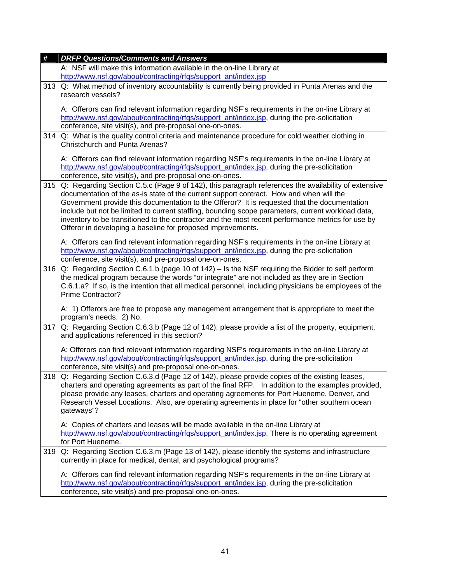| #   | <b>DRFP Questions/Comments and Answers</b>                                                                                                                                                       |
|-----|--------------------------------------------------------------------------------------------------------------------------------------------------------------------------------------------------|
|     | A: NSF will make this information available in the on-line Library at                                                                                                                            |
|     | http://www.nsf.gov/about/contracting/rfqs/support_ant/index.jsp                                                                                                                                  |
| 313 | Q: What method of inventory accountability is currently being provided in Punta Arenas and the                                                                                                   |
|     | research vessels?                                                                                                                                                                                |
|     | A: Offerors can find relevant information regarding NSF's requirements in the on-line Library at                                                                                                 |
|     | http://www.nsf.gov/about/contracting/rfgs/support_ant/index.jsp, during the pre-solicitation                                                                                                     |
|     | conference, site visit(s), and pre-proposal one-on-ones.                                                                                                                                         |
| 314 | Q: What is the quality control criteria and maintenance procedure for cold weather clothing in                                                                                                   |
|     | <b>Christchurch and Punta Arenas?</b>                                                                                                                                                            |
|     | A: Offerors can find relevant information regarding NSF's requirements in the on-line Library at                                                                                                 |
|     | http://www.nsf.gov/about/contracting/rfgs/support_ant/index.jsp, during the pre-solicitation                                                                                                     |
|     | conference, site visit(s), and pre-proposal one-on-ones.                                                                                                                                         |
| 315 | Q: Regarding Section C.5.c (Page 9 of 142), this paragraph references the availability of extensive                                                                                              |
|     | documentation of the as-is state of the current support contract. How and when will the                                                                                                          |
|     | Government provide this documentation to the Offeror? It is requested that the documentation                                                                                                     |
|     | include but not be limited to current staffing, bounding scope parameters, current workload data,                                                                                                |
|     | inventory to be transitioned to the contractor and the most recent performance metrics for use by                                                                                                |
|     | Offeror in developing a baseline for proposed improvements.                                                                                                                                      |
|     | A: Offerors can find relevant information regarding NSF's requirements in the on-line Library at                                                                                                 |
|     | http://www.nsf.gov/about/contracting/rfgs/support_ant/index.jsp, during the pre-solicitation                                                                                                     |
|     | conference, site visit(s), and pre-proposal one-on-ones.                                                                                                                                         |
| 316 | Q: Regarding Section C.6.1.b (page 10 of 142) - Is the NSF requiring the Bidder to self perform                                                                                                  |
|     | the medical program because the words "or integrate" are not included as they are in Section                                                                                                     |
|     | C.6.1.a? If so, is the intention that all medical personnel, including physicians be employees of the                                                                                            |
|     | <b>Prime Contractor?</b>                                                                                                                                                                         |
|     | A: 1) Offerors are free to propose any management arrangement that is appropriate to meet the                                                                                                    |
|     | program's needs. 2) No.                                                                                                                                                                          |
| 317 | Q: Regarding Section C.6.3.b (Page 12 of 142), please provide a list of the property, equipment,                                                                                                 |
|     | and applications referenced in this section?                                                                                                                                                     |
|     | A: Offerors can find relevant information regarding NSF's requirements in the on-line Library at                                                                                                 |
|     | http://www.nsf.gov/about/contracting/rfgs/support_ant/index.jsp, during the pre-solicitation                                                                                                     |
|     | conference, site visit(s) and pre-proposal one-on-ones.                                                                                                                                          |
| 318 | Q: Regarding Section C.6.3.d (Page 12 of 142), please provide copies of the existing leases,                                                                                                     |
|     | charters and operating agreements as part of the final RFP. In addition to the examples provided,                                                                                                |
|     | please provide any leases, charters and operating agreements for Port Hueneme, Denver, and                                                                                                       |
|     | Research Vessel Locations. Also, are operating agreements in place for "other southern ocean                                                                                                     |
|     | gateways"?                                                                                                                                                                                       |
|     | A: Copies of charters and leases will be made available in the on-line Library at                                                                                                                |
|     | http://www.nsf.gov/about/contracting/rfgs/support_ant/index.jsp. There is no operating agreement                                                                                                 |
|     | for Port Hueneme.                                                                                                                                                                                |
| 319 | Q: Regarding Section C.6.3.m (Page 13 of 142), please identify the systems and infrastructure                                                                                                    |
|     | currently in place for medical, dental, and psychological programs?                                                                                                                              |
|     |                                                                                                                                                                                                  |
|     | A: Offerors can find relevant information regarding NSF's requirements in the on-line Library at<br>http://www.nsf.gov/about/contracting/rfgs/support_ant/index.jsp, during the pre-solicitation |
|     |                                                                                                                                                                                                  |
|     | conference, site visit(s) and pre-proposal one-on-ones.                                                                                                                                          |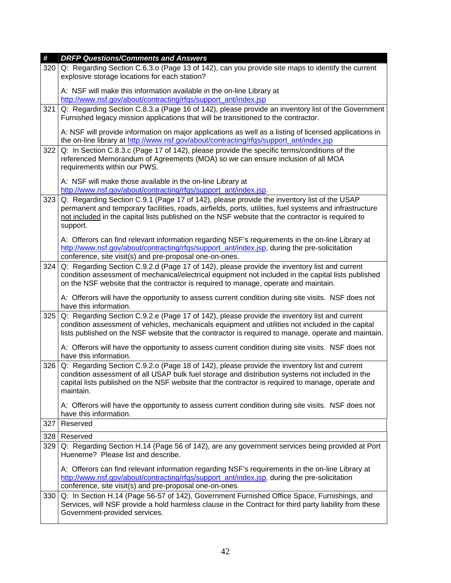| #   | <b>DRFP Questions/Comments and Answers</b>                                                                                                                                                                                                                                                                             |
|-----|------------------------------------------------------------------------------------------------------------------------------------------------------------------------------------------------------------------------------------------------------------------------------------------------------------------------|
| 320 | Q: Regarding Section C.6.3.o (Page 13 of 142), can you provide site maps to identify the current<br>explosive storage locations for each station?                                                                                                                                                                      |
|     | A: NSF will make this information available in the on-line Library at<br>http://www.nsf.gov/about/contracting/rfqs/support_ant/index.jsp                                                                                                                                                                               |
| 321 | Q: Regarding Section C.8.3.a (Page 16 of 142), please provide an inventory list of the Government<br>Furnished legacy mission applications that will be transitioned to the contractor.                                                                                                                                |
|     | A: NSF will provide information on major applications as well as a listing of licensed applications in<br>the on-line library at http://www.nsf.gov/about/contracting/rfqs/support_ant/index.jsp                                                                                                                       |
| 322 | Q: In Section C.8.3.c (Page 17 of 142), please provide the specific terms/conditions of the<br>referenced Memorandum of Agreements (MOA) so we can ensure inclusion of all MOA<br>requirements within our PWS.                                                                                                         |
|     | A: NSF will make those available in the on-line Library at<br>http://www.nsf.gov/about/contracting/rfgs/support_ant/index.jsp.                                                                                                                                                                                         |
| 323 | Q: Regarding Section C.9.1 (Page 17 of 142), please provide the inventory list of the USAP<br>permanent and temporary facilities, roads, airfields, ports, utilities, fuel systems and infrastructure<br>not included in the capital lists published on the NSF website that the contractor is required to<br>support. |
|     | A: Offerors can find relevant information regarding NSF's requirements in the on-line Library at<br>http://www.nsf.gov/about/contracting/rfgs/support_ant/index.jsp, during the pre-solicitation<br>conference, site visit(s) and pre-proposal one-on-ones.                                                            |
| 324 | Q: Regarding Section C.9.2.d (Page 17 of 142), please provide the inventory list and current<br>condition assessment of mechanical/electrical equipment not included in the capital lists published<br>on the NSF website that the contractor is required to manage, operate and maintain.                             |
|     | A: Offerors will have the opportunity to assess current condition during site visits. NSF does not<br>have this information.                                                                                                                                                                                           |
| 325 | Q: Regarding Section C.9.2.e (Page 17 of 142), please provide the inventory list and current<br>condition assessment of vehicles, mechanicals equipment and utilities not included in the capital<br>lists published on the NSF website that the contractor is required to manage, operate and maintain.               |
|     | A: Offerors will have the opportunity to assess current condition during site visits. NSF does not<br>have this information.                                                                                                                                                                                           |
| 326 | Q: Regarding Section C.9.2.o (Page 18 of 142), please provide the inventory list and current<br>condition assessment of all USAP bulk fuel storage and distribution systems not included in the<br>capital lists published on the NSF website that the contractor is required to manage, operate and<br>maintain.      |
|     | A: Offerors will have the opportunity to assess current condition during site visits. NSF does not<br>have this information.                                                                                                                                                                                           |
| 327 | Reserved                                                                                                                                                                                                                                                                                                               |
| 328 | Reserved                                                                                                                                                                                                                                                                                                               |
| 329 | Q: Regarding Section H.14 (Page 56 of 142), are any government services being provided at Port<br>Hueneme? Please list and describe.                                                                                                                                                                                   |
|     | A: Offerors can find relevant information regarding NSF's requirements in the on-line Library at<br>http://www.nsf.gov/about/contracting/rfgs/support_ant/index.jsp, during the pre-solicitation<br>conference, site visit(s) and pre-proposal one-on-ones.                                                            |
| 330 | Q: In Section H.14 (Page 56-57 of 142), Government Furnished Office Space, Furnishings, and<br>Services, will NSF provide a hold harmless clause in the Contract for third party liability from these<br>Government-provided services.                                                                                 |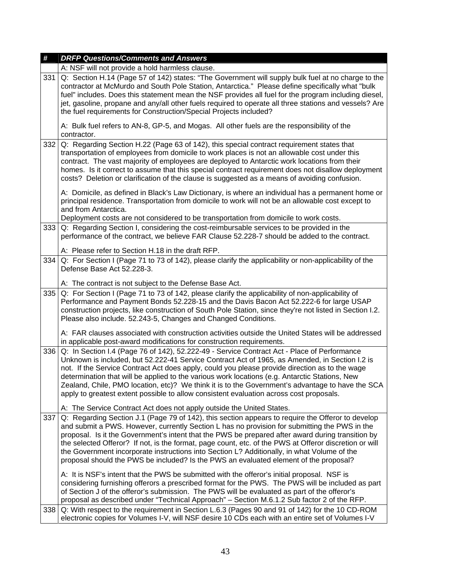| #   | <b>DRFP Questions/Comments and Answers</b>                                                                                                                                                                                                                                                                                                                                                                                                                                                                                                                                                                |
|-----|-----------------------------------------------------------------------------------------------------------------------------------------------------------------------------------------------------------------------------------------------------------------------------------------------------------------------------------------------------------------------------------------------------------------------------------------------------------------------------------------------------------------------------------------------------------------------------------------------------------|
|     | A: NSF will not provide a hold harmless clause.                                                                                                                                                                                                                                                                                                                                                                                                                                                                                                                                                           |
| 331 | Q: Section H.14 (Page 57 of 142) states: "The Government will supply bulk fuel at no charge to the<br>contractor at McMurdo and South Pole Station, Antarctica." Please define specifically what "bulk<br>fuel" includes. Does this statement mean the NSF provides all fuel for the program including diesel,<br>jet, gasoline, propane and any/all other fuels required to operate all three stations and vessels? Are<br>the fuel requirements for Construction/Special Projects included?                                                                                                             |
|     | A: Bulk fuel refers to AN-8, GP-5, and Mogas. All other fuels are the responsibility of the<br>contractor.                                                                                                                                                                                                                                                                                                                                                                                                                                                                                                |
| 332 | Q: Regarding Section H.22 (Page 63 of 142), this special contract requirement states that<br>transportation of employees from domicile to work places is not an allowable cost under this<br>contract. The vast majority of employees are deployed to Antarctic work locations from their<br>homes. Is it correct to assume that this special contract requirement does not disallow deployment<br>costs? Deletion or clarification of the clause is suggested as a means of avoiding confusion.                                                                                                          |
|     | A: Domicile, as defined in Black's Law Dictionary, is where an individual has a permanent home or<br>principal residence. Transportation from domicile to work will not be an allowable cost except to<br>and from Antarctica.                                                                                                                                                                                                                                                                                                                                                                            |
|     | Deployment costs are not considered to be transportation from domicile to work costs.                                                                                                                                                                                                                                                                                                                                                                                                                                                                                                                     |
| 333 | Q: Regarding Section I, considering the cost-reimbursable services to be provided in the<br>performance of the contract, we believe FAR Clause 52.228-7 should be added to the contract.<br>A: Please refer to Section H.18 in the draft RFP.                                                                                                                                                                                                                                                                                                                                                             |
|     |                                                                                                                                                                                                                                                                                                                                                                                                                                                                                                                                                                                                           |
| 334 | Q: For Section I (Page 71 to 73 of 142), please clarify the applicability or non-applicability of the<br>Defense Base Act 52.228-3.                                                                                                                                                                                                                                                                                                                                                                                                                                                                       |
|     | A: The contract is not subject to the Defense Base Act.                                                                                                                                                                                                                                                                                                                                                                                                                                                                                                                                                   |
| 335 | Q: For Section I (Page 71 to 73 of 142, please clarify the applicability of non-applicability of<br>Performance and Payment Bonds 52.228-15 and the Davis Bacon Act 52.222-6 for large USAP<br>construction projects, like construction of South Pole Station, since they're not listed in Section I.2.<br>Please also include. 52.243-5, Changes and Changed Conditions.                                                                                                                                                                                                                                 |
|     | A: FAR clauses associated with construction activities outside the United States will be addressed<br>in applicable post-award modifications for construction requirements.                                                                                                                                                                                                                                                                                                                                                                                                                               |
| 336 | Q: In Section I.4 (Page 76 of 142), 52.222-49 - Service Contract Act - Place of Performance<br>Unknown is included, but 52.222-41 Service Contract Act of 1965, as Amended, in Section I.2 is<br>not. If the Service Contract Act does apply, could you please provide direction as to the wage<br>determination that will be applied to the various work locations (e.g. Antarctic Stations, New<br>Zealand, Chile, PMO location, etc)? We think it is to the Government's advantage to have the SCA<br>apply to greatest extent possible to allow consistent evaluation across cost proposals.          |
|     | A: The Service Contract Act does not apply outside the United States.                                                                                                                                                                                                                                                                                                                                                                                                                                                                                                                                     |
| 337 | Q: Regarding Section J.1 (Page 79 of 142), this section appears to require the Offeror to develop<br>and submit a PWS. However, currently Section L has no provision for submitting the PWS in the<br>proposal. Is it the Government's intent that the PWS be prepared after award during transition by<br>the selected Offeror? If not, is the format, page count, etc. of the PWS at Offeror discretion or will<br>the Government incorporate instructions into Section L? Additionally, in what Volume of the<br>proposal should the PWS be included? Is the PWS an evaluated element of the proposal? |
|     | A: It is NSF's intent that the PWS be submitted with the offeror's initial proposal. NSF is<br>considering furnishing offerors a prescribed format for the PWS. The PWS will be included as part<br>of Section J of the offeror's submission. The PWS will be evaluated as part of the offeror's<br>proposal as described under "Technical Approach" - Section M.6.1.2 Sub factor 2 of the RFP.                                                                                                                                                                                                           |
| 338 | Q: With respect to the requirement in Section L.6.3 (Pages 90 and 91 of 142) for the 10 CD-ROM<br>electronic copies for Volumes I-V, will NSF desire 10 CDs each with an entire set of Volumes I-V                                                                                                                                                                                                                                                                                                                                                                                                        |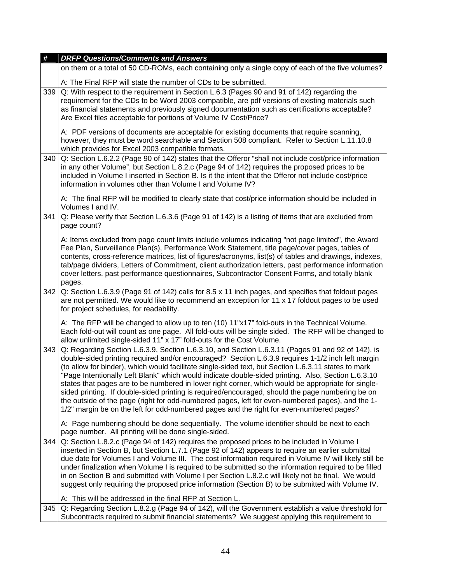| #   | <b>DRFP Questions/Comments and Answers</b>                                                                                                                                                                                                                                                                                                                                                                                                                                                                                                                                                                                                                                                                                                                                                                                     |
|-----|--------------------------------------------------------------------------------------------------------------------------------------------------------------------------------------------------------------------------------------------------------------------------------------------------------------------------------------------------------------------------------------------------------------------------------------------------------------------------------------------------------------------------------------------------------------------------------------------------------------------------------------------------------------------------------------------------------------------------------------------------------------------------------------------------------------------------------|
|     | on them or a total of 50 CD-ROMs, each containing only a single copy of each of the five volumes?                                                                                                                                                                                                                                                                                                                                                                                                                                                                                                                                                                                                                                                                                                                              |
|     | A: The Final RFP will state the number of CDs to be submitted.                                                                                                                                                                                                                                                                                                                                                                                                                                                                                                                                                                                                                                                                                                                                                                 |
| 339 | Q: With respect to the requirement in Section L.6.3 (Pages 90 and 91 of 142) regarding the<br>requirement for the CDs to be Word 2003 compatible, are pdf versions of existing materials such<br>as financial statements and previously signed documentation such as certifications acceptable?<br>Are Excel files acceptable for portions of Volume IV Cost/Price?                                                                                                                                                                                                                                                                                                                                                                                                                                                            |
|     | A: PDF versions of documents are acceptable for existing documents that require scanning,<br>however, they must be word searchable and Section 508 compliant. Refer to Section L.11.10.8<br>which provides for Excel 2003 compatible formats.                                                                                                                                                                                                                                                                                                                                                                                                                                                                                                                                                                                  |
| 340 | Q: Section L.6.2.2 (Page 90 of 142) states that the Offeror "shall not include cost/price information<br>in any other Volume", but Section L.8.2.c (Page 94 of 142) requires the proposed prices to be<br>included in Volume I inserted in Section B. Is it the intent that the Offeror not include cost/price<br>information in volumes other than Volume I and Volume IV?                                                                                                                                                                                                                                                                                                                                                                                                                                                    |
|     | A: The final RFP will be modified to clearly state that cost/price information should be included in<br>Volumes I and IV.                                                                                                                                                                                                                                                                                                                                                                                                                                                                                                                                                                                                                                                                                                      |
| 341 | Q: Please verify that Section L.6.3.6 (Page 91 of 142) is a listing of items that are excluded from<br>page count?                                                                                                                                                                                                                                                                                                                                                                                                                                                                                                                                                                                                                                                                                                             |
|     | A: Items excluded from page count limits include volumes indicating "not page limited", the Award<br>Fee Plan, Surveillance Plan(s), Performance Work Statement, title page/cover pages, tables of<br>contents, cross-reference matrices, list of figures/acronyms, list(s) of tables and drawings, indexes,<br>tab/page dividers, Letters of Commitment, client authorization letters, past performance information<br>cover letters, past performance questionnaires, Subcontractor Consent Forms, and totally blank<br>pages.                                                                                                                                                                                                                                                                                               |
| 342 | Q: Section L.6.3.9 (Page 91 of 142) calls for 8.5 x 11 inch pages, and specifies that foldout pages<br>are not permitted. We would like to recommend an exception for 11 x 17 foldout pages to be used<br>for project schedules, for readability.                                                                                                                                                                                                                                                                                                                                                                                                                                                                                                                                                                              |
|     | A: The RFP will be changed to allow up to ten (10) 11"x17" fold-outs in the Technical Volume.<br>Each fold-out will count as one page. All fold-outs will be single sided. The RFP will be changed to<br>allow unlimited single-sided 11" x 17" fold-outs for the Cost Volume.                                                                                                                                                                                                                                                                                                                                                                                                                                                                                                                                                 |
| 343 | Q: Regarding Section L.6.3.9, Section L.6.3.10, and Section L.6.3.11 (Pages 91 and 92 of 142), is<br>double-sided printing required and/or encouraged? Section L.6.3.9 requires 1-1/2 inch left margin<br>(to allow for binder), which would facilitate single-sided text, but Section L.6.3.11 states to mark<br>"Page Intentionally Left Blank" which would indicate double-sided printing. Also, Section L.6.3.10<br>states that pages are to be numbered in lower right corner, which would be appropriate for single-<br>sided printing. If double-sided printing is required/encouraged, should the page numbering be on<br>the outside of the page (right for odd-numbered pages, left for even-numbered pages), and the 1-<br>1/2" margin be on the left for odd-numbered pages and the right for even-numbered pages? |
|     | A: Page numbering should be done sequentially. The volume identifier should be next to each<br>page number. All printing will be done single-sided.                                                                                                                                                                                                                                                                                                                                                                                                                                                                                                                                                                                                                                                                            |
| 344 | Q: Section L.8.2.c (Page 94 of 142) requires the proposed prices to be included in Volume I<br>inserted in Section B, but Section L.7.1 (Page 92 of 142) appears to require an earlier submittal<br>due date for Volumes I and Volume III. The cost information required in Volume IV will likely still be<br>under finalization when Volume I is required to be submitted so the information required to be filled<br>in on Section B and submitted with Volume I per Section L.8.2.c will likely not be final. We would<br>suggest only requiring the proposed price information (Section B) to be submitted with Volume IV.                                                                                                                                                                                                 |
|     | A: This will be addressed in the final RFP at Section L.                                                                                                                                                                                                                                                                                                                                                                                                                                                                                                                                                                                                                                                                                                                                                                       |
| 345 |                                                                                                                                                                                                                                                                                                                                                                                                                                                                                                                                                                                                                                                                                                                                                                                                                                |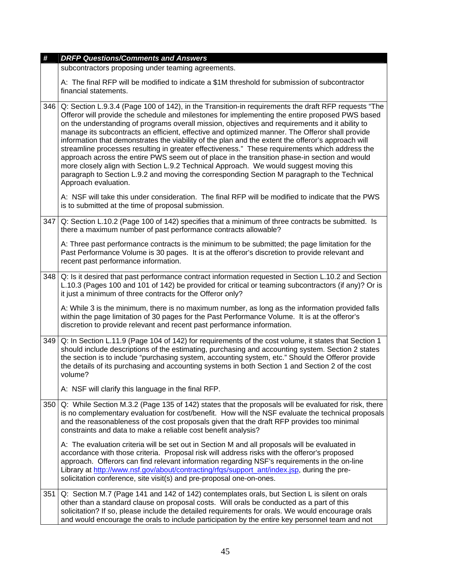| #   | <b>DRFP Questions/Comments and Answers</b>                                                                                                                                                                                                                                                                                                                                                                                                                                                                                                                                                                                                                                                                                                                                                                                                                                                                                              |
|-----|-----------------------------------------------------------------------------------------------------------------------------------------------------------------------------------------------------------------------------------------------------------------------------------------------------------------------------------------------------------------------------------------------------------------------------------------------------------------------------------------------------------------------------------------------------------------------------------------------------------------------------------------------------------------------------------------------------------------------------------------------------------------------------------------------------------------------------------------------------------------------------------------------------------------------------------------|
|     | subcontractors proposing under teaming agreements.                                                                                                                                                                                                                                                                                                                                                                                                                                                                                                                                                                                                                                                                                                                                                                                                                                                                                      |
|     | A: The final RFP will be modified to indicate a \$1M threshold for submission of subcontractor<br>financial statements.                                                                                                                                                                                                                                                                                                                                                                                                                                                                                                                                                                                                                                                                                                                                                                                                                 |
| 346 | Q: Section L.9.3.4 (Page 100 of 142), in the Transition-in requirements the draft RFP requests "The<br>Offeror will provide the schedule and milestones for implementing the entire proposed PWS based<br>on the understanding of programs overall mission, objectives and requirements and it ability to<br>manage its subcontracts an efficient, effective and optimized manner. The Offeror shall provide<br>information that demonstrates the viability of the plan and the extent the offeror's approach will<br>streamline processes resulting in greater effectiveness." These requirements which address the<br>approach across the entire PWS seem out of place in the transition phase-in section and would<br>more closely align with Section L.9.2 Technical Approach. We would suggest moving this<br>paragraph to Section L.9.2 and moving the corresponding Section M paragraph to the Technical<br>Approach evaluation. |
|     | A: NSF will take this under consideration. The final RFP will be modified to indicate that the PWS<br>is to submitted at the time of proposal submission.                                                                                                                                                                                                                                                                                                                                                                                                                                                                                                                                                                                                                                                                                                                                                                               |
| 347 | Q: Section L.10.2 (Page 100 of 142) specifies that a minimum of three contracts be submitted. Is<br>there a maximum number of past performance contracts allowable?                                                                                                                                                                                                                                                                                                                                                                                                                                                                                                                                                                                                                                                                                                                                                                     |
|     | A: Three past performance contracts is the minimum to be submitted; the page limitation for the<br>Past Performance Volume is 30 pages. It is at the offeror's discretion to provide relevant and<br>recent past performance information.                                                                                                                                                                                                                                                                                                                                                                                                                                                                                                                                                                                                                                                                                               |
| 348 | Q: Is it desired that past performance contract information requested in Section L.10.2 and Section<br>L.10.3 (Pages 100 and 101 of 142) be provided for critical or teaming subcontractors (if any)? Or is<br>it just a minimum of three contracts for the Offeror only?                                                                                                                                                                                                                                                                                                                                                                                                                                                                                                                                                                                                                                                               |
|     | A: While 3 is the minimum, there is no maximum number, as long as the information provided falls<br>within the page limitation of 30 pages for the Past Performance Volume. It is at the offeror's<br>discretion to provide relevant and recent past performance information.                                                                                                                                                                                                                                                                                                                                                                                                                                                                                                                                                                                                                                                           |
| 349 | Q: In Section L.11.9 (Page 104 of 142) for requirements of the cost volume, it states that Section 1<br>should include descriptions of the estimating, purchasing and accounting system. Section 2 states<br>the section is to include "purchasing system, accounting system, etc." Should the Offeror provide<br>the details of its purchasing and accounting systems in both Section 1 and Section 2 of the cost<br>volume?                                                                                                                                                                                                                                                                                                                                                                                                                                                                                                           |
|     | A: NSF will clarify this language in the final RFP.                                                                                                                                                                                                                                                                                                                                                                                                                                                                                                                                                                                                                                                                                                                                                                                                                                                                                     |
| 350 | Q: While Section M.3.2 (Page 135 of 142) states that the proposals will be evaluated for risk, there<br>is no complementary evaluation for cost/benefit. How will the NSF evaluate the technical proposals<br>and the reasonableness of the cost proposals given that the draft RFP provides too minimal<br>constraints and data to make a reliable cost benefit analysis?                                                                                                                                                                                                                                                                                                                                                                                                                                                                                                                                                              |
|     | A: The evaluation criteria will be set out in Section M and all proposals will be evaluated in<br>accordance with those criteria. Proposal risk will address risks with the offeror's proposed<br>approach. Offerors can find relevant information regarding NSF's requirements in the on-line<br>Library at http://www.nsf.gov/about/contracting/rfgs/support ant/index.jsp, during the pre-<br>solicitation conference, site visit(s) and pre-proposal one-on-ones.                                                                                                                                                                                                                                                                                                                                                                                                                                                                   |
| 351 | Q: Section M.7 (Page 141 and 142 of 142) contemplates orals, but Section L is silent on orals<br>other than a standard clause on proposal costs. Will orals be conducted as a part of this<br>solicitation? If so, please include the detailed requirements for orals. We would encourage orals<br>and would encourage the orals to include participation by the entire key personnel team and not                                                                                                                                                                                                                                                                                                                                                                                                                                                                                                                                      |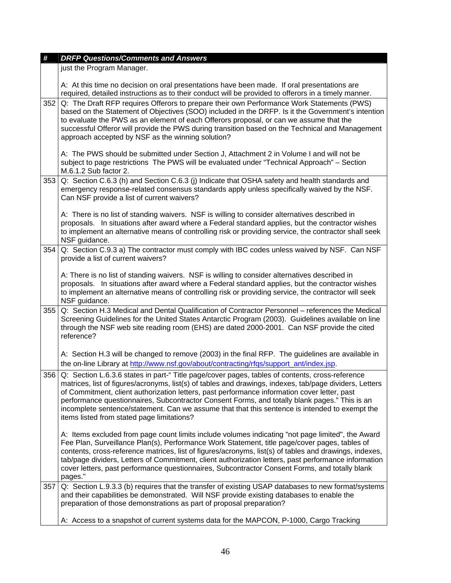| #   | <b>DRFP Questions/Comments and Answers</b>                                                                                                                                                                                                                                                                                                                                                                                                                                                                                                                  |
|-----|-------------------------------------------------------------------------------------------------------------------------------------------------------------------------------------------------------------------------------------------------------------------------------------------------------------------------------------------------------------------------------------------------------------------------------------------------------------------------------------------------------------------------------------------------------------|
|     | just the Program Manager.                                                                                                                                                                                                                                                                                                                                                                                                                                                                                                                                   |
|     | A: At this time no decision on oral presentations have been made. If oral presentations are<br>required, detailed instructions as to their conduct will be provided to offerors in a timely manner.                                                                                                                                                                                                                                                                                                                                                         |
| 352 | Q: The Draft RFP requires Offerors to prepare their own Performance Work Statements (PWS)<br>based on the Statement of Objectives (SOO) included in the DRFP. Is it the Government's intention<br>to evaluate the PWS as an element of each Offerors proposal, or can we assume that the<br>successful Offeror will provide the PWS during transition based on the Technical and Management<br>approach accepted by NSF as the winning solution?                                                                                                            |
|     | A: The PWS should be submitted under Section J, Attachment 2 in Volume I and will not be<br>subject to page restrictions The PWS will be evaluated under "Technical Approach" - Section<br>M.6.1.2 Sub factor 2.                                                                                                                                                                                                                                                                                                                                            |
| 353 | Q: Section C.6.3 (h) and Section C.6.3 (j) Indicate that OSHA safety and health standards and<br>emergency response-related consensus standards apply unless specifically waived by the NSF.<br>Can NSF provide a list of current waivers?                                                                                                                                                                                                                                                                                                                  |
|     | A: There is no list of standing waivers. NSF is willing to consider alternatives described in<br>proposals. In situations after award where a Federal standard applies, but the contractor wishes<br>to implement an alternative means of controlling risk or providing service, the contractor shall seek<br>NSF guidance.                                                                                                                                                                                                                                 |
| 354 | Q: Section C.9.3 a) The contractor must comply with IBC codes unless waived by NSF. Can NSF<br>provide a list of current waivers?                                                                                                                                                                                                                                                                                                                                                                                                                           |
|     | A: There is no list of standing waivers. NSF is willing to consider alternatives described in<br>proposals. In situations after award where a Federal standard applies, but the contractor wishes<br>to implement an alternative means of controlling risk or providing service, the contractor will seek<br>NSF guidance.                                                                                                                                                                                                                                  |
| 355 | Q: Section H.3 Medical and Dental Qualification of Contractor Personnel – references the Medical<br>Screening Guidelines for the United States Antarctic Program (2003). Guidelines available on line<br>through the NSF web site reading room (EHS) are dated 2000-2001. Can NSF provide the cited<br>reference?                                                                                                                                                                                                                                           |
|     | A: Section H.3 will be changed to remove (2003) in the final RFP. The guidelines are available in<br>the on-line Library at http://www.nsf.gov/about/contracting/rfgs/support_ant/index.jsp.                                                                                                                                                                                                                                                                                                                                                                |
| 356 | Q: Section L.6.3.6 states in part-" Title page/cover pages, tables of contents, cross-reference<br>matrices, list of figures/acronyms, list(s) of tables and drawings, indexes, tab/page dividers, Letters<br>of Commitment, client authorization letters, past performance information cover letter, past<br>performance questionnaires, Subcontractor Consent Forms, and totally blank pages." This is an<br>incomplete sentence/statement. Can we assume that that this sentence is intended to exempt the<br>items listed from stated page limitations? |
|     | A: Items excluded from page count limits include volumes indicating "not page limited", the Award<br>Fee Plan, Surveillance Plan(s), Performance Work Statement, title page/cover pages, tables of<br>contents, cross-reference matrices, list of figures/acronyms, list(s) of tables and drawings, indexes,<br>tab/page dividers, Letters of Commitment, client authorization letters, past performance information<br>cover letters, past performance questionnaires, Subcontractor Consent Forms, and totally blank<br>pages."                           |
| 357 | Q: Section L.9.3.3 (b) requires that the transfer of existing USAP databases to new format/systems<br>and their capabilities be demonstrated. Will NSF provide existing databases to enable the<br>preparation of those demonstrations as part of proposal preparation?                                                                                                                                                                                                                                                                                     |
|     | A: Access to a snapshot of current systems data for the MAPCON, P-1000, Cargo Tracking                                                                                                                                                                                                                                                                                                                                                                                                                                                                      |
|     |                                                                                                                                                                                                                                                                                                                                                                                                                                                                                                                                                             |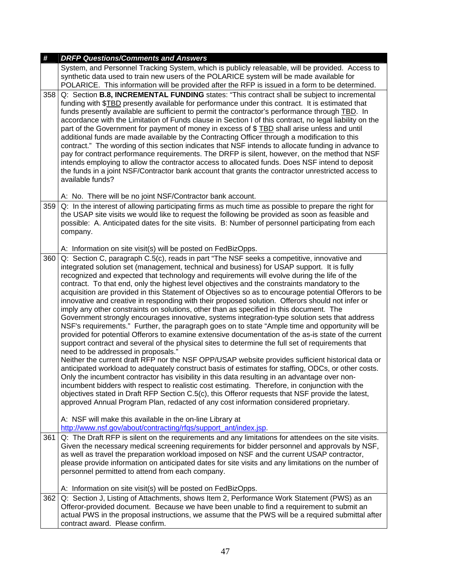| #   | <b>DRFP Questions/Comments and Answers</b>                                                                                                                                                                                                                                                                                                                                                                                                                                                                                                                                                                                                                                                                                                                                                                                                                                                                                                                                                                                                                                                                                                                                                                                                                                                                                                                                                                                                                                                                                                                                                                                                                                                                                                                                                                                                                                                                |
|-----|-----------------------------------------------------------------------------------------------------------------------------------------------------------------------------------------------------------------------------------------------------------------------------------------------------------------------------------------------------------------------------------------------------------------------------------------------------------------------------------------------------------------------------------------------------------------------------------------------------------------------------------------------------------------------------------------------------------------------------------------------------------------------------------------------------------------------------------------------------------------------------------------------------------------------------------------------------------------------------------------------------------------------------------------------------------------------------------------------------------------------------------------------------------------------------------------------------------------------------------------------------------------------------------------------------------------------------------------------------------------------------------------------------------------------------------------------------------------------------------------------------------------------------------------------------------------------------------------------------------------------------------------------------------------------------------------------------------------------------------------------------------------------------------------------------------------------------------------------------------------------------------------------------------|
|     | System, and Personnel Tracking System, which is publicly releasable, will be provided. Access to<br>synthetic data used to train new users of the POLARICE system will be made available for<br>POLARICE. This information will be provided after the RFP is issued in a form to be determined.                                                                                                                                                                                                                                                                                                                                                                                                                                                                                                                                                                                                                                                                                                                                                                                                                                                                                                                                                                                                                                                                                                                                                                                                                                                                                                                                                                                                                                                                                                                                                                                                           |
| 358 | Q: Section B.8, INCREMENTAL FUNDING states: "This contract shall be subject to incremental<br>funding with \$TBD presently available for performance under this contract. It is estimated that<br>funds presently available are sufficient to permit the contractor's performance through TBD. In<br>accordance with the Limitation of Funds clause in Section I of this contract, no legal liability on the<br>part of the Government for payment of money in excess of \$ TBD shall arise unless and until<br>additional funds are made available by the Contracting Officer through a modification to this<br>contract." The wording of this section indicates that NSF intends to allocate funding in advance to<br>pay for contract performance requirements. The DRFP is silent, however, on the method that NSF<br>intends employing to allow the contractor access to allocated funds. Does NSF intend to deposit<br>the funds in a joint NSF/Contractor bank account that grants the contractor unrestricted access to<br>available funds?<br>A: No. There will be no joint NSF/Contractor bank account.                                                                                                                                                                                                                                                                                                                                                                                                                                                                                                                                                                                                                                                                                                                                                                                         |
| 359 | Q: In the interest of allowing participating firms as much time as possible to prepare the right for<br>the USAP site visits we would like to request the following be provided as soon as feasible and<br>possible: A. Anticipated dates for the site visits. B: Number of personnel participating from each<br>company.                                                                                                                                                                                                                                                                                                                                                                                                                                                                                                                                                                                                                                                                                                                                                                                                                                                                                                                                                                                                                                                                                                                                                                                                                                                                                                                                                                                                                                                                                                                                                                                 |
|     | A: Information on site visit(s) will be posted on FedBizOpps.                                                                                                                                                                                                                                                                                                                                                                                                                                                                                                                                                                                                                                                                                                                                                                                                                                                                                                                                                                                                                                                                                                                                                                                                                                                                                                                                                                                                                                                                                                                                                                                                                                                                                                                                                                                                                                             |
| 360 | Q: Section C, paragraph C.5(c), reads in part "The NSF seeks a competitive, innovative and<br>integrated solution set (management, technical and business) for USAP support. It is fully<br>recognized and expected that technology and requirements will evolve during the life of the<br>contract. To that end, only the highest level objectives and the constraints mandatory to the<br>acquisition are provided in this Statement of Objectives so as to encourage potential Offerors to be<br>innovative and creative in responding with their proposed solution. Offerors should not infer or<br>imply any other constraints on solutions, other than as specified in this document. The<br>Government strongly encourages innovative, systems integration-type solution sets that address<br>NSF's requirements." Further, the paragraph goes on to state "Ample time and opportunity will be<br>provided for potential Offerors to examine extensive documentation of the as-is state of the current<br>support contract and several of the physical sites to determine the full set of requirements that<br>need to be addressed in proposals."<br>Neither the current draft RFP nor the NSF OPP/USAP website provides sufficient historical data or<br>anticipated workload to adequately construct basis of estimates for staffing, ODCs, or other costs.<br>Only the incumbent contractor has visibility in this data resulting in an advantage over non-<br>incumbent bidders with respect to realistic cost estimating. Therefore, in conjunction with the<br>objectives stated in Draft RFP Section C.5(c), this Offeror requests that NSF provide the latest,<br>approved Annual Program Plan, redacted of any cost information considered proprietary.<br>A: NSF will make this available in the on-line Library at<br>http://www.nsf.gov/about/contracting/rfqs/support_ant/index.jsp. |
| 361 | Q: The Draft RFP is silent on the requirements and any limitations for attendees on the site visits.                                                                                                                                                                                                                                                                                                                                                                                                                                                                                                                                                                                                                                                                                                                                                                                                                                                                                                                                                                                                                                                                                                                                                                                                                                                                                                                                                                                                                                                                                                                                                                                                                                                                                                                                                                                                      |
|     | Given the necessary medical screening requirements for bidder personnel and approvals by NSF,<br>as well as travel the preparation workload imposed on NSF and the current USAP contractor,<br>please provide information on anticipated dates for site visits and any limitations on the number of<br>personnel permitted to attend from each company.<br>A: Information on site visit(s) will be posted on FedBizOpps.                                                                                                                                                                                                                                                                                                                                                                                                                                                                                                                                                                                                                                                                                                                                                                                                                                                                                                                                                                                                                                                                                                                                                                                                                                                                                                                                                                                                                                                                                  |
| 362 | Q: Section J, Listing of Attachments, shows Item 2, Performance Work Statement (PWS) as an<br>Offeror-provided document. Because we have been unable to find a requirement to submit an<br>actual PWS in the proposal instructions, we assume that the PWS will be a required submittal after<br>contract award. Please confirm.                                                                                                                                                                                                                                                                                                                                                                                                                                                                                                                                                                                                                                                                                                                                                                                                                                                                                                                                                                                                                                                                                                                                                                                                                                                                                                                                                                                                                                                                                                                                                                          |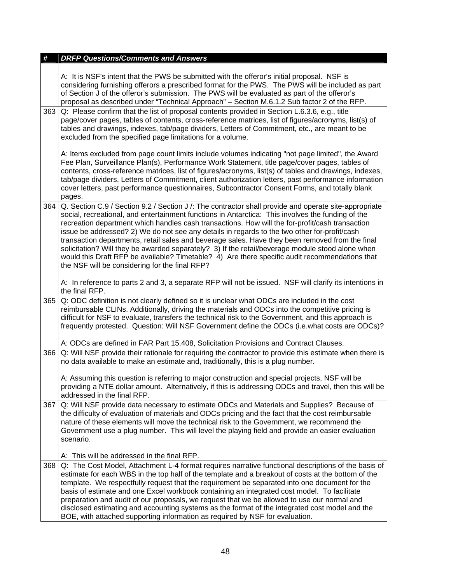| A: It is NSF's intent that the PWS be submitted with the offeror's initial proposal. NSF is<br>considering furnishing offerors a prescribed format for the PWS. The PWS will be included as part<br>of Section J of the offeror's submission. The PWS will be evaluated as part of the offeror's<br>proposal as described under "Technical Approach" - Section M.6.1.2 Sub factor 2 of the RFP.<br>Q: Please confirm that the list of proposal contents provided in Section L.6.3.6, e.g., title                                                                                                                                                                                                                                                                                |
|---------------------------------------------------------------------------------------------------------------------------------------------------------------------------------------------------------------------------------------------------------------------------------------------------------------------------------------------------------------------------------------------------------------------------------------------------------------------------------------------------------------------------------------------------------------------------------------------------------------------------------------------------------------------------------------------------------------------------------------------------------------------------------|
| page/cover pages, tables of contents, cross-reference matrices, list of figures/acronyms, list(s) of<br>tables and drawings, indexes, tab/page dividers, Letters of Commitment, etc., are meant to be<br>excluded from the specified page limitations for a volume.                                                                                                                                                                                                                                                                                                                                                                                                                                                                                                             |
| A: Items excluded from page count limits include volumes indicating "not page limited", the Award<br>Fee Plan, Surveillance Plan(s), Performance Work Statement, title page/cover pages, tables of<br>contents, cross-reference matrices, list of figures/acronyms, list(s) of tables and drawings, indexes,<br>tab/page dividers, Letters of Commitment, client authorization letters, past performance information<br>cover letters, past performance questionnaires, Subcontractor Consent Forms, and totally blank<br>pages.                                                                                                                                                                                                                                                |
| Q. Section C.9 / Section 9.2 / Section J /: The contractor shall provide and operate site-appropriate<br>364<br>social, recreational, and entertainment functions in Antarctica: This involves the funding of the<br>recreation department which handles cash transactions. How will the for-profit/cash transaction<br>issue be addressed? 2) We do not see any details in regards to the two other for-profit/cash<br>transaction departments, retail sales and beverage sales. Have they been removed from the final<br>solicitation? Will they be awarded separately? 3) If the retail/beverage module stood alone when<br>would this Draft RFP be available? Timetable? 4) Are there specific audit recommendations that<br>the NSF will be considering for the final RFP? |
| A: In reference to parts 2 and 3, a separate RFP will not be issued. NSF will clarify its intentions in<br>the final RFP.                                                                                                                                                                                                                                                                                                                                                                                                                                                                                                                                                                                                                                                       |
| Q: ODC definition is not clearly defined so it is unclear what ODCs are included in the cost<br>reimbursable CLINs. Additionally, driving the materials and ODCs into the competitive pricing is<br>difficult for NSF to evaluate, transfers the technical risk to the Government, and this approach is<br>frequently protested. Question: Will NSF Government define the ODCs (i.e.what costs are ODCs)?                                                                                                                                                                                                                                                                                                                                                                       |
| A: ODCs are defined in FAR Part 15.408, Solicitation Provisions and Contract Clauses.                                                                                                                                                                                                                                                                                                                                                                                                                                                                                                                                                                                                                                                                                           |
| Q: Will NSF provide their rationale for requiring the contractor to provide this estimate when there is<br>366<br>no data available to make an estimate and, traditionally, this is a plug number.                                                                                                                                                                                                                                                                                                                                                                                                                                                                                                                                                                              |
| A: Assuming this question is referring to major construction and special projects, NSF will be<br>providing a NTE dollar amount. Alternatively, if this is addressing ODCs and travel, then this will be<br>addressed in the final RFP.                                                                                                                                                                                                                                                                                                                                                                                                                                                                                                                                         |
| Q: Will NSF provide data necessary to estimate ODCs and Materials and Supplies? Because of<br>367<br>the difficulty of evaluation of materials and ODCs pricing and the fact that the cost reimbursable<br>nature of these elements will move the technical risk to the Government, we recommend the<br>Government use a plug number. This will level the playing field and provide an easier evaluation<br>scenario.                                                                                                                                                                                                                                                                                                                                                           |
| A: This will be addressed in the final RFP.                                                                                                                                                                                                                                                                                                                                                                                                                                                                                                                                                                                                                                                                                                                                     |
| Q: The Cost Model, Attachment L-4 format requires narrative functional descriptions of the basis of<br>estimate for each WBS in the top half of the template and a breakout of costs at the bottom of the<br>template. We respectfully request that the requirement be separated into one document for the<br>basis of estimate and one Excel workbook containing an integrated cost model. To facilitate<br>preparation and audit of our proposals, we request that we be allowed to use our normal and<br>disclosed estimating and accounting systems as the format of the integrated cost model and the<br>BOE, with attached supporting information as required by NSF for evaluation.                                                                                      |
| 363                                                                                                                                                                                                                                                                                                                                                                                                                                                                                                                                                                                                                                                                                                                                                                             |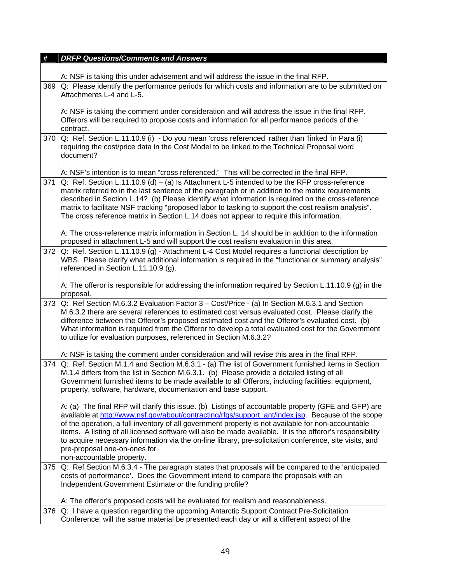| #   | <b>DRFP Questions/Comments and Answers</b>                                                                                                                                                                                                                                                                                                                                                                                                                                                                                                                                                            |
|-----|-------------------------------------------------------------------------------------------------------------------------------------------------------------------------------------------------------------------------------------------------------------------------------------------------------------------------------------------------------------------------------------------------------------------------------------------------------------------------------------------------------------------------------------------------------------------------------------------------------|
|     |                                                                                                                                                                                                                                                                                                                                                                                                                                                                                                                                                                                                       |
|     | A: NSF is taking this under advisement and will address the issue in the final RFP.                                                                                                                                                                                                                                                                                                                                                                                                                                                                                                                   |
| 369 | Q: Please identify the performance periods for which costs and information are to be submitted on<br>Attachments L-4 and L-5.                                                                                                                                                                                                                                                                                                                                                                                                                                                                         |
|     | A: NSF is taking the comment under consideration and will address the issue in the final RFP.<br>Offerors will be required to propose costs and information for all performance periods of the<br>contract.                                                                                                                                                                                                                                                                                                                                                                                           |
| 370 | Q: Ref. Section L.11.10.9 (i) - Do you mean 'cross referenced' rather than 'linked 'in Para (i)<br>requiring the cost/price data in the Cost Model to be linked to the Technical Proposal word<br>document?                                                                                                                                                                                                                                                                                                                                                                                           |
|     | A: NSF's intention is to mean "cross referenced." This will be corrected in the final RFP.                                                                                                                                                                                                                                                                                                                                                                                                                                                                                                            |
| 371 | Q: Ref. Section L.11.10.9 (d) – (a) Is Attachment L-5 intended to be the RFP cross-reference<br>matrix referred to in the last sentence of the paragraph or in addition to the matrix requirements<br>described in Section L.14? (b) Please identify what information is required on the cross-reference<br>matrix to facilitate NSF tracking "proposed labor to tasking to support the cost realism analysis".<br>The cross reference matrix in Section L.14 does not appear to require this information.                                                                                            |
|     | A: The cross-reference matrix information in Section L. 14 should be in addition to the information<br>proposed in attachment L-5 and will support the cost realism evaluation in this area.                                                                                                                                                                                                                                                                                                                                                                                                          |
| 372 | Q: Ref. Section L.11.10.9 (g) - Attachment L-4 Cost Model requires a functional description by<br>WBS. Please clarify what additional information is required in the "functional or summary analysis"<br>referenced in Section L.11.10.9 (g).                                                                                                                                                                                                                                                                                                                                                         |
|     | A: The offeror is responsible for addressing the information required by Section L.11.10.9 (g) in the<br>proposal.                                                                                                                                                                                                                                                                                                                                                                                                                                                                                    |
| 373 | Q: Ref Section M.6.3.2 Evaluation Factor 3 - Cost/Price - (a) In Section M.6.3.1 and Section<br>M.6.3.2 there are several references to estimated cost versus evaluated cost. Please clarify the<br>difference between the Offeror's proposed estimated cost and the Offeror's evaluated cost. (b)<br>What information is required from the Offeror to develop a total evaluated cost for the Government<br>to utilize for evaluation purposes, referenced in Section M.6.3.2?                                                                                                                        |
|     | A: NSF is taking the comment under consideration and will revise this area in the final RFP.                                                                                                                                                                                                                                                                                                                                                                                                                                                                                                          |
| 374 | Q: Ref. Section M.1.4 and Section M.6.3.1 - (a) The list of Government furnished items in Section<br>M.1.4 differs from the list in Section M.6.3.1. (b) Please provide a detailed listing of all<br>Government furnished items to be made available to all Offerors, including facilities, equipment,<br>property, software, hardware, documentation and base support.                                                                                                                                                                                                                               |
|     | A: (a) The final RFP will clarify this issue. (b) Listings of accountable property (GFE and GFP) are<br>available at http://www.nsf.gov/about/contracting/rfgs/support_ant/index.jsp. Because of the scope<br>of the operation, a full inventory of all government property is not available for non-accountable<br>items. A listing of all licensed software will also be made available. It is the offeror's responsibility<br>to acquire necessary information via the on-line library, pre-solicitation conference, site visits, and<br>pre-proposal one-on-ones for<br>non-accountable property. |
| 375 | Q: Ref Section M.6.3.4 - The paragraph states that proposals will be compared to the 'anticipated                                                                                                                                                                                                                                                                                                                                                                                                                                                                                                     |
|     | costs of performance'. Does the Government intend to compare the proposals with an<br>Independent Government Estimate or the funding profile?                                                                                                                                                                                                                                                                                                                                                                                                                                                         |
|     | A: The offeror's proposed costs will be evaluated for realism and reasonableness.                                                                                                                                                                                                                                                                                                                                                                                                                                                                                                                     |
| 376 | Q: I have a question regarding the upcoming Antarctic Support Contract Pre-Solicitation                                                                                                                                                                                                                                                                                                                                                                                                                                                                                                               |
|     | Conference; will the same material be presented each day or will a different aspect of the                                                                                                                                                                                                                                                                                                                                                                                                                                                                                                            |